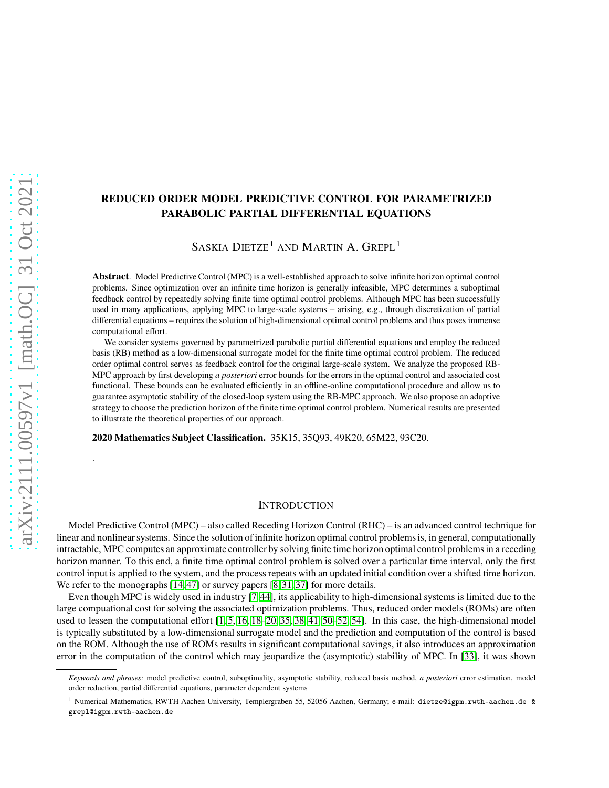# **REDUCED ORDER MODEL PREDICTIVE CONTROL FOR PARAMETRIZED PARABOLIC PARTIAL DIFFERENTIAL EQUATIONS**

SASKIA DIETZE<sup>1</sup> AND MARTIN A. GREPL<sup>1</sup>

**Abstract**. Model Predictive Control (MPC) is a well-established approach to solve infinite horizon optimal control problems. Since optimization over an infinite time horizon is generally infeasible, MPC determines a suboptimal feedback control by repeatedly solving finite time optimal control problems. Although MPC has been successfully used in many applications, applying MPC to large-scale systems – arising, e.g., through discretization of partial differential equations – requires the solution of high-dimensional optimal control problems and thus poses immense computational effort.

We consider systems governed by parametrized parabolic partial differential equations and employ the reduced basis (RB) method as a low-dimensional surrogate model for the finite time optimal control problem. The reduced order optimal control serves as feedback control for the original large-scale system. We analyze the proposed RB-MPC approach by first developing *a posteriori* error bounds for the errors in the optimal control and associated cost functional. These bounds can be evaluated efficiently in an offline-online computational procedure and allow us to guarantee asymptotic stability of the closed-loop system using the RB-MPC approach. We also propose an adaptive strategy to choose the prediction horizon of the finite time optimal control problem. Numerical results are presented to illustrate the theoretical properties of our approach.

**2020 Mathematics Subject Classification.** 35K15, 35Q93, 49K20, 65M22, 93C20.

## **INTRODUCTION**

Model Predictive Control (MPC) – also called Receding Horizon Control (RHC) – is an advanced control technique for linear and nonlinear systems. Since the solution of infinite horizon optimal control problems is, in general, computationally intractable, MPC computes an approximate controller by solving finite time horizon optimal control problems in a receding horizon manner. To this end, a finite time optimal control problem is solved over a particular time interval, only the first control input is applied to the system, and the process repeats with an updated initial condition over a shifted time horizon. We refer to the monographs [\[14,](#page-35-0) [47\]](#page-36-0) or survey papers [\[8,](#page-35-1) [31,](#page-35-2) [37\]](#page-36-1) for more details.

Even though MPC is widely used in industry [\[7,](#page-35-3) [44\]](#page-36-2), its applicability to high-dimensional systems is limited due to the large compuational cost for solving the associated optimization problems. Thus, reduced order models (ROMs) are often used to lessen the computational effort [\[1,](#page-35-4) [5,](#page-35-5) [16,](#page-35-6) [18–](#page-35-7)[20,](#page-35-8) [35,](#page-36-3) [38,](#page-36-4) [41,](#page-36-5) [50](#page-36-6)[–52,](#page-36-7) [54\]](#page-36-8). In this case, the high-dimensional model is typically substituted by a low-dimensional surrogate model and the prediction and computation of the control is based on the ROM. Although the use of ROMs results in significant computational savings, it also introduces an approximation error in the computation of the control which may jeopardize the (asymptotic) stability of MPC. In [\[33\]](#page-35-9), it was shown

.

*Keywords and phrases:* model predictive control, suboptimality, asymptotic stability, reduced basis method, *a posteriori* error estimation, model order reduction, partial differential equations, parameter dependent systems

<sup>1</sup> Numerical Mathematics, RWTH Aachen University, Templergraben 55, 52056 Aachen, Germany; e-mail: dietze@igpm.rwth-aachen.de & grepl@igpm.rwth-aachen.de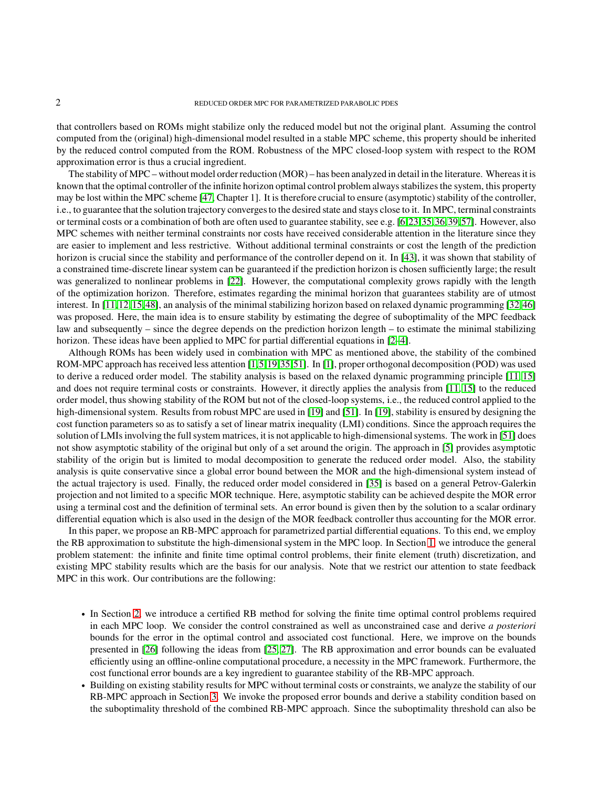that controllers based on ROMs might stabilize only the reduced model but not the original plant. Assuming the control computed from the (original) high-dimensional model resulted in a stable MPC scheme, this property should be inherited by the reduced control computed from the ROM. Robustness of the MPC closed-loop system with respect to the ROM approximation error is thus a crucial ingredient.

The stability of MPC – without model order reduction (MOR) – has been analyzed in detail in the literature. Whereas it is known that the optimal controller of the infinite horizon optimal control problem always stabilizes the system, this property may be lost within the MPC scheme [\[47,](#page-36-0) Chapter 1]. It is therefore crucial to ensure (asymptotic) stability of the controller, i.e., to guarantee that the solution trajectory converges to the desired state and stays close to it. In MPC, terminal constraints or terminal costs or a combination of both are often used to guarantee stability, see e.g. [\[6,](#page-35-10)[23,](#page-35-11)[35,](#page-36-3)[36,](#page-36-9)[39,](#page-36-10)[57\]](#page-36-11). However, also MPC schemes with neither terminal constraints nor costs have received considerable attention in the literature since they are easier to implement and less restrictive. Without additional terminal constraints or cost the length of the prediction horizon is crucial since the stability and performance of the controller depend on it. In [\[43\]](#page-36-12), it was shown that stability of a constrained time-discrete linear system can be guaranteed if the prediction horizon is chosen sufficiently large; the result was generalized to nonlinear problems in [\[22\]](#page-35-12). However, the computational complexity grows rapidly with the length of the optimization horizon. Therefore, estimates regarding the minimal horizon that guarantees stability are of utmost interest. In [\[11,](#page-35-13)[12,](#page-35-14)[15,](#page-35-15)[48\]](#page-36-13), an analysis of the minimal stabilizing horizon based on relaxed dynamic programming [\[32,](#page-35-16)[46\]](#page-36-14) was proposed. Here, the main idea is to ensure stability by estimating the degree of suboptimality of the MPC feedback law and subsequently – since the degree depends on the prediction horizon length – to estimate the minimal stabilizing horizon. These ideas have been applied to MPC for partial differential equations in [\[2](#page-35-17)[–4\]](#page-35-18).

Although ROMs has been widely used in combination with MPC as mentioned above, the stability of the combined ROM-MPC approach has received less attention [\[1,](#page-35-4)[5,](#page-35-5)[19,](#page-35-19)[35,](#page-36-3)[51\]](#page-36-15). In [\[1\]](#page-35-4), proper orthogonal decomposition (POD) was used to derive a reduced order model. The stability analysis is based on the relaxed dynamic programming principle [\[11,](#page-35-13) [15\]](#page-35-15) and does not require terminal costs or constraints. However, it directly applies the analysis from [\[11,](#page-35-13) [15\]](#page-35-15) to the reduced order model, thus showing stability of the ROM but not of the closed-loop systems, i.e., the reduced control applied to the high-dimensional system. Results from robust MPC are used in [\[19\]](#page-35-19) and [\[51\]](#page-36-15). In [19], stability is ensured by designing the cost function parameters so as to satisfy a set of linear matrix inequality (LMI) conditions. Since the approach requires the solution of LMIs involving the full system matrices, it is not applicable to high-dimensional systems. The work in [\[51\]](#page-36-15) does not show asymptotic stability of the original but only of a set around the origin. The approach in [\[5\]](#page-35-5) provides asymptotic stability of the origin but is limited to modal decomposition to generate the reduced order model. Also, the stability analysis is quite conservative since a global error bound between the MOR and the high-dimensional system instead of the actual trajectory is used. Finally, the reduced order model considered in [\[35\]](#page-36-3) is based on a general Petrov-Galerkin projection and not limited to a specific MOR technique. Here, asymptotic stability can be achieved despite the MOR error using a terminal cost and the definition of terminal sets. An error bound is given then by the solution to a scalar ordinary differential equation which is also used in the design of the MOR feedback controller thus accounting for the MOR error.

In this paper, we propose an RB-MPC approach for parametrized partial differential equations. To this end, we employ the RB approximation to substitute the high-dimensional system in the MPC loop. In Section [1,](#page-2-0) we introduce the general problem statement: the infinite and finite time optimal control problems, their finite element (truth) discretization, and existing MPC stability results which are the basis for our analysis. Note that we restrict our attention to state feedback MPC in this work. Our contributions are the following:

- ∙ In Section [2,](#page-9-0) we introduce a certified RB method for solving the finite time optimal control problems required in each MPC loop. We consider the control constrained as well as unconstrained case and derive *a posteriori* bounds for the error in the optimal control and associated cost functional. Here, we improve on the bounds presented in [\[26\]](#page-35-20) following the ideas from [\[25,](#page-35-21) [27\]](#page-35-22). The RB approximation and error bounds can be evaluated efficiently using an offline-online computational procedure, a necessity in the MPC framework. Furthermore, the cost functional error bounds are a key ingredient to guarantee stability of the RB-MPC approach.
- ∙ Building on existing stability results for MPC without terminal costs or constraints, we analyze the stability of our RB-MPC approach in Section [3.](#page-14-0) We invoke the proposed error bounds and derive a stability condition based on the suboptimality threshold of the combined RB-MPC approach. Since the suboptimality threshold can also be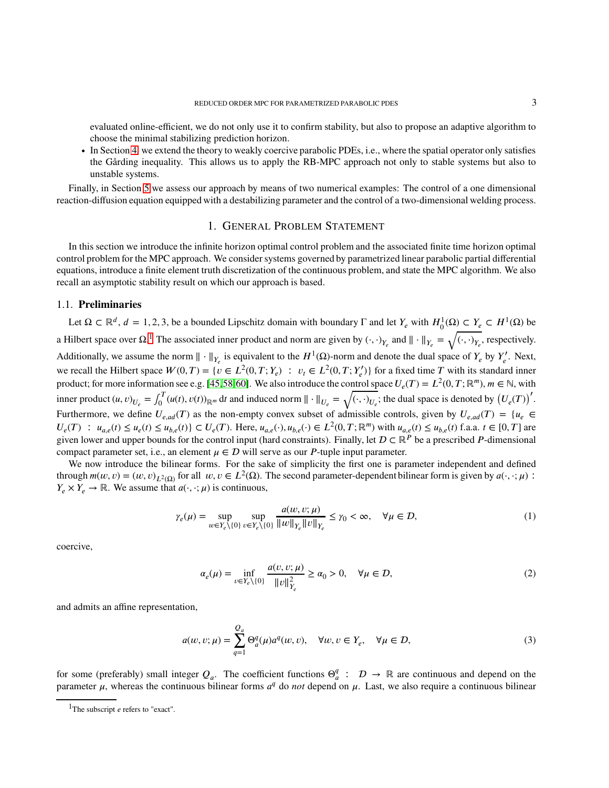evaluated online-efficient, we do not only use it to confirm stability, but also to propose an adaptive algorithm to choose the minimal stabilizing prediction horizon.

∙ In Section [4,](#page-17-0) we extend the theory to weakly coercive parabolic PDEs, i.e., where the spatial operator only satisfies the Gårding inequality. This allows us to apply the RB-MPC approach not only to stable systems but also to unstable systems.

<span id="page-2-0"></span>Finally, in Section [5](#page-20-0) we assess our approach by means of two numerical examples: The control of a one dimensional reaction-diffusion equation equipped with a destabilizing parameter and the control of a two-dimensional welding process.

## 1. GENERAL PROBLEM STATEMENT

In this section we introduce the infinite horizon optimal control problem and the associated finite time horizon optimal control problem for the MPC approach. We consider systems governed by parametrized linear parabolic partial differential equations, introduce a finite element truth discretization of the continuous problem, and state the MPC algorithm. We also recall an asymptotic stability result on which our approach is based.

### 1.1. **Preliminaries**

Let  $\Omega \subset \mathbb{R}^d$ ,  $d = 1, 2, 3$ , be a bounded Lipschitz domain with boundary  $\Gamma$  and let  $Y_e$  with  $H_0^1(\Omega) \subset Y_e \subset H^1(\Omega)$  be a Hilbert space over  $\Omega$ .<sup>[1](#page-2-1)</sup> The associated inner product and norm are given by  $(\cdot, \cdot)_{Y_e}$  and  $\|\cdot\|_{Y_e} = \sqrt{(\cdot, \cdot)_{Y_e}}$ , respectively. Additionally, we assume the norm  $\|\cdot\|_{Y_e}$  is equivalent to the  $H^1(\Omega)$ -norm and denote the dual space of  $Y_e$  by  $Y'_e$ . Next, we recall the Hilbert space  $W(0,T) = \{v \in L^2(0,T;Y_e) : v_t \in L^2(0,T;Y'_e)\}\$  for a fixed time T with its standard inner product; for more information see e.g. [\[45,](#page-36-16)[58,](#page-36-17)[60\]](#page-36-18). We also introduce the control space  $U_e(T) = L^2(0, T; \mathbb{R}^m)$ ,  $m \in \mathbb{N}$ , with inner product  $(u, v)_{U_e} = \int_0^T$  $\int_0^T (u(t), v(t))_{\mathbb{R}^m} dt$  and induced norm  $\|\cdot\|_{U_e} = \sqrt{(\cdot, \cdot)_{U_e}}$ ; the dual space is denoted by  $(U_e(T))^T$ . Furthermore, we define  $U_{e, ad}(T)$  as the non-empty convex subset of admissible controls, given by  $U_{e, ad}(T) = \{u_e \in$  $U_e(T)$ :  $u_{a,e}(t) \le u_e(t) \le u_{b,e}(t)$   $\subset U_e(T)$ . Here,  $u_{a,e}(\cdot), u_{b,e}(\cdot) \in L^2(0,T; \mathbb{R}^m)$  with  $u_{a,e}(t) \le u_{b,e}(t)$  f.a.a.  $t \in [0,T]$  are given lower and upper bounds for the control input (hard constraints). Finally, let  $D \subset \mathbb{R}^P$  be a prescribed P-dimensional compact parameter set, i.e., an element  $\mu \in \mathcal{D}$  will serve as our *P*-tuple input parameter.

We now introduce the bilinear forms. For the sake of simplicity the first one is parameter independent and defined through  $m(w, v) = (w, v)_{L^2(\Omega)}$  for all  $w, v \in L^2(\Omega)$ . The second parameter-dependent bilinear form is given by  $a(\cdot, \cdot; \mu)$ :  $Y_{\rho} \times Y_{\rho} \to \mathbb{R}$ . We assume that  $a(\cdot, \cdot; \mu)$  is continuous,

$$
\gamma_e(\mu) = \sup_{w \in Y_e \setminus \{0\}} \sup_{v \in Y_e \setminus \{0\}} \frac{a(w, v; \mu)}{\|w\|_{Y_e} \|v\|_{Y_e}} \le \gamma_0 < \infty, \quad \forall \mu \in \mathcal{D}, \tag{1}
$$

coercive,

<span id="page-2-3"></span><span id="page-2-2"></span>
$$
\alpha_e(\mu) = \inf_{\nu \in Y_e \setminus \{0\}} \frac{a(\nu, \nu; \mu)}{\|\nu\|_{Y_e}^2} \ge \alpha_0 > 0, \quad \forall \mu \in \mathcal{D},
$$
\n(2)

and admits an affine representation,

$$
a(w, v; \mu) = \sum_{q=1}^{Q_a} \Theta_a^q(\mu) a^q(w, v), \quad \forall w, v \in Y_e, \quad \forall \mu \in \mathcal{D},
$$
\n(3)

for some (preferably) small integer  $Q_a$ . The coefficient functions  $\Theta_a^q$ :  $D \to \mathbb{R}$  are continuous and depend on the parameter  $\mu$ , whereas the continuous bilinear forms  $a^q$  do *not* depend on  $\mu$ . Last, we also require a continuous bilinear

<span id="page-2-1"></span><sup>&</sup>lt;sup>1</sup>The subscript *e* refers to "exact".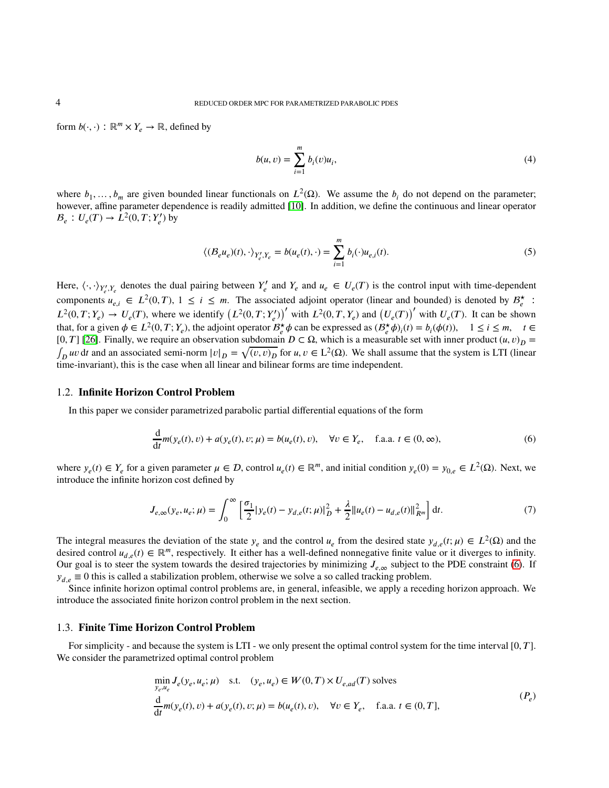form  $b(\cdot, \cdot)$ :  $\mathbb{R}^m \times Y_e \to \mathbb{R}$ , defined by

$$
b(u, v) = \sum_{i=1}^{m} b_i(v)u_i,
$$
 (4)

where  $b_1, \ldots, b_m$  are given bounded linear functionals on  $L^2(\Omega)$ . We assume the  $b_i$  do not depend on the parameter; however, affine parameter dependence is readily admitted [\[10\]](#page-35-23). In addition, we define the continuous and linear operator  $B_e: U_e(T) \to L^2(0, T; Y'_e)$  by

$$
\langle (B_e u_e)(t), \cdot \rangle_{Y'_e, Y_e} = b(u_e(t), \cdot) = \sum_{i=1}^m b_i(\cdot) u_{e,i}(t).
$$
\n(5)

Here,  $\langle \cdot, \cdot \rangle_{Y'_e, Y_e}$  denotes the dual pairing between  $Y'_e$  and  $Y_e$  and  $u_e \in U_e(T)$  is the control input with time-dependent components  $u_{e,i} \in L^2(0,T)$ ,  $1 \leq i \leq m$ . The associated adjoint operator (linear and bounded) is denoted by  $B_e^*$ :  $L^2(0,T;Y_e) \to U_e(T)$ , where we identify  $(L^2(0,T;Y_e))'$  with  $L^2(0,T,Y_e)$  and  $(U_e(T))'$  with  $U_e(T)$ . It can be shown that, for a given  $\phi \in L^2(0, T; Y_e)$ , the adjoint operator  $B_e^{\star} \phi$  can be expressed as  $(B_e^{\star} \phi)_i(t) = b_i(\phi(t))$ ,  $1 \le i \le m$ ,  $t \in$ [0, T] [\[26\]](#page-35-20). Finally, we require an observation subdomain  $D \subset \Omega$ , which is a measurable set with inner product  $(u, v)_D =$  $\int_D uv \, dt$  and an associated semi-norm  $|v|_D = \sqrt{(v, v)_D}$  for  $u, v \in L^2(\Omega)$ . We shall assume that the system is LTI (linear time-invariant), this is the case when all linear and bilinear forms are time independent.

### 1.2. **Infinite Horizon Control Problem**

In this paper we consider parametrized parabolic partial differential equations of the form

<span id="page-3-0"></span>
$$
\frac{d}{dt}m(y_e(t), v) + a(y_e(t), v; \mu) = b(u_e(t), v), \quad \forall v \in Y_e, \quad \text{f.a.a. } t \in (0, \infty),
$$
\n(6)

where  $y_e(t) \in Y_e$  for a given parameter  $\mu \in \mathcal{D}$ , control  $u_e(t) \in \mathbb{R}^m$ , and initial condition  $y_e(0) = y_{0,e} \in L^2(\Omega)$ . Next, we introduce the infinite horizon cost defined by

<span id="page-3-2"></span>
$$
J_{e,\infty}(y_e, u_e; \mu) = \int_0^\infty \left[ \frac{\sigma_1}{2} |y_e(t) - y_{d,e}(t; \mu)|_D^2 + \frac{\lambda}{2} ||u_e(t) - u_{d,e}(t)||_{R^m}^2 \right] dt.
$$
 (7)

The integral measures the deviation of the state  $y_e$  and the control  $u_e$  from the desired state  $y_{d,e}(t;\mu) \in L^2(\Omega)$  and the desired control  $u_{d,e}(t) \in \mathbb{R}^m$ , respectively. It either has a well-defined nonnegative finite value or it diverges to infinity. Our goal is to steer the system towards the desired trajectories by minimizing  $J_{e,\infty}$  subject to the PDE constraint [\(6\)](#page-3-0). If  $y_{d,e} \equiv 0$  this is called a stabilization problem, otherwise we solve a so called tracking problem.

Since infinite horizon optimal control problems are, in general, infeasible, we apply a receding horizon approach. We introduce the associated finite horizon control problem in the next section.

### 1.3. **Finite Time Horizon Control Problem**

For simplicity - and because the system is LTI - we only present the optimal control system for the time interval [0, T]. We consider the parametrized optimal control problem

<span id="page-3-1"></span>
$$
\min_{y_e, u_e} J_e(y_e, u_e; \mu) \quad \text{s.t.} \quad (y_e, u_e) \in W(0, T) \times U_{e, ad}(T) \text{ solves}
$$
\n
$$
\frac{d}{dt} m(y_e(t), v) + a(y_e(t), v; \mu) = b(u_e(t), v), \quad \forall v \in Y_e, \quad \text{f.a.a. } t \in (0, T],
$$
\n
$$
(P_e)
$$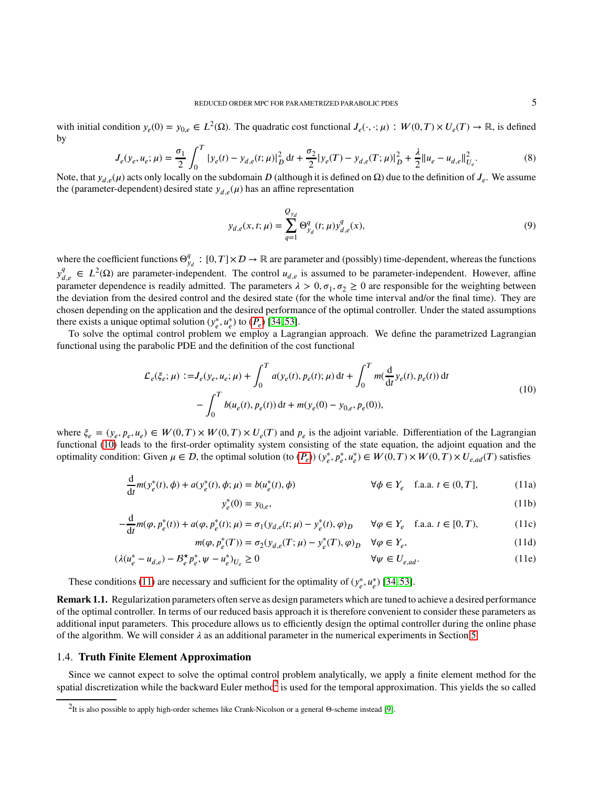with initial condition  $y_e(0) = y_{0,e} \in L^2(\Omega)$ . The quadratic cost functional  $J_e(\cdot, \cdot; \mu) : W(0,T) \times U_e(T) \to \mathbb{R}$ , is defined by

$$
J_e(y_e, u_e; \mu) = \frac{\sigma_1}{2} \int_0^T |y_e(t) - y_{d,e}(t; \mu)|_D^2 dt + \frac{\sigma_2}{2} |y_e(T) - y_{d,e}(T; \mu)|_D^2 + \frac{\lambda}{2} ||u_e - u_{d,e}||_{U_e}^2.
$$
 (8)

Note, that  $y_{d,e}(\mu)$  acts only locally on the subdomain *D* (although it is defined on Ω) due to the definition of  $J_e$ . We assume the (parameter-dependent) desired state  $y_{d,e}(\mu)$  has an affine representation

<span id="page-4-3"></span>
$$
y_{d,e}(x,t;\mu) = \sum_{q=1}^{Q_{y_d}} \Theta_{y_d}^q(t;\mu) y_{d,e}^q(x), \tag{9}
$$

where the coefficient functions  $\Theta_{y_d}^q$ :  $[0,T] \times \mathcal{D} \to \mathbb{R}$  are parameter and (possibly) time-dependent, whereas the functions  $y_{d,e}^q \in L^2(\Omega)$  are parameter-independent. The control  $u_{d,e}$  is assumed to be parameter-independent. However, affine parameter dependence is readily admitted. The parameters  $\lambda > 0$ ,  $\sigma_1$ ,  $\sigma_2 \ge 0$  are responsible for the weighting between the deviation from the desired control and the desired state (for the whole time interval and/or the final time). They are chosen depending on the application and the desired performance of the optimal controller. Under the stated assumptions there exists a unique optimal solution  $(y_e^*, u_e^*)$  to  $(P_e)$  [\[34,](#page-36-19) [53\]](#page-36-20).

To solve the optimal control problem we employ a Lagrangian approach. We define the parametrized Lagrangian functional using the parabolic PDE and the definition of the cost functional

$$
\mathcal{L}_{e}(\xi_{e};\mu) := J_{e}(y_{e},u_{e};\mu) + \int_{0}^{T} a(y_{e}(t),p_{e}(t);\mu) dt + \int_{0}^{T} m(\frac{d}{dt}y_{e}(t),p_{e}(t)) dt - \int_{0}^{T} b(u_{e}(t),p_{e}(t)) dt + m(y_{e}(0) - y_{0,e},p_{e}(0)),
$$
\n(10)

<span id="page-4-0"></span>where  $\xi_e = (y_e, p_e, u_e) \in W(0, T) \times W(0, T) \times U_e(T)$  and  $p_e$  is the adjoint variable. Differentiation of the Lagrangian functional [\(10\)](#page-4-0) leads to the first-order optimality system consisting of the state equation, the adjoint equation and the optimality condition: Given  $\mu \in \mathcal{D}$ , the optimal solution (to  $(P_e)$ )  $(y_e^*, p_e^*, u_e^*) \in W(0,T) \times W(0,T) \times U_{e,ad}(T)$  satisfies

$$
\frac{d}{dt}m(y_{e}^{*}(t),\phi) + a(y_{e}^{*}(t),\phi;\mu) = b(u_{e}^{*}(t),\phi)
$$
\n
$$
\forall \phi \in Y_{e} \quad \text{f.a.a. } t \in (0,T],
$$
\n(11a)\n
$$
y_{e}^{*}(0) = y_{0,e},
$$
\n(11b)

<span id="page-4-1"></span>
$$
(0) = y_{0,e}, \t\t(11b)
$$

$$
-\frac{d}{dt}m(\varphi, p_e^*(t)) + a(\varphi, p_e^*(t); \mu) = \sigma_1(y_{d,e}(t; \mu) - y_e^*(t), \varphi)_D \qquad \forall \varphi \in Y_e \quad \text{f.a.a. } t \in [0, T), \tag{11c}
$$

$$
m(\varphi, p_e^*(T)) = \sigma_2(y_{d,e}(T; \mu) - y_e^*(T), \varphi)_D \quad \forall \varphi \in Y_e,
$$
\n(11d)

$$
(\lambda(u_e^* - u_{d,e}) - B_e^* p_e^*, \psi - u_e^*)_{U_e} \ge 0
$$
\n
$$
\forall \psi \in U_{e,ad}.
$$
\n(11e)

These conditions [\(11\)](#page-4-1) are necessary and sufficient for the optimality of  $(y_e^*, u_e^*)$  [\[34,](#page-36-19) [53\]](#page-36-20).

**Remark 1.1.** Regularization parameters often serve as design parameters which are tuned to achieve a desired performance of the optimal controller. In terms of our reduced basis approach it is therefore convenient to consider these parameters as additional input parameters. This procedure allows us to efficiently design the optimal controller during the online phase of the algorithm. We will consider  $\lambda$  as an additional parameter in the numerical experiments in Section [5.](#page-20-0)

## 1.4. **Truth Finite Element Approximation**

Since we cannot expect to solve the optimal control problem analytically, we apply a finite element method for the spatial discretization while the backward Euler method<sup>[2](#page-4-2)</sup> is used for the temporal approximation. This yields the so called

<span id="page-4-2"></span><sup>2</sup> It is also possible to apply high-order schemes like Crank-Nicolson or a general Θ-scheme instead [\[9\]](#page-35-24).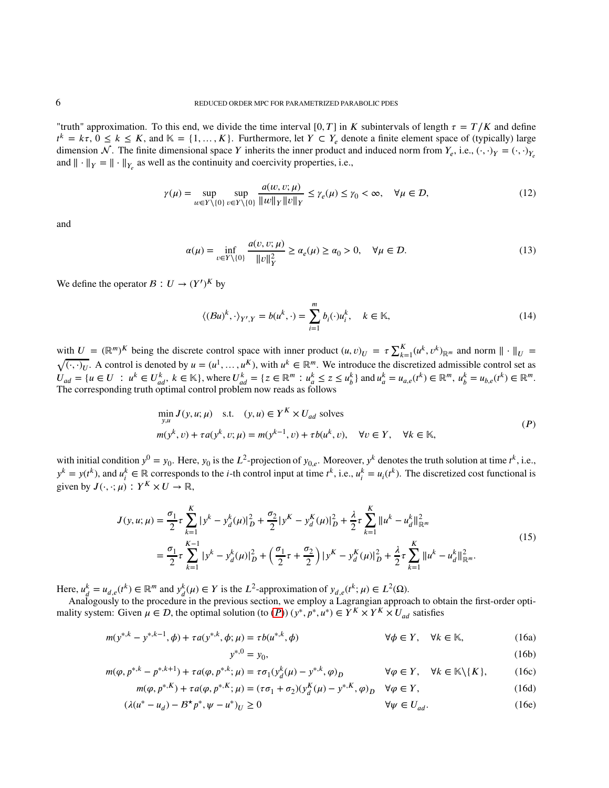"truth" approximation. To this end, we divide the time interval  $[0, T]$  in *K* subintervals of length  $\tau = T/K$  and define  $t^k = k\tau$ ,  $0 \le k \le K$ , and  $\mathbb{K} = \{1, \ldots, K\}$ . Furthermore, let  $Y \subset Y_e$  denote a finite element space of (typically) large dimension  $\mathcal{N}$ . The finite dimensional space *Y* inherits the inner product and induced norm from  $Y_e$ , i.e.,  $(\cdot, \cdot)_Y = (\cdot, \cdot)_Y_e$ and  $\|\cdot\|_Y = \|\cdot\|_{Y_e}$  as well as the continuity and coercivity properties, i.e.,

$$
\gamma(\mu) = \sup_{w \in Y \setminus \{0\}} \sup_{v \in Y \setminus \{0\}} \frac{a(w, v; \mu)}{\|w\|_{Y} \|v\|_{Y}} \le \gamma_e(\mu) \le \gamma_0 < \infty, \quad \forall \mu \in \mathcal{D}, \tag{12}
$$

and

$$
\alpha(\mu) = \inf_{\nu \in Y \setminus \{0\}} \frac{a(\nu, \nu; \mu)}{\|\nu\|_Y^2} \ge \alpha_e(\mu) \ge \alpha_0 > 0, \quad \forall \mu \in \mathcal{D}.
$$
\n(13)

We define the operator  $B: U \to (Y')^K$  by

<span id="page-5-3"></span><span id="page-5-0"></span>
$$
\langle (\mathcal{B}u)^k, \cdot \rangle_{Y',Y} = b(u^k, \cdot) = \sum_{i=1}^m b_i(\cdot)u_i^k, \quad k \in \mathbb{K},
$$
\n(14)

with  $U = (\mathbb{R}^m)^K$  being the discrete control space with inner product  $(u, v)_U = \tau \sum_{k=1}^K (u^k, v^k)_{\mathbb{R}^m}$  and norm  $\| \cdot \|_U = \sqrt{(\cdot \cdot)_U}$ . A control is denoted by  $u = (u^1, u^K)$  with  $u^k \in \mathbb{R}^m$ . We introduce the dis  $\overline{(\cdot, \cdot)_U}$ . A control is denoted by  $u = (u^1, \dots, u^K)$ , with  $u^k \in \mathbb{R}^m$ . We introduce the discretized admissible control set as  $U_{ad} = \{ u \in U : u^k \in U_{ad}^k, k \in \mathbb{K} \}$ , where  $U_{ad}^k = \{ z \in \mathbb{R}^m : u_a^k \le z \le u_b^k \}$  and  $u_a^k = u_{a,e}(t^k) \in \mathbb{R}^m$ ,  $u_b^k = u_{b,e}(t^k) \in \mathbb{R}^m$ . The corresponding truth optimal control problem now reads as follows

$$
\min_{y,u} J(y, u; \mu) \quad \text{s.t.} \quad (y, u) \in Y^K \times U_{ad} \text{ solves}
$$
\n
$$
m(y^k, v) + \tau a(y^k, v; \mu) = m(y^{k-1}, v) + \tau b(u^k, v), \quad \forall v \in Y, \quad \forall k \in \mathbb{K},
$$
\n
$$
(P)
$$

with initial condition  $y^0 = y_0$ . Here,  $y_0$  is the  $L^2$ -projection of  $y_{0,e}$ . Moreover,  $y^k$  denotes the truth solution at time  $t^k$ , i.e.,  $y^k = y(t^k)$ , and  $u_i^k \in \mathbb{R}$  corresponds to the *i*-th control input at time  $t^k$ , i.e.,  $u_i^k = u_i(t^k)$ . The discretized cost functional is given by  $J(\cdot, \cdot; \mu) : Y^K \times U \to \mathbb{R}$ ,

$$
J(y, u; \mu) = \frac{\sigma_1}{2} \tau \sum_{k=1}^{K} |y^k - y_d^k(\mu)|_D^2 + \frac{\sigma_2}{2} |y^K - y_d^K(\mu)|_D^2 + \frac{\lambda}{2} \tau \sum_{k=1}^{K} \|u^k - u_d^k\|_{\mathbb{R}^m}^2
$$
  

$$
= \frac{\sigma_1}{2} \tau \sum_{k=1}^{K-1} |y^k - y_d^k(\mu)|_D^2 + \left(\frac{\sigma_1}{2} \tau + \frac{\sigma_2}{2}\right) |y^K - y_d^K(\mu)|_D^2 + \frac{\lambda}{2} \tau \sum_{k=1}^{K} \|u^k - u_d^k\|_{\mathbb{R}^m}^2.
$$
 (15)

Here,  $u_d^k = u_{d,e}(t^k) \in \mathbb{R}^m$  and  $y_d^k(\mu) \in Y$  is the  $L^2$ -approximation of  $y_{d,e}(t^k; \mu) \in L^2(\Omega)$ .

 $\mathcal{L}$ ,  $\mathcal{L}_d = \mathcal{L}_d$ ,  $\mathcal{L}_d = \mathcal{L}_d$ ,  $\mathcal{L}_d$ ,  $\mathcal{L}_d$ ,  $\mathcal{L}_d$ ,  $\mathcal{L}_d$ ,  $\mathcal{L}_d$ ,  $\mathcal{L}_d$ ,  $\mathcal{L}_d$ ,  $\mathcal{L}_d$ ,  $\mathcal{L}_d$ ,  $\mathcal{L}_d$ ,  $\mathcal{L}_d$ ,  $\mathcal{L}_d$ ,  $\mathcal{L}_d$ ,  $\mathcal{L}_d$ ,  $\mathcal{L}_d$ ,  $\mathcal{L}_d$ mality system: Given  $\mu \in \mathcal{D}$ , the optimal solution (to  $(P)$ )  $(y^*, p^*, u^*) \in Y^K \times Y^K \times U_{ad}$  satisfies

$$
m(y^{*,k} - y^{*,k-1}, \phi) + \tau a(y^{*,k}, \phi; \mu) = \tau b(u^{*,k}, \phi)
$$
  
\n
$$
\forall \phi \in Y, \quad \forall k \in \mathbb{K},
$$
\n(16a)

<span id="page-5-4"></span><span id="page-5-2"></span><span id="page-5-1"></span>
$$
y^{*,0} = y_0,\tag{16b}
$$

$$
m(\varphi, p^{*,k} - p^{*,k+1}) + \tau a(\varphi, p^{*,k}; \mu) = \tau \sigma_1(y_d^k(\mu) - y^{*,k}, \varphi)_D \qquad \forall \varphi \in Y, \quad \forall k \in \mathbb{K} \setminus \{K\},\tag{16c}
$$

$$
m(\varphi, p^{*,K}) + \tau a(\varphi, p^{*,K}; \mu) = (\tau \sigma_1 + \sigma_2)(y_d^K(\mu) - y^{*,K}, \varphi)_D \quad \forall \varphi \in Y,
$$
\n(16d)

$$
(\lambda(u^* - u_d) - B^{\star} p^*, \psi - u^*)_U \ge 0
$$
  $\forall \psi \in U_{ad}.$  (16e)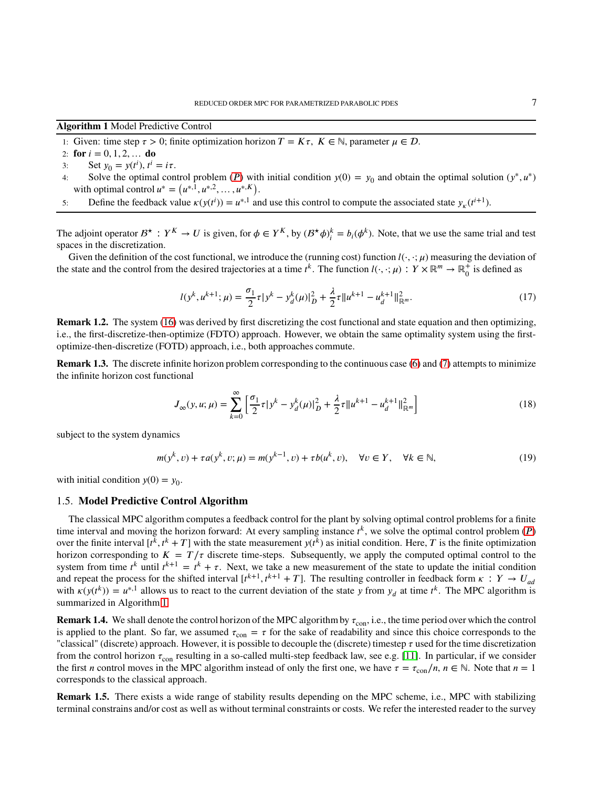<span id="page-6-0"></span>**Algorithm 1** Model Predictive Control

- 1: Given: time step  $\tau > 0$ ; finite optimization horizon  $T = K\tau$ ,  $K \in \mathbb{N}$ , parameter  $\mu \in \mathcal{D}$ .
- 2: **for**  $i = 0, 1, 2, ...$  **do**
- 3: Set  $y_0 = y(t^i)$ ,  $t^i = i\tau$ .
- 4: Solve the optimal control problem (*P*) with initial condition  $y(0) = y_0$  and obtain the optimal solution  $(y^*, u^*)$ with optimal control  $u^* = (u^{*,1}, u^{*,2}, \dots, u^{*,K}).$
- 5: Define the feedback value  $\kappa(y(t^i)) = u^{*,1}$  and use this control to compute the associated state  $y_k(t^{i+1})$ .

The adjoint operator  $B^* : Y^K \to U$  is given, for  $\phi \in Y^K$ , by  $(B^* \phi)^k_i = b_i(\phi^k)$ . Note, that we use the same trial and test spaces in the discretization.

Given the definition of the cost functional, we introduce the (running cost) function  $l(\cdot, \cdot; \mu)$  measuring the deviation of the state and the control from the desired trajectories at a time  $t^k$ . The function  $l(\cdot, \cdot; \mu): Y \times \mathbb{R}^m \to \mathbb{R}^+$  $_0^+$  is defined as

$$
l(y^k, u^{k+1}; \mu) = \frac{\sigma_1}{2} \tau |y^k - y_d^k(\mu)|_D^2 + \frac{\lambda}{2} \tau \|u^{k+1} - u_d^{k+1}\|_{\mathbb{R}^m}^2.
$$
 (17)

**Remark 1.2.** The system [\(16\)](#page-5-1) was derived by first discretizing the cost functional and state equation and then optimizing, i.e., the first-discretize-then-optimize (FDTO) approach. However, we obtain the same optimality system using the firstoptimize-then-discretize (FOTD) approach, i.e., both approaches commute.

**Remark 1.3.** The discrete infinite horizon problem corresponding to the continuous case [\(6\)](#page-3-0) and [\(7\)](#page-3-2) attempts to minimize the infinite horizon cost functional

<span id="page-6-1"></span>
$$
J_{\infty}(y, u; \mu) = \sum_{k=0}^{\infty} \left[ \frac{\sigma_1}{2} \tau |y^k - y_d^k(\mu)|_D^2 + \frac{\lambda}{2} \tau \|u^{k+1} - u_d^{k+1}\|_{\mathbb{R}^m}^2 \right]
$$
(18)

subject to the system dynamics

$$
m(y^{k}, v) + \tau a(y^{k}, v; \mu) = m(y^{k-1}, v) + \tau b(u^{k}, v), \quad \forall v \in Y, \quad \forall k \in \mathbb{N},
$$
 (19)

<span id="page-6-2"></span>with initial condition  $y(0) = y_0$ .

### 1.5. **Model Predictive Control Algorithm**

The classical MPC algorithm computes a feedback control for the plant by solving optimal control problems for a finite time interval and moving the horizon forward: At every sampling instance  $t^k$ , we solve the optimal control problem  $(P)$ over the finite interval  $[t^k, t^k + T]$  with the state measurement  $y(t^k)$  as initial condition. Here, T is the finite optimization horizon corresponding to  $K = T/\tau$  discrete time-steps. Subsequently, we apply the computed optimal control to the system from time  $t^k$  until  $t^{k+1} = t^k + \tau$ . Next, we take a new measurement of the state to update the initial condition and repeat the process for the shifted interval  $[t^{k+1}, t^{k+1} + T]$ . The resulting controller in feedback form  $\kappa : Y \to U_{ad}$ with  $\kappa(y(t^k)) = u^{*,1}$  allows us to react to the current deviation of the state *y* from  $y_d$  at time  $t^k$ . The MPC algorithm is summarized in Algorithm [1.](#page-6-0)

<span id="page-6-3"></span>**Remark 1.4.** We shall denote the control horizon of the MPC algorithm by  $\tau_{con}$ , i.e., the time period over which the control is applied to the plant. So far, we assumed  $\tau_{con} = \tau$  for the sake of readability and since this choice corresponds to the "classical" (discrete) approach. However, it is possible to decouple the (discrete) timestep  $\tau$  used for the time discretization from the control horizon  $\tau_{con}$  resulting in a so-called multi-step feedback law, see e.g. [\[11\]](#page-35-13). In particular, if we consider the first *n* control moves in the MPC algorithm instead of only the first one, we have  $\tau = \tau_{\text{con}}/n$ ,  $n \in \mathbb{N}$ . Note that  $n = 1$ corresponds to the classical approach.

**Remark 1.5.** There exists a wide range of stability results depending on the MPC scheme, i.e., MPC with stabilizing terminal constrains and/or cost as well as without terminal constraints or costs. We refer the interested reader to the survey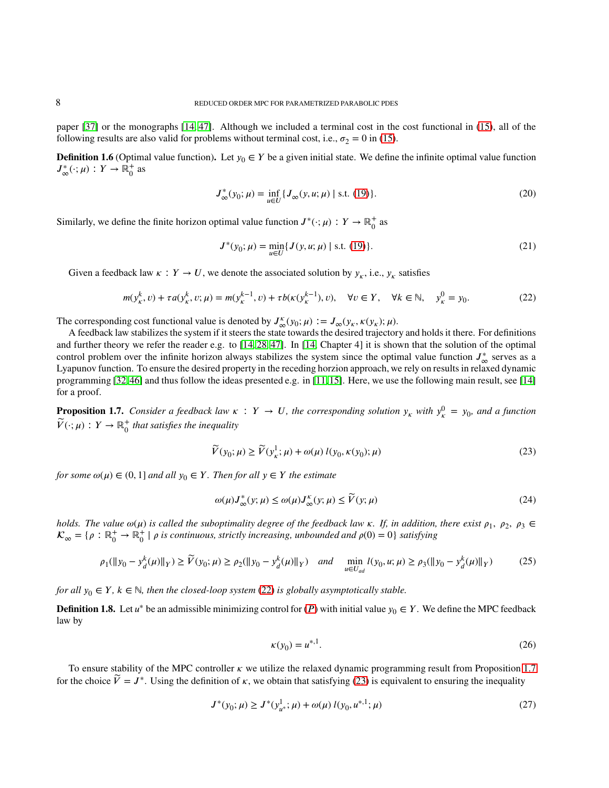paper [\[37\]](#page-36-1) or the monographs [\[14,](#page-35-0) [47\]](#page-36-0). Although we included a terminal cost in the cost functional in [\(15\)](#page-5-2), all of the following results are also valid for problems without terminal cost, i.e.,  $\sigma_2 = 0$  in [\(15\)](#page-5-2).

**Definition 1.6** (Optimal value function). Let  $y_0 \in Y$  be a given initial state. We define the infinite optimal value function  $J^*_{\infty}(\cdot;\mu) : Y \to \overline{\mathbb{R}}_0^+$  $_0^+$  as

$$
J_{\infty}^{*}(y_{0};\mu) = \inf_{u \in U} \{ J_{\infty}(y,u;\mu) \mid \text{s.t. (19)} \}.
$$
 (20)

Similarly, we define the finite horizon optimal value function  $J^*(\cdot; \mu) : Y \to \mathbb{R}^+$  $_0^+$  as

<span id="page-7-0"></span>
$$
J^*(y_0; \mu) = \min_{u \in U} \{ J(y, u; \mu) \mid \text{s.t. (19)} \}. \tag{21}
$$

Given a feedback law  $\kappa : Y \to U$ , we denote the associated solution by  $y_{\kappa}$ , i.e.,  $y_{\kappa}$  satisfies

$$
m(y_{\kappa}^k, v) + \tau a(y_{\kappa}^k, v; \mu) = m(y_{\kappa}^{k-1}, v) + \tau b(\kappa(y_{\kappa}^{k-1}), v), \quad \forall v \in Y, \quad \forall k \in \mathbb{N}, \quad y_{\kappa}^0 = y_0.
$$
 (22)

The corresponding cost functional value is denoted by  $J^{\kappa}_{\infty}(y_0; \mu) := J_{\infty}(y_{\kappa}, \kappa(y_{\kappa}); \mu)$ .

A feedback law stabilizes the system if it steers the state towards the desired trajectory and holds it there. For definitions and further theory we refer the reader e.g. to [\[14,](#page-35-0) [28,](#page-35-25) [47\]](#page-36-0). In [\[14,](#page-35-0) Chapter 4] it is shown that the solution of the optimal control problem over the infinite horizon always stabilizes the system since the optimal value function  $J^*_{\infty}$  serves as a Lyapunov function. To ensure the desired property in the receding horzion approach, we rely on results in relaxed dynamic programming [\[32,](#page-35-16)[46\]](#page-36-14) and thus follow the ideas presented e.g. in [\[11,](#page-35-13)[15\]](#page-35-15). Here, we use the following main result, see [\[14\]](#page-35-0) for a proof.

<span id="page-7-1"></span>**Proposition 1.7.** *Consider a feedback law*  $\kappa : Y \to U$ , the corresponding solution  $y_{\kappa}$  with  $y_{\kappa}^0 = y_0$ , and a function  $\widetilde{V}(\cdot;\mu): Y \to \mathbb{R}_0^+$ 0 *that satisfies the inequality*

<span id="page-7-2"></span>
$$
\widetilde{V}(y_0; \mu) \ge \widetilde{V}(y_\kappa^1; \mu) + \omega(\mu) l(y_0, \kappa(y_0); \mu)
$$
\n(23)

*for some*  $\omega(\mu) \in (0, 1]$  *and all*  $y_0 \in Y$ *. Then for all*  $y \in Y$  *the estimate* 

$$
\omega(\mu)J_{\infty}^*(y;\mu) \le \omega(\mu)J_{\infty}^{\kappa}(y;\mu) \le \widetilde{V}(y;\mu)
$$
\n(24)

*holds. The value*  $\omega(\mu)$  *is called the suboptimality degree of the feedback law*  $\kappa$ *. If, in addition, there exist*  $\rho_1$ ,  $\rho_2$ ,  $\rho_3$   $\in$  $\mathcal{K}_{\infty} = \{ \rho : \mathbb{R}^+_0 \to \mathbb{R}^+_0 \}$ 0 <sup>|</sup> *<sup>𝜌</sup> is continuous, strictly increasing, unbounded and <sup>𝜌</sup>*(0) = 0} *satisfying*

$$
\rho_1(\|y_0 - y_d^k(\mu)\|_Y) \ge \widetilde{V}(y_0; \mu) \ge \rho_2(\|y_0 - y_d^k(\mu)\|_Y) \quad \text{and} \quad \min_{u \in U_{ad}} l(y_0, u; \mu) \ge \rho_3(\|y_0 - y_d^k(\mu)\|_Y) \tag{25}
$$

*for all*  $y_0 \in Y$ ,  $k \in \mathbb{N}$ , then the closed-loop system [\(22\)](#page-7-0) is globally asymptotically stable.

**Definition 1.8.** Let  $u^*$  be an admissible minimizing control for  $(P)$  with initial value  $y_0 \in Y$ . We define the MPC feedback law by

<span id="page-7-4"></span><span id="page-7-3"></span>
$$
\kappa(y_0) = u^{*,1}.\tag{26}
$$

To ensure stability of the MPC controller  $\kappa$  we utilize the relaxed dynamic programming result from Proposition [1.7](#page-7-1) for the choice  $\widetilde{V} = J^*$ . Using the definition of *k*, we obtain that satisfying [\(23\)](#page-7-2) is equivalent to ensuring the inequality

$$
J^*(y_0; \mu) \ge J^*(y_{u^*}^1; \mu) + \omega(\mu) l(y_0, u^{*,1}; \mu)
$$
\n(27)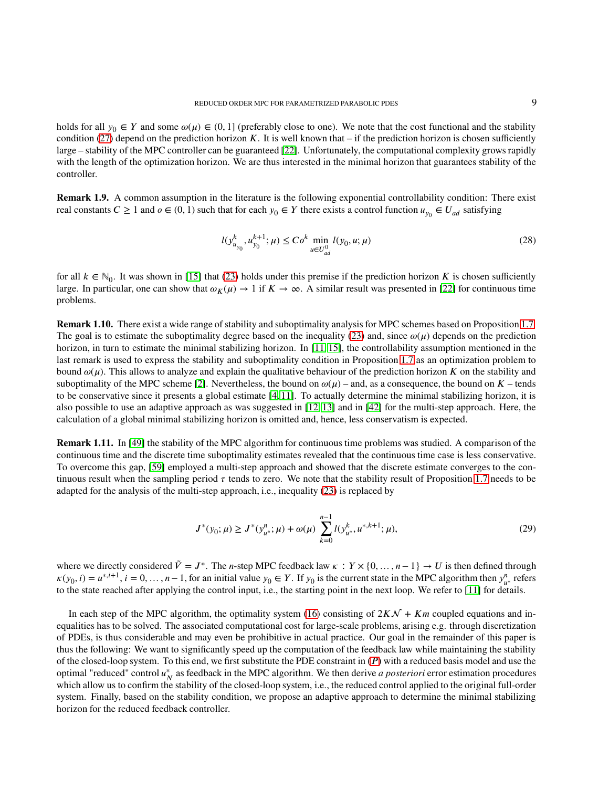holds for all  $y_0 \in Y$  and some  $\omega(\mu) \in (0,1]$  (preferably close to one). We note that the cost functional and the stability condition [\(27\)](#page-7-3) depend on the prediction horizon  $K$ . It is well known that – if the prediction horizon is chosen sufficiently large – stability of the MPC controller can be guaranteed [\[22\]](#page-35-12). Unfortunately, the computational complexity grows rapidly with the length of the optimization horizon. We are thus interested in the minimal horizon that guarantees stability of the controller.

**Remark 1.9.** A common assumption in the literature is the following exponential controllability condition: There exist real constants  $C \ge 1$  and  $o \in (0, 1)$  such that for each  $y_0 \in Y$  there exists a control function  $u_{y_0} \in U_{ad}$  satisfying

$$
l(y_{u_{y_0}}^k, u_{y_0}^{k+1}; \mu) \le Co^k \min_{u \in U_{ad}^0} l(y_0, u; \mu)
$$
\n(28)

for all  $k \in \mathbb{N}_0$ . It was shown in [\[15\]](#page-35-15) that [\(23\)](#page-7-2) holds under this premise if the prediction horizon *K* is chosen sufficiently large. In particular, one can show that  $\omega_K(\mu) \to 1$  if  $K \to \infty$ . A similar result was presented in [\[22\]](#page-35-12) for continuous time problems.

**Remark 1.10.** There exist a wide range of stability and suboptimality analysis for MPC schemes based on Proposition [1.7.](#page-7-1) The goal is to estimate the suboptimality degree based on the inequality [\(23\)](#page-7-2) and, since  $\omega(\mu)$  depends on the prediction horizon, in turn to estimate the minimal stabilizing horizon. In [\[11,](#page-35-13) [15\]](#page-35-15), the controllability assumption mentioned in the last remark is used to express the stability and suboptimality condition in Proposition [1.7](#page-7-1) as an optimization problem to bound  $\omega(\mu)$ . This allows to analyze and explain the qualitative behaviour of the prediction horizon *K* on the stability and suboptimality of the MPC scheme [\[2\]](#page-35-17). Nevertheless, the bound on  $\omega(\mu)$  – and, as a consequence, the bound on  $K$  – tends to be conservative since it presents a global estimate [\[4,](#page-35-18) [11\]](#page-35-13). To actually determine the minimal stabilizing horizon, it is also possible to use an adaptive approach as was suggested in [\[12,](#page-35-14) [13\]](#page-35-26) and in [\[42\]](#page-36-21) for the multi-step approach. Here, the calculation of a global minimal stabilizing horizon is omitted and, hence, less conservatism is expected.

**Remark 1.11.** In [\[49\]](#page-36-22) the stability of the MPC algorithm for continuous time problems was studied. A comparison of the continuous time and the discrete time suboptimality estimates revealed that the continuous time case is less conservative. To overcome this gap, [\[59\]](#page-36-23) employed a multi-step approach and showed that the discrete estimate converges to the continuous result when the sampling period  $\tau$  tends to zero. We note that the stability result of Proposition [1.7](#page-7-1) needs to be adapted for the analysis of the multi-step approach, i.e., inequality [\(23\)](#page-7-2) is replaced by

<span id="page-8-0"></span>
$$
J^*(y_0; \mu) \ge J^*(y_{u^*}^n; \mu) + \omega(\mu) \sum_{k=0}^{n-1} l(y_{u^*}^k, u^{*,k+1}; \mu),
$$
\n(29)

where we directly considered  $\tilde{V} = J^*$ . The *n*-step MPC feedback law  $\kappa : Y \times \{0, \ldots, n-1\} \to U$  is then defined through  $\kappa(y_0, i) = u^{*,i+1}, i = 0, ..., n-1$ , for an initial value  $y_0 \in Y$ . If  $y_0$  is the current state in the MPC algorithm then  $y_{u^*}^n$  refers to the state reached after applying the control input, i.e., the starting point in the next loop. We refer to [\[11\]](#page-35-13) for details.

In each step of the MPC algorithm, the optimality system [\(16\)](#page-5-1) consisting of  $2K\mathcal{N} + Km$  coupled equations and inequalities has to be solved. The associated computational cost for large-scale problems, arising e.g. through discretization of PDEs, is thus considerable and may even be prohibitive in actual practice. Our goal in the remainder of this paper is thus the following: We want to significantly speed up the computation of the feedback law while maintaining the stability of the closed-loop system. To this end, we first substitute the PDE constraint in (*[𝑃](#page-5-0)*) with a reduced basis model and use the optimal "reduced" control  $u_N^*$  as feedback in the MPC algorithm. We then derive *a posteriori* error estimation procedures which allow us to confirm the stability of the closed-loop system, i.e., the reduced control applied to the original full-order system. Finally, based on the stability condition, we propose an adaptive approach to determine the minimal stabilizing horizon for the reduced feedback controller.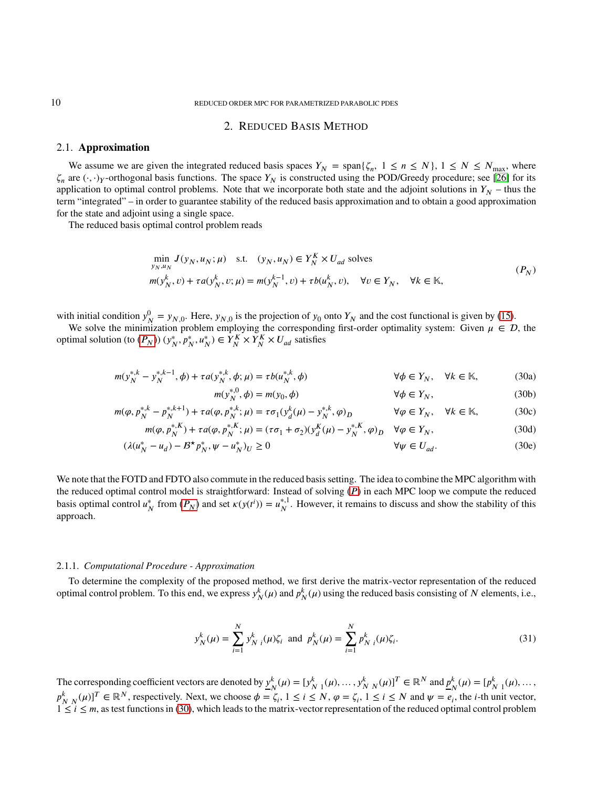## <span id="page-9-1"></span>2. REDUCED BASIS METHOD

## <span id="page-9-0"></span>2.1. **Approximation**

We assume we are given the integrated reduced basis spaces  $Y_N = \text{span}\{\zeta_n, 1 \leq n \leq N\}$ ,  $1 \leq N \leq N_{\text{max}}$ , where  $\zeta_n$  are  $(\cdot, \cdot)_Y$ -orthogonal basis functions. The space  $Y_N$  is constructed using the POD/Greedy procedure; see [\[26\]](#page-35-20) for its application to optimal control problems. Note that we incorporate both state and the adjoint solutions in  $Y_N$  – thus the term "integrated" – in order to guarantee stability of the reduced basis approximation and to obtain a good approximation for the state and adjoint using a single space.

The reduced basis optimal control problem reads

$$
\min_{y_N, u_N} J(y_N, u_N; \mu) \quad \text{s.t.} \quad (y_N, u_N) \in Y_N^K \times U_{ad} \text{ solves}
$$
\n
$$
m(y_N^k, v) + \tau a(y_N^k, v; \mu) = m(y_N^{k-1}, v) + \tau b(u_N^k, v), \quad \forall v \in Y_N, \quad \forall k \in \mathbb{K},
$$
\n
$$
(P_N)
$$

with initial condition  $y_N^0 = y_{N,0}$ . Here,  $y_{N,0}$  is the projection of  $y_0$  onto  $Y_N$  and the cost functional is given by [\(15\)](#page-5-2).

We solve the minimization problem employing the corresponding first-order optimality system: Given  $\mu \in \mathcal{D}$ , the optimal solution (to  $(P_N)$ )  $(y_N^*, p_N^*, u_N^*) \in Y_N^K \times Y_N^K \times U_{ad}$  satisfies

$$
m(y_N^{*,k} - y_N^{*,k-1}, \phi) + \tau a(y_N^{*,k}, \phi; \mu) = \tau b(u_N^{*,k}, \phi) \qquad \forall \phi \in Y_N, \quad \forall k \in \mathbb{K},
$$
 (30a)

<span id="page-9-4"></span><span id="page-9-2"></span>
$$
m(y_N^{*,0}, \phi) = m(y_0, \phi) \qquad \forall \phi \in Y_N,\tag{30b}
$$

$$
m(\varphi, p_N^{*,k} - p_N^{*,k+1}) + \tau a(\varphi, p_N^{*,k}; \mu) = \tau \sigma_1(y_d^k(\mu) - y_N^{*,k}, \varphi)_D \qquad \forall \varphi \in Y_N, \quad \forall k \in \mathbb{K},
$$
 (30c)

$$
m(\varphi, p_N^{*,K}) + \tau a(\varphi, p_N^{*,K}; \mu) = (\tau \sigma_1 + \sigma_2)(y_d^K(\mu) - y_N^{*,K}, \varphi)_D \quad \forall \varphi \in Y_N,
$$
\n(30d)

$$
(\lambda(u_N^* - u_d) - B^* p_N^*, \psi - u_N^*)_U \ge 0
$$
\n
$$
\forall \psi \in U_{ad}.
$$
\n(30e)

We note that the FOTD and FDTO also commute in the reduced basis setting. The idea to combine the MPC algorithm with the reduced optimal control model is straightforward: Instead of solving (P) in each MPC loop we compute the reduced basis optimal control  $u_N^*$  from  $(P_N)$  and set  $\kappa(y(t^i)) = u_N^{*,1}$  $_N^{*,1}$ . However, it remains to discuss and show the stability of this approach.

#### <span id="page-9-3"></span>2.1.1. *Computational Procedure - Approximation*

To determine the complexity of the proposed method, we first derive the matrix-vector representation of the reduced optimal control problem. To this end, we express  $y_N^k(\mu)$  and  $p_N^k(\mu)$  using the reduced basis consisting of *N* elements, i.e.,

$$
y_N^k(\mu) = \sum_{i=1}^N y_{N-i}^k(\mu)\zeta_i \text{ and } p_N^k(\mu) = \sum_{i=1}^N p_{N-i}^k(\mu)\zeta_i.
$$
 (31)

The corresponding coefficient vectors are denoted by  $y^k$ <sub>*n*</sub>  $\mathbf{y}_{N}^{k}(\mu) = [y_{N-1}^{k}(\mu), \dots, y_{N}^{k}(\mu)]^{T} \in \mathbb{R}^{N}$  and  $\underline{p}_{N}^{k}$  $N^k(\mu) = [p^k_{N-1}(\mu), ...,$  $p_{N}^{k}(\mu)$ <sup>T</sup>  $\in \mathbb{R}^{N}$ , respectively. Next, we choose  $\phi = \zeta_{i}$ ,  $1 \le i \le N$ ,  $\phi = \zeta_{i}$ ,  $1 \le i \le N$  and  $\psi = e_{i}$ , the *i*-th unit vector,  $1 \le i \le m$ , as test functions in [\(30\)](#page-9-2), which leads to the matrix-vector representation of the reduced optimal control problem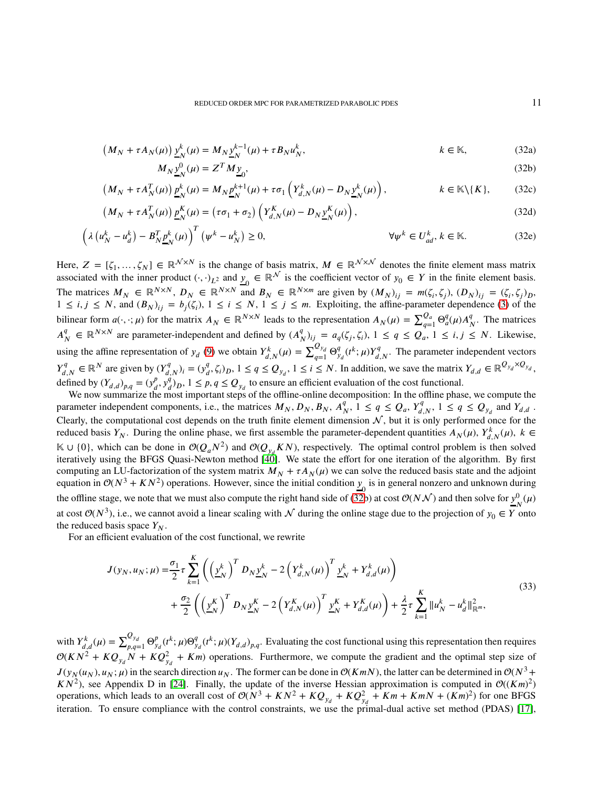<span id="page-10-0"></span>
$$
(M_N + \tau A_N(\mu))\underline{y}_N^k(\mu) = M_N \underline{y}_N^{k-1}(\mu) + \tau B_N u_N^k, \qquad k \in \mathbb{K},
$$
\n(32a)

$$
M_N \underline{y}_N^0(\mu) = Z^T M \underline{y}_0,\tag{32b}
$$

$$
(M_N + \tau A_N^T(\mu)) \underline{p}_N^k(\mu) = M_N \underline{p}_N^{k+1}(\mu) + \tau \sigma_1 \left( Y_{d,N}^k(\mu) - D_N \underline{y}_N^k(\mu) \right), \qquad k \in \mathbb{K} \setminus \{K\}, \qquad (32c)
$$

$$
\left(M_N + \tau A_N^T(\mu)\right) \underline{p}_N^K(\mu) = \left(\tau \sigma_1 + \sigma_2\right) \left(Y_{d,N}^K(\mu) - D_N \underline{y}_N^K(\mu)\right),\tag{32d}
$$

$$
\left(\lambda \left(u_N^k - u_d^k\right) - B_N^T \underline{p}_N^k(\mu)\right)^T \left(\psi^k - u_N^k\right) \ge 0, \qquad \forall \psi^k \in U_{ad}^k, k \in \mathbb{K}.\tag{32e}
$$

Here,  $Z = [\zeta_1, \ldots, \zeta_N] \in \mathbb{R}^{\mathcal{N} \times N}$  is the change of basis matrix,  $M \in \mathbb{R}^{\mathcal{N} \times \mathcal{N}}$  denotes the finite element mass matrix associated with the inner product  $(\cdot, \cdot)_{L^2}$  and  $\underline{y}_0 \in \mathbb{R}^{\mathcal{N}}$  is the coefficient vector of  $y_0 \in Y$  in the finite element basis. The matrices  $M_N \in \mathbb{R}^{N \times N}$ ,  $D_N \in \mathbb{R}^{N \times N}$  and  $B_N \in \mathbb{R}^{N \times m}$  are given by  $(M_N)_{ij} = m(\zeta_i, \zeta_j)$ ,  $(D_N)_{ij} = (\zeta_i, \zeta_j)_{D}$ ,  $1 \le i, j \le N$ , and  $(B_N)_{ij} = b_j(\zeta_i), 1 \le i \le N, 1 \le j \le m$ . Exploiting, the affine-parameter dependence [\(3\)](#page-2-2) of the bilinear form  $a(\cdot, \cdot; \mu)$  for the matrix  $A_N \in \mathbb{R}^{N \times N}$  leads to the representation  $A_N(\mu) = \sum_{q=1}^{Q_a} \Theta_a^q(\mu) A_N^q$  $_N^q$ . The matrices  $A^q_{\mu}$  $\mathcal{L}_{N}^{q} \in \mathbb{R}^{N \times N}$  are parameter-independent and defined by  $(A_{N}^{q})$  $_{N}^{q}$ )<sub>*i*j</sub> =  $a_q(\zeta_j, \zeta_i)$ ,  $1 \le q \le Q_a$ ,  $1 \le i, j \le N$ . Likewise, using the affine representation of  $y_d$  [\(9\)](#page-4-3) we obtain  $Y_{d,N}^k(\mu) = \sum_{q=1}^{Q_{y_d}} \Theta_{y_d}^q(t^k; \mu) Y_{d,N}^q$ . The parameter independent vectors  $Y_{d,N}^q \in \mathbb{R}^N$  are given by  $(Y_{d,N}^q)_i = (y_{d}^q)_i$  $\mathcal{L}_{d}^{q}, \zeta_{i}$ ,  $j_{D}$ ,  $1 \leq q \leq Q_{y_{d}}$ ,  $1 \leq i \leq N$ . In addition, we save the matrix  $Y_{d,d} \in \mathbb{R}^{Q_{y_{d}} \times Q_{y_{d}}}$ , defined by  $(Y_{d,d})_{p,q} = (y_d^p)$  $_{d}^{p}, \overline{y}_{d}^{q}$  $^{q_j}$ ,  $j_j$ ,  $1 \leq p$ ,  $q \leq Q_{y_d}$  to ensure an efficient evaluation of the cost functional.

We now summarize the most important steps of the offline-online decomposition: In the offline phase, we compute the parameter independent components, i.e., the matrices  $M_N$ ,  $D_N$ ,  $B_N$ ,  $A_I^q$  $\frac{q}{N}$ ,  $1 \leq q \leq Q_a$ ,  $Y_{d,N}^q$ ,  $1 \leq q \leq Q_{y_d}$  and  $Y_{d,d}$ . Clearly, the computational cost depends on the truth finite element dimension  $N$ , but it is only performed once for the reduced basis  $Y_N$ . During the online phase, we first assemble the parameter-dependent quantities  $A_N(\mu)$ ,  $Y^k_{d,N}(\mu)$ ,  $k \in$  $\mathbb{K}$  ∪ {0}, which can be done in  $\mathcal{O}(Q_aN^2)$  and  $\mathcal{O}(Q_yK)$ , respectively. The optimal control problem is then solved iteratively using the BFGS Quasi-Newton method [\[40\]](#page-36-24). We state the effort for one iteration of the algorithm. By first computing an LU-factorization of the system matrix  $M_N + \tau A_N(\mu)$  we can solve the reduced basis state and the adjoint equation in  $O(N^3 + KN^2)$  operations. However, since the initial condition  $y_0$  is in general nonzero and unknown during the offline stage, we note that we must also compute the right hand side of [\(32b](#page-10-0)) at cost  $O(N\mathcal{N})$  and then solve for  $y^0_{N}(\mu)$ at cost  $\mathcal{O}(N^3)$ , i.e., we cannot avoid a linear scaling with  $\mathcal N$  during the online stage due to the projection of  $y_0 \in Y$  onto the reduced basis space  $Y_N$ .

For an efficient evaluation of the cost functional, we rewrite

$$
J(y_N, u_N; \mu) = \frac{\sigma_1}{2} \tau \sum_{k=1}^K \left( \left( \underline{y}_N^k \right)^T D_N \underline{y}_N^k - 2 \left( Y_{d,N}^k(\mu) \right)^T \underline{y}_N^k + Y_{d,d}^k(\mu) \right) + \frac{\sigma_2}{2} \left( \left( \underline{y}_N^K \right)^T D_N \underline{y}_N^K - 2 \left( Y_{d,N}^K(\mu) \right)^T \underline{y}_N^K + Y_{d,d}^K(\mu) \right) + \frac{\lambda}{2} \tau \sum_{k=1}^K \| u_N^k - u_d^k \|_{\mathbb{R}^m}^2,
$$
(33)

with  $Y_{d,d}^k(\mu) = \sum_{p,q=1}^{Q_{y_d}} \Theta_{y_d}^p(t^k; \mu) \Theta_{y_d}^q(t^k; \mu) (Y_{d,d})_{p,q}$ . Evaluating the cost functional using this representation then requires  $\mathcal{O}(KN^2 + KQ_{y_d}^2 + Km)$  operations. Furthermore, we compute the gradient and the optimal step size of  $J(y_N(u_N), u_N; \mu)$  in the search direction  $u_N$ . The former can be done in  $\mathcal{O}(Km)$ , the latter can be determined in  $\mathcal{O}(N^3 +$  $KN^2$ ), see Appendix D in [\[24\]](#page-35-27). Finally, the update of the inverse Hessian approximation is computed in  $\mathcal{O}((Km)^2)$ operations, which leads to an overall cost of  $O(N^3 + KN^2 + KQ_{y_d}^2 + Km + Km + KmN + (Km)^2)$  for one BFGS iteration. To ensure compliance with the control constraints, we use the primal-dual active set method (PDAS) [\[17\]](#page-35-28),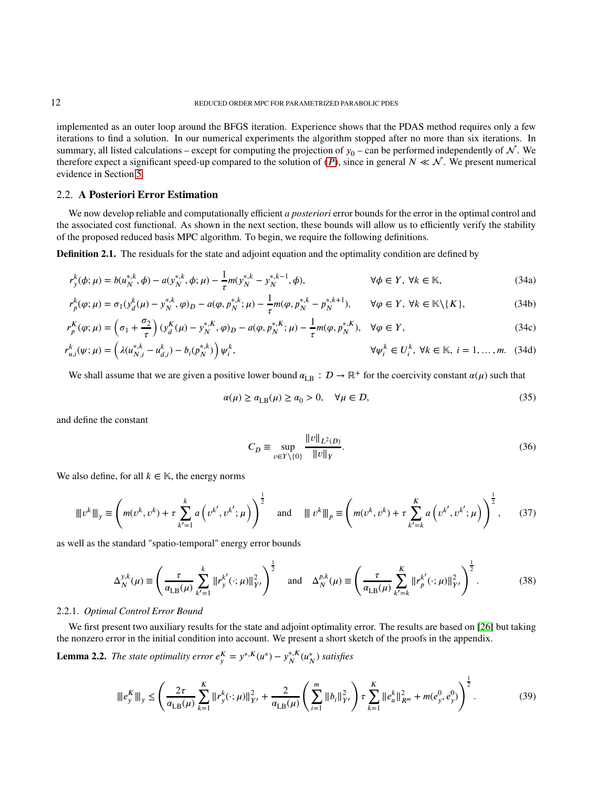implemented as an outer loop around the BFGS iteration. Experience shows that the PDAS method requires only a few iterations to find a solution. In our numerical experiments the algorithm stopped after no more than six iterations. In summary, all listed calculations – except for computing the projection of  $y_0$  – can be performed independently of  $\mathcal N$ . We therefore expect a significant speed-up compared to the solution of  $(P)$ , since in general  $N \ll N$ . We present numerical evidence in Section [5.](#page-20-0)

## 2.2. **A Posteriori Error Estimation**

We now develop reliable and computationally efficient *a posteriori* error bounds for the error in the optimal control and the associated cost functional. As shown in the next section, these bounds will allow us to efficiently verify the stability of the proposed reduced basis MPC algorithm. To begin, we require the following definitions.

**Definition 2.1.** The residuals for the state and adjoint equation and the optimality condition are defined by

$$
r_{y}^{k}(\phi; \mu) = b(u_{N}^{*,k}, \phi) - a(y_{N}^{*,k}, \phi; \mu) - \frac{1}{\tau} m(y_{N}^{*,k} - y_{N}^{*,k-1}, \phi), \qquad \forall \phi \in Y, \ \forall k \in \mathbb{K}, \tag{34a}
$$

$$
r_p^k(\varphi; \mu) = \sigma_1(y_d^k(\mu) - y_N^{*,k}, \varphi)_D - a(\varphi, p_N^{*,k}; \mu) - \frac{1}{\tau} m(\varphi, p_N^{*,k} - p_N^{*,k+1}), \qquad \forall \varphi \in Y, \ \forall k \in \mathbb{K} \setminus \{K\},\tag{34b}
$$

$$
r_p^K(\varphi; \mu) = \left(\sigma_1 + \frac{\sigma_2}{\tau}\right) \left(y_d^K(\mu) - y_N^{*,K}, \varphi\right)_D - a(\varphi, p_N^{*,K}; \mu) - \frac{1}{\tau} m(\varphi, p_N^{*,K}), \quad \forall \varphi \in Y,
$$
\n(34c)

$$
r_{u,i}^k(\psi; \mu) = \left(\lambda (u_{N,i}^{*,k} - u_{d,i}^k) - b_i(p_N^{*,k})\right)\psi_i^k, \qquad \forall \psi_i^k \in U_i^k, \ \forall k \in \mathbb{K}, \ i = 1, ..., m. \tag{34d}
$$

We shall assume that we are given a positive lower bound  $\alpha_{LB}$  :  $D \to \mathbb{R}^+$  for the coercivity constant  $\alpha(\mu)$  such that

$$
\alpha(\mu) \ge \alpha_{\text{LB}}(\mu) \ge \alpha_0 > 0, \quad \forall \mu \in \mathcal{D},\tag{35}
$$

and define the constant

<span id="page-11-2"></span><span id="page-11-0"></span>
$$
C_D \equiv \sup_{v \in Y \setminus \{0\}} \frac{\|v\|_{L^2(D)}}{\|v\|_Y}.
$$
\n(36)

We also define, for all  $k \in \mathbb{K}$ , the energy norms

$$
\|v^{k}\|_{y} \equiv \left(m(v^{k}, v^{k}) + \tau \sum_{k'=1}^{k} a\left(v^{k'}, v^{k'}; \mu\right)\right)^{\frac{1}{2}} \quad \text{and} \quad \|v^{k}\|_{p} \equiv \left(m(v^{k}, v^{k}) + \tau \sum_{k'=k}^{K} a\left(v^{k'}, v^{k'}; \mu\right)\right)^{\frac{1}{2}},\tag{37}
$$

as well as the standard "spatio-temporal" energy error bounds

$$
\Delta_N^{y,k}(\mu) \equiv \left(\frac{\tau}{\alpha_{\text{LB}}(\mu)} \sum_{k'=1}^k \|r_y^{k'}(\cdot;\mu)\|_{Y'}^2\right)^{\frac{1}{2}} \quad \text{and} \quad \Delta_N^{p,k}(\mu) \equiv \left(\frac{\tau}{\alpha_{\text{LB}}(\mu)} \sum_{k'=k}^K \|r_p^{k'}(\cdot;\mu)\|_{Y'}^2\right)^{\frac{1}{2}}.
$$
 (38)

### 2.2.1. *Optimal Control Error Bound*

We first present two auxiliary results for the state and adjoint optimality error. The results are based on [\[26\]](#page-35-20) but taking the nonzero error in the initial condition into account. We present a short sketch of the proofs in the appendix.

<span id="page-11-1"></span>**Lemma 2.2.** *The state optimality error*  $e^K_y = y^{*,K}(u^*) - y^{*,K}_N$ *𝑁* (*𝑢* ∗ *𝑁* ) *satisfies*

$$
\|\left[e_y^K\right]\|_{y} \le \left(\frac{2\tau}{\alpha_{\text{LB}}(\mu)}\sum_{k=1}^K \left\|r_y^K(\cdot;\mu)\right\|_{Y'}^2 + \frac{2}{\alpha_{\text{LB}}(\mu)} \left(\sum_{i=1}^m \left\|b_i\right\|_{Y'}^2\right) \tau \sum_{k=1}^K \left\|e_u^k\right\|_{R^m}^2 + m(e_y^0, e_y^0)\right)^{\frac{1}{2}}.\tag{39}
$$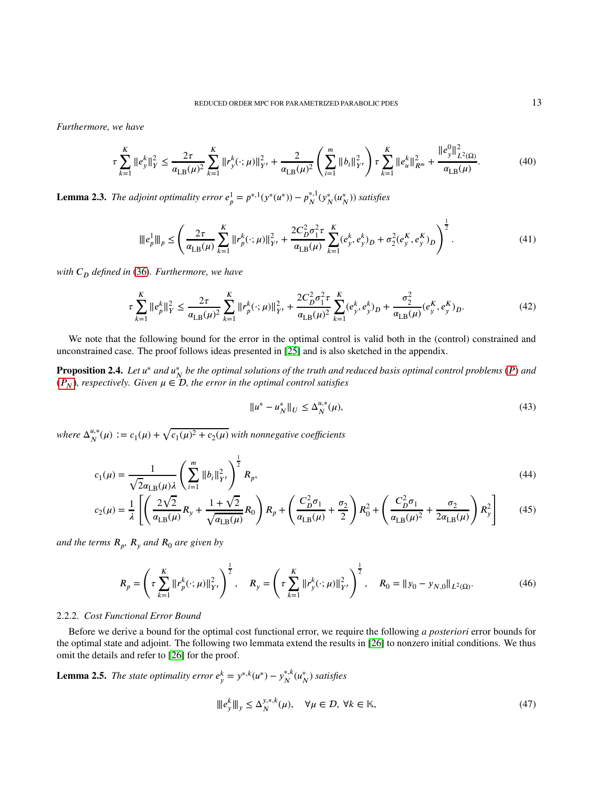*Furthermore, we have*

$$
\tau \sum_{k=1}^{K} \|e_{y}^{k}\|_{Y}^{2} \leq \frac{2\tau}{\alpha_{\text{LB}}(\mu)^{2}} \sum_{k=1}^{K} \|r_{y}^{k}(\cdot;\mu)\|_{Y'}^{2} + \frac{2}{\alpha_{\text{LB}}(\mu)^{2}} \left(\sum_{i=1}^{m} \|b_{i}\|_{Y'}^{2}\right) \tau \sum_{k=1}^{K} \|e_{u}^{k}\|_{R^{m}}^{2} + \frac{\|e_{y}^{0}\|_{L^{2}(\Omega)}^{2}}{\alpha_{\text{LB}}(\mu)}.
$$
(40)

<span id="page-12-2"></span>**Lemma 2.3.** *The adjoint optimality error*  $e_p^1 = p^{*,1}(y^*(u^*)) - p_N^{*,1}$  $\frac{N^{*,1}}{N}(\mathbf{y}_N^*(u_N^*))$  *satisfies* 

$$
\|e_p^1\|_p \le \left(\frac{2\tau}{\alpha_{\text{LB}}(\mu)} \sum_{k=1}^K \|r_p^k(\cdot;\mu)\|_{Y'}^2 + \frac{2C_D^2 \sigma_1^2 \tau}{\alpha_{\text{LB}}(\mu)} \sum_{k=1}^K (e_y^k, e_y^k)_D + \sigma_2^2 (e_y^K, e_y^K)_D\right)^{\frac{1}{2}}.\tag{41}
$$

*with 𝐶<sup>𝐷</sup> defined in* [\(36\)](#page-11-0)*. Furthermore, we have*

$$
\tau \sum_{k=1}^{K} \|e_{p}^{k}\|_{Y}^{2} \leq \frac{2\tau}{\alpha_{\text{LB}}(\mu)^{2}} \sum_{k=1}^{K} \|r_{p}^{k}(\cdot;\mu)\|_{Y'}^{2} + \frac{2C_{D}^{2}\sigma_{1}^{2}\tau}{\alpha_{\text{LB}}(\mu)^{2}} \sum_{k=1}^{K} (e_{y}^{k}, e_{y}^{k})_{D} + \frac{\sigma_{2}^{2}}{\alpha_{\text{LB}}(\mu)} (e_{y}^{K}, e_{y}^{K})_{D}.
$$
\n(42)

We note that the following bound for the error in the optimal control is valid both in the (control) constrained and unconstrained case. The proof follows ideas presented in [\[25\]](#page-35-21) and is also sketched in the appendix.

<span id="page-12-1"></span>**Proposition 2.4.** Let  $u^*$  and  $u^*_{N}$  be the optimal solutions of the truth and reduced basis optimal control problems (P) and  $(P_N)$ *, respectively. Given*  $\mu \in \mathcal{D}$ *, the error in the optimal control satisfies* 

<span id="page-12-3"></span><span id="page-12-0"></span>
$$
||u^* - u^*_{N}||_{U} \le \Delta_N^{u,*}(\mu),
$$
\n(43)

*where*  $\Delta_N^{u,*}$  $\frac{u,*}{N}(\mu) := c_1(\mu) + \sqrt{c_1(\mu)^2 + c_2(\mu)}$  with nonnegative coefficients

$$
c_1(\mu) = \frac{1}{\sqrt{2}\alpha_{\text{LB}}(\mu)\lambda} \left(\sum_{i=1}^m \|b_i\|_{Y'}^2\right)^{\frac{1}{2}} R_p,\tag{44}
$$

$$
c_2(\mu) = \frac{1}{\lambda} \left[ \left( \frac{2\sqrt{2}}{\alpha_{\text{LB}}(\mu)} R_y + \frac{1+\sqrt{2}}{\sqrt{\alpha_{\text{LB}}(\mu)}} R_0 \right) R_p + \left( \frac{C_D^2 \sigma_1}{\alpha_{\text{LB}}(\mu)} + \frac{\sigma_2}{2} \right) R_0^2 + \left( \frac{C_D^2 \sigma_1}{\alpha_{\text{LB}}(\mu)^2} + \frac{\sigma_2}{2\alpha_{\text{LB}}(\mu)} \right) R_y^2 \right] \tag{45}
$$

*and the terms 𝑅<sup>𝑝</sup> , 𝑅<sup>𝑦</sup> and 𝑅*<sup>0</sup> *are given by*

$$
R_p = \left(\tau \sum_{k=1}^K \|r_p^k(\cdot;\mu)\|_{Y'}^2\right)^{\frac{1}{2}}, \quad R_y = \left(\tau \sum_{k=1}^K \|r_y^k(\cdot;\mu)\|_{Y'}^2\right)^{\frac{1}{2}}, \quad R_0 = \|y_0 - y_{N,0}\|_{L^2(\Omega)}.
$$
 (46)

### 2.2.2. *Cost Functional Error Bound*

Before we derive a bound for the optimal cost functional error, we require the following *a posteriori* error bounds for the optimal state and adjoint. The following two lemmata extend the results in [\[26\]](#page-35-20) to nonzero initial conditions. We thus omit the details and refer to [\[26\]](#page-35-20) for the proof.

**Lemma 2.5.** *The state optimality error*  $e_y^k = y^{*,k}(u^*) - y_N^{*,k}$ *𝑁* (*𝑢* ∗ *𝑁* ) *satisfies*

$$
|||e_y^k|||_y \le \Delta_N^{y,*,k}(\mu), \quad \forall \mu \in \mathcal{D}, \forall k \in \mathbb{K},
$$
\n(47)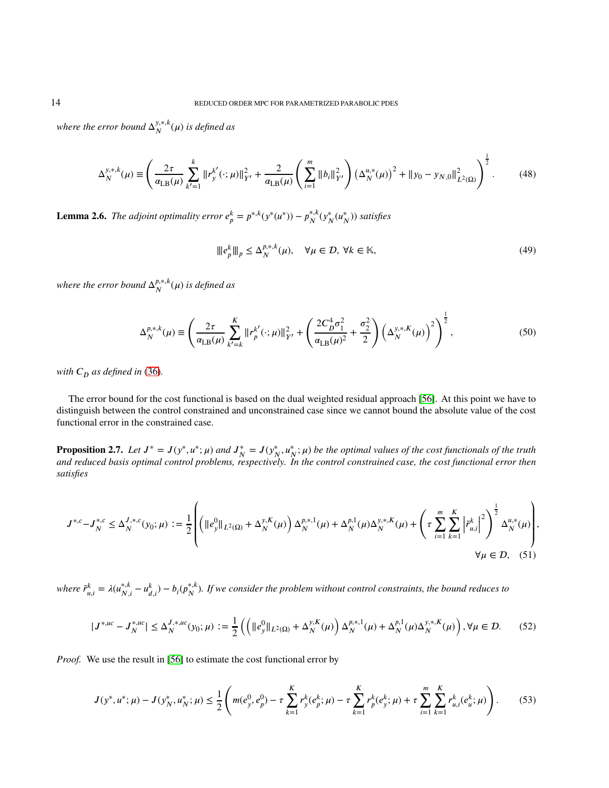where the error bound  $\Delta_N^{y,*,k}$  $_N^{y,*,\kappa}(\mu)$  is defined as

$$
\Delta_N^{y,*,k}(\mu) \equiv \left(\frac{2\tau}{\alpha_{\text{LB}}(\mu)} \sum_{k'=1}^k \|r_y^{k'}(\cdot;\mu)\|_{Y'}^2 + \frac{2}{\alpha_{\text{LB}}(\mu)} \left(\sum_{i=1}^m \|b_i\|_{Y'}^2\right) \left(\Delta_N^{u,*}(\mu)\right)^2 + \|y_0 - y_{N,0}\|_{L^2(\Omega)}^2\right)^{\frac{1}{2}}.\tag{48}
$$

**Lemma 2.6.** *The adjoint optimality error*  $e_p^k = p^{*,k}(y^*(u^*)) - p_N^{*,k}$ *𝑁* (*𝑦* ∗ *𝑁* (*𝑢* ∗ *𝑁* )) *satisfies*

<span id="page-13-3"></span>
$$
\| |e_p^k\|_p \le \Delta_N^{p,*,k}(\mu), \quad \forall \mu \in \mathcal{D}, \forall k \in \mathbb{K},\tag{49}
$$

where the error bound  $\Delta_N^{p,*,k}$  $_{N}^{\mu,*,\kappa}(\mu)$  is defined as

$$
\Delta_N^{p,*,k}(\mu) \equiv \left(\frac{2\tau}{\alpha_{\text{LB}}(\mu)} \sum_{k'=k}^K \|r_p^{k'}(\cdot;\mu)\|_{Y'}^2 + \left(\frac{2C_D^4 \sigma_1^2}{\alpha_{\text{LB}}(\mu)^2} + \frac{\sigma_2^2}{2}\right) \left(\Delta_N^{y,*,K}(\mu)\right)^2\right)^{\frac{1}{2}},\tag{50}
$$

*with*  $C<sub>D</sub>$  *as defined in* [\(36\)](#page-11-0).

The error bound for the cost functional is based on the dual weighted residual approach [\[56\]](#page-36-25). At this point we have to distinguish between the control constrained and unconstrained case since we cannot bound the absolute value of the cost functional error in the constrained case.

<span id="page-13-2"></span>**Proposition 2.7.** Let  $J^* = J(y^*, u^*; \mu)$  and  $J_N^* = J(y_N^*, u_N^*; \mu)$  be the optimal values of the cost functionals of the truth *and reduced basis optimal control problems, respectively. In the control constrained case, the cost functional error then satisfies*

$$
J^{*,c} - J_N^{*,c} \le \Delta_N^{J,*,c}(y_0;\mu) := \frac{1}{2} \left( \left( \|e_y^0\|_{L^2(\Omega)} + \Delta_N^{y,K}(\mu) \right) \Delta_N^{p,*,1}(\mu) + \Delta_N^{p,1}(\mu) \Delta_N^{y,*,K}(\mu) + \left( \tau \sum_{i=1}^m \sum_{k=1}^K \left| \tilde{r}_{u,i}^k \right|^2 \right)^{\frac{1}{2}} \Delta_N^{u,*}(\mu) \right),
$$
  

$$
\forall \mu \in \mathcal{D}, \quad (51)
$$

 $where \ \tilde{r}_{u,i}^k = \lambda (u_{N,i}^{*,k} - u_{d,i}^k) - b_i(p_N^{*,k})$  $^{*,*}_{N}$ ). If we consider the problem without control constraints, the bound reduces to

<span id="page-13-0"></span>
$$
|J^{*,uc} - J_N^{*,uc}| \le \Delta_N^{J,*,uc}(y_0; \mu) := \frac{1}{2} \left( \left( \|e_y^0\|_{L^2(\Omega)} + \Delta_N^{y,K}(\mu) \right) \Delta_N^{p,*,1}(\mu) + \Delta_N^{p,1}(\mu) \Delta_N^{y,*,K}(\mu) \right), \forall \mu \in \mathcal{D}.\tag{52}
$$

*Proof.* We use the result in [\[56\]](#page-36-25) to estimate the cost functional error by

<span id="page-13-1"></span>
$$
J(y^*, u^*; \mu) - J(y_N^*, u_N^*; \mu) \le \frac{1}{2} \left( m(e_y^0, e_p^0) - \tau \sum_{k=1}^K r_y^k(e_p^k; \mu) - \tau \sum_{k=1}^K r_p^k(e_y^k; \mu) + \tau \sum_{i=1}^m \sum_{k=1}^K r_{u,i}^k(e_u^k; \mu) \right). \tag{53}
$$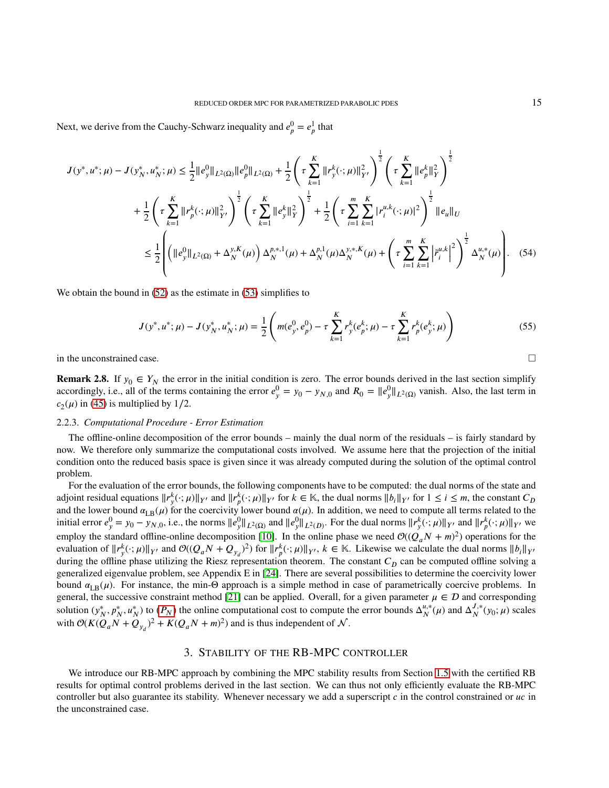Next, we derive from the Cauchy-Schwarz inequality and  $e_p^0 = e_p^1$  that

$$
J(y^*, u^*; \mu) - J(y_N^*, u_N^*; \mu) \le \frac{1}{2} ||e_y^0||_{L^2(\Omega)} ||e_y^0||_{L^2(\Omega)} + \frac{1}{2} \left(\tau \sum_{k=1}^K ||r_y^k(\cdot; \mu)||_{Y'}^2\right)^{\frac{1}{2}} \left(\tau \sum_{k=1}^K ||e_y^k||_Y^2\right)^{\frac{1}{2}}
$$
  
+ 
$$
\frac{1}{2} \left(\tau \sum_{k=1}^K ||r_y^k(\cdot; \mu)||_{Y'}^2\right)^{\frac{1}{2}} \left(\tau \sum_{k=1}^K ||e_y^k||_Y^2\right)^{\frac{1}{2}} + \frac{1}{2} \left(\tau \sum_{i=1}^m \sum_{k=1}^K |r_i^u(k(\cdot; \mu)|^2\right)^{\frac{1}{2}} ||e_u||_U
$$
  

$$
\le \frac{1}{2} \left(\left( ||e_y^0||_{L^2(\Omega)} + \Delta_N^{y,K}(\mu) \right) \Delta_N^{p,*,1}(\mu) + \Delta_N^{p,1}(\mu) \Delta_N^{y,*,K}(\mu) + \left(\tau \sum_{i=1}^m \sum_{k=1}^K \left|\tilde{r}_i^{u,k}\right|^2\right)^{\frac{1}{2}} \Delta_N^{u,*}(\mu)\right). \tag{54}
$$

We obtain the bound in  $(52)$  as the estimate in  $(53)$  simplifies to

$$
J(y^*, u^*; \mu) - J(y_N^*, u_N^*; \mu) = \frac{1}{2} \left( m(e_y^0, e_p^0) - \tau \sum_{k=1}^K r_y^k(e_p^k; \mu) - \tau \sum_{k=1}^K r_p^k(e_y^k; \mu) \right)
$$
(55)

in the unconstrained case.

**Remark 2.8.** If  $y_0 \in Y_N$  the error in the initial condition is zero. The error bounds derived in the last section simplify accordingly, i.e., all of the terms containing the error  $e_y^0 = y_0 - y_{N,0}$  and  $R_0 = ||e_y^0||_{L^2(\Omega)}$  vanish. Also, the last term in  $c_2(\mu)$  in [\(45\)](#page-12-0) is multiplied by 1/2.

### <span id="page-14-1"></span>2.2.3. *Computational Procedure - Error Estimation*

The offline-online decomposition of the error bounds – mainly the dual norm of the residuals – is fairly standard by now. We therefore only summarize the computational costs involved. We assume here that the projection of the initial condition onto the reduced basis space is given since it was already computed during the solution of the optimal control problem.

For the evaluation of the error bounds, the following components have to be computed: the dual norms of the state and adjoint residual equations  $||r_y^k(:,\mu)||_{Y'}$  and  $||r_p^k(:,\mu)||_{Y'}$  for  $k \in \mathbb{K}$ , the dual norms  $||b_i||_{Y'}$  for  $1 \le i \le m$ , the constant  $C_D$ and the lower bound  $\alpha_{LB}(\mu)$  for the coercivity lower bound  $\alpha(\mu)$ . In addition, we need to compute all terms related to the initial error  $e_y^0 = y_0 - y_{N,0}$ , i.e., the norms  $||e_y^0||_{L^2(\Omega)}$  and  $||e_y^0||_{L^2(D)}$ . For the dual norms  $||r_y^k(\cdot;\mu)||_{Y'}$  and  $||r_p^k(\cdot;\mu)||_{Y'}$  we employ the standard offline-online decomposition [\[10\]](#page-35-23). In the online phase we need  $\mathcal{O}((Q_a N + m)^2)$  operations for the evaluation of  $||r_y^k(\cdot;\mu)||_{Y'}$  and  $\mathcal{O}((Q_aN+Q_{y_d})^2)$  for  $||r_p^k(\cdot;\mu)||_{Y'}, k \in \mathbb{K}$ . Likewise we calculate the dual norms  $||b_i||_{Y'}$ during the offline phase utilizing the Riesz representation theorem. The constant  $C<sub>D</sub>$  can be computed offline solving a generalized eigenvalue problem, see Appendix E in [\[24\]](#page-35-27). There are several possibilities to determine the coercivity lower bound  $\alpha_{LR}(\mu)$ . For instance, the min-Θ approach is a simple method in case of parametrically coercive problems. In general, the successive constraint method [\[21\]](#page-35-29) can be applied. Overall, for a given parameter  $\mu \in \mathcal{D}$  and corresponding solution  $(y_N^*, p_N^*, u_N^*)$  to  $(P_N)$  the online computational cost to compute the error bounds  $\Delta_N^{u,*}$  $_{N}^{\mu,*}(\mu)$  and  $\Delta_{N}^{J,*}$  $\frac{J_{\mu}^{(1)}}{N}$  ( $y_0$ ;  $\mu$ ) scales with  $\mathcal{O}(K(Q_a N + Q_{y_d})^2 + K(Q_a N + m)^2)$  and is thus independent of  $\mathcal{N}$ .

## 3. STABILITY OF THE RB-MPC CONTROLLER

<span id="page-14-0"></span>We introduce our RB-MPC approach by combining the MPC stability results from Section [1.5](#page-6-2) with the certified RB results for optimal control problems derived in the last section. We can thus not only efficiently evaluate the RB-MPC controller but also guarantee its stability. Whenever necessary we add a superscript *c* in the control constrained or *uc* in the unconstrained case.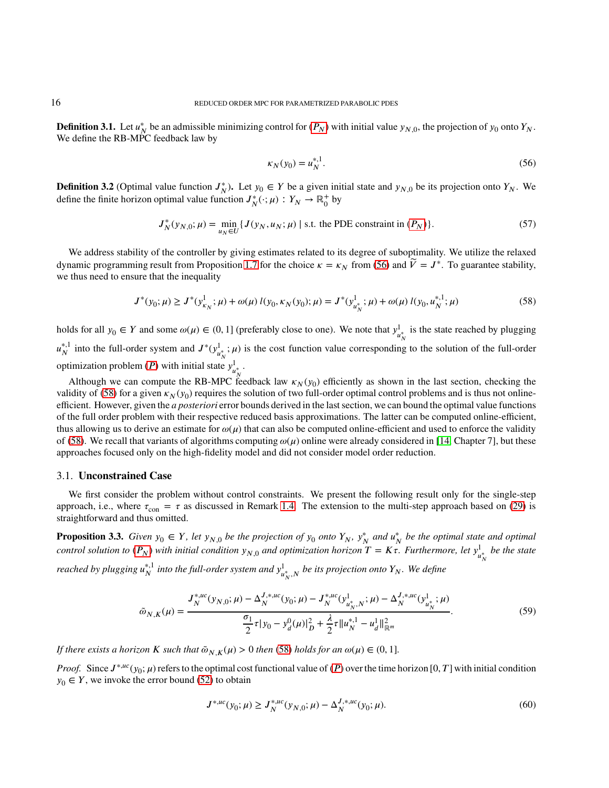**Definition 3.1.** Let  $u_N^*$  be an admissible minimizing control for  $(P_N)$  with initial value  $y_{N,0}$ , the projection of  $y_0$  onto  $Y_N$ . We define the RB-MPC feedback law by

<span id="page-15-1"></span><span id="page-15-0"></span>
$$
\kappa_N(y_0) = u_N^{*,1}.\tag{56}
$$

**Definition 3.2** (Optimal value function  $J_N^*$ ). Let  $y_0 \in Y$  be a given initial state and  $y_{N,0}$  be its projection onto  $Y_N$ . We define the finite horizon optimal value function  $J_N^*(\cdot; \mu) : Y_N \to \mathbb{R}_0^+$  $_0^+$  by

$$
J_N^*(y_{N,0}; \mu) = \min_{u_N \in U} \{ J(y_N, u_N; \mu) \mid \text{s.t. the PDE constraint in } (P_N) \}. \tag{57}
$$

We address stability of the controller by giving estimates related to its degree of suboptimality. We utilize the relaxed dynamic programming result from Proposition [1.7](#page-7-1) for the choice  $\kappa = \kappa_N$  from [\(56\)](#page-15-0) and  $\tilde{V} = J^*$ . To guarantee stability, we thus need to ensure that the inequality

$$
J^*(y_0; \mu) \ge J^*(y_{\kappa_N}^1; \mu) + \omega(\mu) \, l(y_0, \kappa_N(y_0); \mu) = J^*(y_{u_N^*}^1; \mu) + \omega(\mu) \, l(y_0, u_N^{*,1}; \mu) \tag{58}
$$

holds for all  $y_0 \in Y$  and some  $\omega(\mu) \in (0, 1]$  (preferably close to one). We note that  $y^1_\mu$  $\frac{d}{u_N^*}$  is the state reached by plugging  $u_N^{*,1}$ <sup>\*,1</sup> into the full-order system and  $J^*(y^1_u)$  $\mu^*_{N}$ ;  $\mu$ ) is the cost function value corresponding to the solution of the full-order optimization problem (*P*) with initial state  $y_{\mu}^1$ l<br>µ\* ∙

Although we can compute the RB-MPC feedback law  $\kappa_N(y_0)$  efficiently as shown in the last section, checking the validity of [\(58\)](#page-15-1) for a given  $\kappa_N(y_0)$  requires the solution of two full-order optimal control problems and is thus not onlineefficient. However, given the *a posteriori* error bounds derived in the last section, we can bound the optimal value functions of the full order problem with their respective reduced basis approximations. The latter can be computed online-efficient, thus allowing us to derive an estimate for  $\omega(\mu)$  that can also be computed online-efficient and used to enforce the validity of [\(58\)](#page-15-1). We recall that variants of algorithms computing  $\omega(\mu)$  online were already considered in [\[14,](#page-35-0) Chapter 7], but these approaches focused only on the high-fidelity model and did not consider model order reduction.

### 3.1. **Unconstrained Case**

We first consider the problem without control constraints. We present the following result only for the single-step approach, i.e., where  $\tau_{\rm con} = \tau$  as discussed in Remark [1.4.](#page-6-3) The extension to the multi-step approach based on [\(29\)](#page-8-0) is straightforward and thus omitted.

<span id="page-15-3"></span>**Proposition 3.3.** Given  $y_0 \in Y$ , let  $y_{N,0}$  be the projection of  $y_0$  onto  $Y_N$ ,  $y_N^*$  and  $u_N^*$  be the optimal state and optimal *control solution to*  $(P_N)$  *with initial condition*  $y_{N,0}$  and optimization horizon  $T = K\tau$ . Furthermore, let  $y^1_u$ *𝑢* ∗ *be the state*  $\boldsymbol{N}$ *reached by plugging 𝑢* ∗*,*1  $^{*,1}_{N}$  into the full-order system and  $y^1_{\mu}$ *𝑢* ∗ *𝑁 ,𝑁 be its projection onto 𝑌<sup>𝑁</sup> . We define*

$$
\tilde{\omega}_{N,K}(\mu) = \frac{J_N^{*,uc}(y_{N,0}; \mu) - \Delta_N^{J,*,uc}(y_0; \mu) - J_N^{*,uc}(y_{u_N^*,N}^1; \mu) - \Delta_N^{J,*,uc}(y_{u_N^*}^1; \mu)}{\frac{\sigma_1}{2}\tau|y_0 - y_d^0(\mu)|_D^2 + \frac{\lambda}{2}\tau\|u_N^{*,1} - u_d^1\|_{\mathbb{R}^m}^2}.
$$
\n
$$
(59)
$$

*If there exists a horizon K such that*  $\tilde{\omega}_{N,K}(\mu) > 0$  *then* [\(58\)](#page-15-1) *holds for an*  $\omega(\mu) \in (0,1]$ *.* 

*Proof.* Since  $J^{*,ac}(y_0; \mu)$  refers to the optimal cost functional value of  $(P)$  over the time horizon  $[0, T]$  with initial condition  $y_0 \in Y$ , we invoke the error bound [\(52\)](#page-13-0) to obtain

<span id="page-15-4"></span><span id="page-15-2"></span>
$$
J^{*,uc}(y_0; \mu) \ge J_N^{*,uc}(y_{N,0}; \mu) - \Delta_N^{J,*,uc}(y_0; \mu). \tag{60}
$$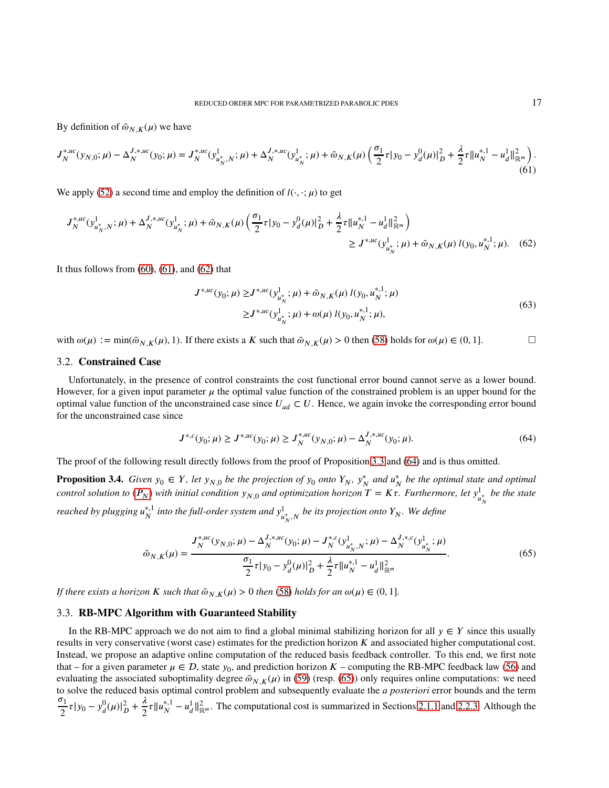By definition of  $\tilde{\omega}_{N,K}(\mu)$  we have

$$
J_N^{*,uc}(y_{N,0};\mu) - \Delta_N^{J,*,uc}(y_0;\mu) = J_N^{*,uc}(y_{u_N^*,N}^1; \mu) + \Delta_N^{J,*,uc}(y_{u_N^*}^1; \mu) + \tilde{\omega}_{N,K}(\mu) \left(\frac{\sigma_1}{2}\tau |y_0 - y_d^0(\mu)|_D^2 + \frac{\lambda}{2}\tau \|u_N^{*,1} - u_d^1\|_{\mathbb{R}^m}^2\right). \tag{61}
$$

We apply [\(52\)](#page-13-0) a second time and employ the definition of  $l(\cdot, \cdot; \mu)$  to get

$$
J_N^{*,uc}(y_{u_N^*,N}^1; \mu) + \Delta_N^{J,*,uc}(y_{u_N^*}^1; \mu) + \tilde{\omega}_{N,K}(\mu) \left(\frac{\sigma_1}{2} \tau |y_0 - y_d^0(\mu)|_D^2 + \frac{\lambda}{2} \tau \|u_N^{*,1} - u_d^1\|_{\mathbb{R}^m}^2\right) \ge J^{*,uc}(y_{u_N^*}^1; \mu) + \tilde{\omega}_{N,K}(\mu) l(y_0, u_N^{*,1}; \mu). \tag{62}
$$

It thus follows from  $(60)$ ,  $(61)$ , and  $(62)$  that

<span id="page-16-1"></span><span id="page-16-0"></span>
$$
J^{*,\mu c}(y_0; \mu) \ge J^{*,\mu c}(y_{u_N^*}^1; \mu) + \tilde{\omega}_{N,K}(\mu) l(y_0, u_N^{*,1}; \mu)
$$
  

$$
\ge J^{*,\mu c}(y_{u_N^*}^1; \mu) + \omega(\mu) l(y_0, u_N^{*,1}; \mu),
$$
 (63)

with  $\omega(\mu) := \min(\tilde{\omega}_{N,K}(\mu), 1)$ . If there exists a *K* such that  $\tilde{\omega}_{N,K}(\mu) > 0$  then [\(58\)](#page-15-1) holds for  $\omega(\mu) \in (0, 1]$ .

## 3.2. **Constrained Case**

Unfortunately, in the presence of control constraints the cost functional error bound cannot serve as a lower bound. However, for a given input parameter  $\mu$  the optimal value function of the constrained problem is an upper bound for the optimal value function of the unconstrained case since  $U_{ad} \subset U$ . Hence, we again invoke the corresponding error bound for the unconstrained case since

<span id="page-16-3"></span><span id="page-16-2"></span>
$$
J^{*,c}(y_0; \mu) \ge J^{*,uc}(y_0; \mu) \ge J_N^{*,uc}(y_{N,0}; \mu) - \Delta_N^{J,*,uc}(y_0; \mu). \tag{64}
$$

The proof of the following result directly follows from the proof of Proposition [3.3](#page-15-3) and [\(64\)](#page-16-2) and is thus omitted.

<span id="page-16-4"></span>**Proposition 3.4.** Given  $y_0 \in Y$ , let  $y_{N,0}$  be the projection of  $y_0$  onto  $Y_N$ ,  $y_N^*$  and  $u_N^*$  be the optimal state and optimal *control solution to*  $(P_N)$  *with initial condition*  $y_{N,0}$  *and optimization horizon*  $T = K\tau$ *. Furthermore, let*  $y^1_u$  $\frac{1}{u_N^*}$  be the state *𝑁 reached by plugging 𝑢* ∗*,*1  $^{*,1}_{N}$  into the full-order system and  $y^1_{\mu}$ *𝑢* ∗ *𝑁 ,𝑁 be its projection onto 𝑌<sup>𝑁</sup> . We define*

$$
\tilde{\omega}_{N,K}(\mu) = \frac{J_N^{*,uc}(y_{N,0}; \mu) - \Delta_N^{J,*,uc}(y_0; \mu) - J_N^{*,c}(y_{u_N^*,N}^1; \mu) - \Delta_N^{J,*,c}(y_{u_N^*}^1; \mu)}{\frac{\sigma_1}{2}\tau|y_0 - y_d^0(\mu)|_D^2 + \frac{\lambda}{2}\tau\|u_N^{*,1} - u_d^1\|_{\mathbb{R}^m}^2}.
$$
\n
$$
(65)
$$

*If there exists a horizon K such that*  $\tilde{\omega}_{N,K}(\mu) > 0$  *then* [\(58\)](#page-15-1) *holds for an*  $\omega(\mu) \in (0,1]$ *.* 

## <span id="page-16-5"></span>3.3. **RB-MPC Algorithm with Guaranteed Stability**

In the RB-MPC approach we do not aim to find a global minimal stabilizing horizon for all  $y \in Y$  since this usually results in very conservative (worst case) estimates for the prediction horizon *K* and associated higher computational cost. Instead, we propose an adaptive online computation of the reduced basis feedback controller. To this end, we first note that – for a given parameter  $\mu \in \mathcal{D}$ , state  $y_0$ , and prediction horizon  $K$  – computing the RB-MPC feedback law [\(56\)](#page-15-0) and evaluating the associated suboptimality degree  $\tilde{\omega}_{N,K}(\mu)$  in [\(59\)](#page-15-4) (resp. [\(65\)](#page-16-3)) only requires online computations: we need to solve the reduced basis optimal control problem and subsequently evaluate the *a posteriori* error bounds and the term  $\sigma_1$  $\frac{\sigma_1}{2} \tau |y_0 - y_d^0(\mu)|_D^2 + \frac{\lambda}{2}$  $\frac{\lambda}{2} \tau \|u_N^{*,1}$ <sup>\*,1</sup> −  $u_d^1 ||_{\mathbb{R}^m}^2$ . The computational cost is summarized in Sections [2.1.1](#page-9-3) and [2.2.3.](#page-14-1) Although the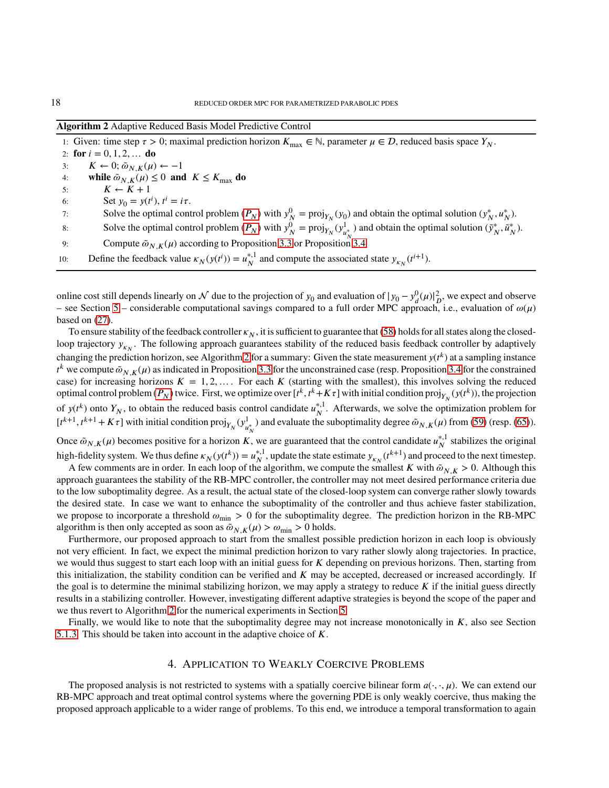<span id="page-17-1"></span>

|  | Algorithm 2 Adaptive Reduced Basis Model Predictive Control |  |  |  |  |  |  |  |  |  |  |  |  |  |  |
|--|-------------------------------------------------------------|--|--|--|--|--|--|--|--|--|--|--|--|--|--|
|--|-------------------------------------------------------------|--|--|--|--|--|--|--|--|--|--|--|--|--|--|

1: Given: time step  $\tau > 0$ ; maximal prediction horizon  $K_{\text{max}} \in \mathbb{N}$ , parameter  $\mu \in \mathcal{D}$ , reduced basis space  $Y_N$ . 2: **for**  $i = 0, 1, 2, ...$  **do** 3:  $K \leftarrow 0; \tilde{\omega}_{N,K}(\mu) \leftarrow -1$ 4: **while**  $\tilde{\omega}_{N,K}(\mu) \leq 0$  and  $K \leq K_{\text{max}}$  do 5:  $K \leftarrow K + 1$ 6: Set  $y_0 = y(t^i)$ ,  $t^i = i\tau$ . 7: Solve the optimal control problem  $(P_N)$  with  $y_N^0 = \text{proj}_{Y_N}(y_0)$  and obtain the optimal solution  $(y_N^*, u_N^*)$ . 8: Solve the optimal control problem  $(P_N)$  with  $y_N^0 = \text{proj}_{Y_N}(y_u^1)$  $\mu^1_{N}$  and obtain the optimal solution  $(\tilde{y}_N^*, \tilde{u}_N^*)$ . 9: Compute  $\tilde{\omega}_{N,K}(\mu)$  according to Proposition [3.3](#page-15-3) or Proposition [3.4.](#page-16-4) 10: Define the feedback value  $\kappa_N(y(t^i)) = u_N^{*,1}$ <sup>\*,1</sup> and compute the associated state  $y_{k}^{t+1}$ .

online cost still depends linearly on  $\mathcal N$  due to the projection of  $y_0$  and evaluation of  $|y_0 - y_d^0(\mu)|_D^2$ , we expect and observe – see Section [5](#page-20-0) – considerable computational savings compared to a full order MPC approach, i.e., evaluation of  $\omega(\mu)$ based on [\(27\)](#page-7-3).

To ensure stability of the feedback controller  $\kappa_N$ , it is sufficient to guarantee that [\(58\)](#page-15-1) holds for all states along the closedloop trajectory  $y_{kN}$ . The following approach guarantees stability of the reduced basis feedback controller by adaptively changing the prediction horizon, see Algorithm [2](#page-17-1) for a summary: Given the state measurement  $y(t^k)$  at a sampling instance  $t^k$  we compute  $\tilde{\omega}_{N,K}(\mu)$  as indicated in Proposition [3.3](#page-15-3) for the unconstrained case (resp. Proposition [3.4](#page-16-4) for the constrained case) for increasing horizons  $K = 1, 2, \ldots$ . For each K (starting with the smallest), this involves solving the reduced optimal control problem  $(P_N)$  twice. First, we optimize over  $[t^k, t^k + K\tau]$  with initial condition proj $_{Y_N}(y(t^k))$ , the projection of  $y(t^k)$  onto  $Y_N$ , to obtain the reduced basis control candidate  $u_N^{*,1}$  $_N^*$ <sup>1</sup>. Afterwards, we solve the optimization problem for  $[t^{k+1}, t^{k+1} + K\tau]$  with initial condition  $proj_{Y_N}(y^1_u)$  $\frac{d}{dx}$ ) and evaluate the suboptimality degree  $\tilde{\omega}_{N,K}(\mu)$  from [\(59\)](#page-15-4) (resp. [\(65\)](#page-16-3)). Once  $\tilde{\omega}_{N,K}(\mu)$  becomes positive for a horizon *K*, we are guaranteed that the control candidate  $u_N^{*,1}$  $_N^{*,1}$  stabilizes the original

high-fidelity system. We thus define  $\kappa_N(y(t^k)) = u_N^{*,1}$ <sup>\*,1</sup>, update the state estimate  $y_{k_N}(t^{k+1})$  and proceed to the next timestep. A few comments are in order. In each loop of the algorithm, we compute the smallest *K* with  $\tilde{\omega}_{N,K} > 0$ . Although this

approach guarantees the stability of the RB-MPC controller, the controller may not meet desired performance criteria due to the low suboptimality degree. As a result, the actual state of the closed-loop system can converge rather slowly towards the desired state. In case we want to enhance the suboptimality of the controller and thus achieve faster stabilization, we propose to incorporate a threshold  $\omega_{\rm min} > 0$  for the suboptimality degree. The prediction horizon in the RB-MPC algorithm is then only accepted as soon as  $\tilde{\omega}_{N,K}(\mu) > \omega_{\min} > 0$  holds.

Furthermore, our proposed approach to start from the smallest possible prediction horizon in each loop is obviously not very efficient. In fact, we expect the minimal prediction horizon to vary rather slowly along trajectories. In practice, we would thus suggest to start each loop with an initial guess for *K* depending on previous horizons. Then, starting from this initialization, the stability condition can be verified and  $K$  may be accepted, decreased or increased accordingly. If the goal is to determine the minimal stabilizing horizon, we may apply a strategy to reduce  $K$  if the initial guess directly results in a stabilizing controller. However, investigating different adaptive strategies is beyond the scope of the paper and we thus revert to Algorithm [2](#page-17-1) for the numerical experiments in Section [5.](#page-20-0)

<span id="page-17-0"></span>Finally, we would like to note that the suboptimality degree may not increase monotonically in  $K$ , also see Section [5.1.3.](#page-23-0) This should be taken into account in the adaptive choice of *K*.

## 4. APPLICATION TO WEAKLY COERCIVE PROBLEMS

The proposed analysis is not restricted to systems with a spatially coercive bilinear form  $a(\cdot, \cdot, \mu)$ . We can extend our RB-MPC approach and treat optimal control systems where the governing PDE is only weakly coercive, thus making the proposed approach applicable to a wider range of problems. To this end, we introduce a temporal transformation to again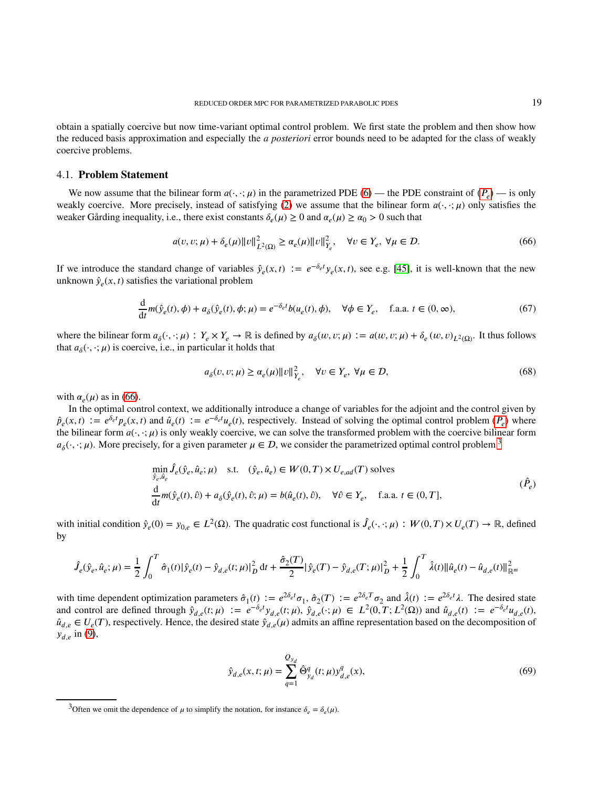obtain a spatially coercive but now time-variant optimal control problem. We first state the problem and then show how the reduced basis approximation and especially the *a posteriori* error bounds need to be adapted for the class of weakly coercive problems.

## 4.1. **Problem Statement**

We now assume that the bilinear form  $a(\cdot, \cdot; \mu)$  in the parametrized PDE [\(6\)](#page-3-0) — the PDE constraint of  $(P_e)$  — is only weakly coercive. More precisely, instead of satisfying [\(2\)](#page-2-3) we assume that the bilinear form  $a(\cdot, \cdot; \mu)$  only satisfies the weaker Gårding inequality, i.e., there exist constants  $\delta_e(\mu) \ge 0$  and  $\alpha_e(\mu) \ge \alpha_0 > 0$  such that

$$
a(v, v; \mu) + \delta_e(\mu) \|v\|_{L^2(\Omega)}^2 \ge \alpha_e(\mu) \|v\|_{Y_e}^2, \quad \forall v \in Y_e, \ \forall \mu \in \mathcal{D}.
$$

If we introduce the standard change of variables  $\hat{y}_e(x,t) := e^{-\delta_e t} y_e(x,t)$ , see e.g. [\[45\]](#page-36-16), it is well-known that the new unknown  $\hat{y}_e(x, t)$  satisfies the variational problem

$$
\frac{d}{dt}m(\hat{y}_e(t), \phi) + a_\delta(\hat{y}_e(t), \phi; \mu) = e^{-\delta_e t}b(u_e(t), \phi), \quad \forall \phi \in Y_e, \quad \text{f.a.a. } t \in (0, \infty),\tag{67}
$$

where the bilinear form  $a_{\delta}(\cdot, \cdot; \mu)$ :  $Y_e \times Y_e \to \mathbb{R}$  is defined by  $a_{\delta}(w, v; \mu) := a(w, v; \mu) + \delta_e(w, v)_{L^2(\Omega)}$ . It thus follows that  $a_{\delta}(\cdot, \cdot; \mu)$  is coercive, i.e., in particular it holds that

<span id="page-18-2"></span><span id="page-18-0"></span>
$$
a_{\delta}(v, v; \mu) \ge \alpha_e(\mu) \|v\|_{Y_e}^2, \quad \forall v \in Y_e, \ \forall \mu \in \mathcal{D}, \tag{68}
$$

with  $\alpha_e(\mu)$  as in [\(66\)](#page-18-0).

In the optimal control context, we additionally introduce a change of variables for the adjoint and the control given by  $\hat{p}_e(x,t) := e^{\delta_e t} p_e(x,t)$  and  $\hat{u}_e(t) := e^{-\delta_e t} u_e(t)$ , respectively. Instead of solving the optimal control problem  $(P_e)$  where the bilinear form  $a(\cdot, \cdot; \mu)$  is only weakly coercive, we can solve the transformed problem with the coercive bilinear form  $a_\delta(\cdot, \cdot; \mu)$ . More precisely, for a given parameter  $\mu \in \mathcal{D}$ , we consider the parametrized optimal control problem <sup>[3](#page-18-1)</sup>

$$
\min_{\hat{y}_e, \hat{u}_e} \hat{J}_e(\hat{y}_e, \hat{u}_e; \mu) \quad \text{s.t.} \quad (\hat{y}_e, \hat{u}_e) \in W(0, T) \times U_{e, ad}(T) \text{ solves}
$$
\n
$$
\frac{d}{dt} m(\hat{y}_e(t), \hat{v}) + a_{\delta}(\hat{y}_e(t), \hat{v}; \mu) = b(\hat{u}_e(t), \hat{v}), \quad \forall \hat{v} \in Y_e, \quad \text{f.a.a. } t \in (0, T],
$$
\n
$$
(\hat{P}_e)
$$

with initial condition  $\hat{y}_e(0) = y_{0,e} \in L^2(\Omega)$ . The quadratic cost functional is  $\hat{J}_e(\cdot, \cdot; \mu) : W(0,T) \times U_e(T) \to \mathbb{R}$ , defined by

$$
\hat{J}_e(\hat{y}_e, \hat{u}_e; \mu) = \frac{1}{2} \int_0^T \hat{\sigma}_1(t) |\hat{y}_e(t) - \hat{y}_{d,e}(t; \mu)|_D^2 dt + \frac{\hat{\sigma}_2(T)}{2} |\hat{y}_e(T) - \hat{y}_{d,e}(T; \mu)|_D^2 + \frac{1}{2} \int_0^T \hat{\lambda}(t) ||\hat{u}_e(t) - \hat{u}_{d,e}(t)||_{\mathbb{R}^m}^2 dt
$$

with time dependent optimization parameters  $\hat{\sigma}_1(t) := e^{2\delta_e t} \sigma_1$ ,  $\hat{\sigma}_2(T) := e^{2\delta_e T} \sigma_2$  and  $\hat{\lambda}(t) := e^{2\delta_e t} \lambda$ . The desired state and control are defined through  $\hat{y}_{d,e}(t;\mu) := e^{-\delta_e t} y_{d,e}(t;\mu)$ ,  $\hat{y}_{d,e}(\cdot;\mu) \in L^2(0,T;L^2(\Omega))$  and  $\hat{u}_{d,e}(t) := e^{-\delta_e t} u_{d,e}(t)$ ,  $\hat{u}_{d,e} \in U_e(T)$ , respectively. Hence, the desired state  $\hat{y}_{d,e}(\mu)$  admits an affine representation based on the decomposition of  $y_{d,e}$  in [\(9\)](#page-4-3),

$$
\hat{y}_{d,e}(x,t;\mu) = \sum_{q=1}^{Q_{y_d}} \hat{\Theta}_{y_d}^q(t;\mu) y_{d,e}^q(x),
$$
\n(69)

<span id="page-18-1"></span><sup>&</sup>lt;sup>3</sup>Often we omit the dependence of  $\mu$  to simplify the notation, for instance  $\delta_e = \delta_e(\mu)$ .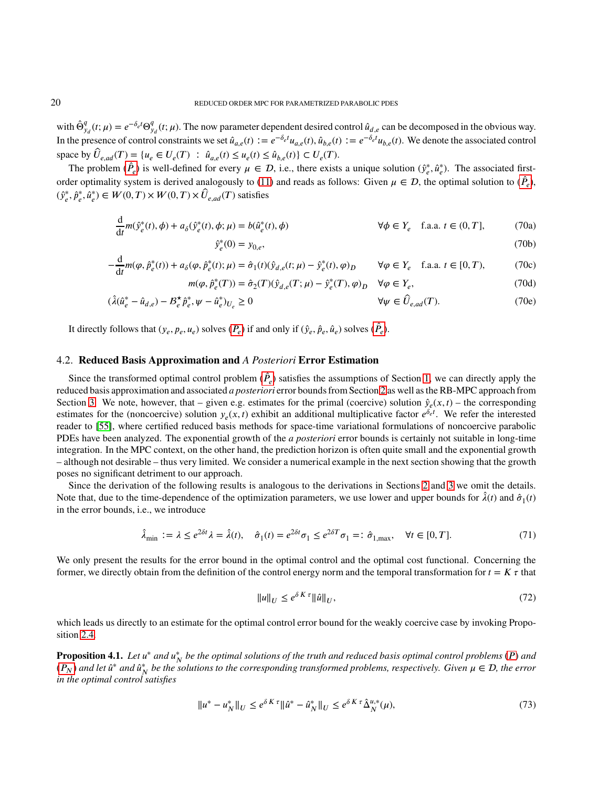with  $\hat{\Theta}_{y_d}^q(t;\mu) = e^{-\delta_e t} \Theta_{y_d}^q(t;\mu)$ . The now parameter dependent desired control  $\hat{u}_{d,e}$  can be decomposed in the obvious way. In the presence of control constraints we set  $\hat{u}_{a,e}(t) := e^{-\delta_e t} u_{a,e}(t)$ ,  $\hat{u}_{b,e}(t) := e^{-\delta_e t} u_{b,e}(t)$ . We denote the associated control  $\sum_{e \text{ and } c} \hat{U}_{e, ad}(T) = \{u_e \in U_e(T) : \hat{u}_{a,e}(t) \leq u_e(t) \leq \hat{u}_{b,e}(t)\} \subset U_e(T).$ 

The problem  $(\hat{P}_e)$  is well-defined for every  $\mu \in \mathcal{D}$ , i.e., there exists a unique solution  $(\hat{y}_e^*, \hat{u}_e^*)$ . The associated first-order optimality system is derived analogously to [\(11\)](#page-4-1) and reads as follows: Given  $\mu \in \mathcal{D}$ , the optimal solution to  $(\hat{P}_e)$ ,  $(\hat{y}_e^*, \hat{p}_e^*, \hat{u}_e^*) \in W(0, T) \times W(0, T) \times \hat{U}_{e, ad}(T)$  satisfies

$$
\frac{d}{dt}m(\hat{y}_e^*(t), \phi) + a_\delta(\hat{y}_e^*(t), \phi; \mu) = b(\hat{u}_e^*(t), \phi)
$$
\n
$$
\forall \phi \in Y_e \quad \text{f.a.a. } t \in (0, T], \tag{70a}
$$
\n
$$
\hat{y}_e^*(0) = y_{0,e}, \tag{70b}
$$

$$
u(\varphi, \hat{p}_e^*(t)) + a_\delta(\varphi, \hat{p}_e^*(t); \mu) = \hat{\sigma}_1(t)(\hat{y}_{d,e}(t; \mu) - \hat{y}_e^*(t), \varphi)_D \qquad \forall \varphi \in Y_e \quad \text{f.a.a. } t \in [0, T), \tag{70c}
$$

$$
\frac{d}{dt}m(\varphi, \hat{p}_e^*(t)) + a_\delta(\varphi, \hat{p}_e^*(t); \mu) = \hat{\sigma}_1(t)(\hat{y}_{d,e}(t; \mu) - \hat{y}_e^*(t), \varphi)_D \qquad \forall \varphi \in Y_e \quad \text{f.a.a. } t \in [0, T),
$$
\n
$$
m(\varphi, \hat{p}_e^*(T)) = \hat{\sigma}_2(T)(\hat{y}_{d,e}(T; \mu) - \hat{y}_e^*(T), \varphi)_D \qquad \forall \varphi \in Y_e,
$$
\n(70d)

$$
(\hat{\lambda}(\hat{u}_e^* - \hat{u}_{d,e}) - \mathcal{B}_e^{\star}\hat{p}_e^*, \psi - \hat{u}_e^*)_{U_e} \ge 0
$$
\n
$$
\forall \psi \in \hat{U}_{e,ad}(T). \tag{70e}
$$

It directly follows that  $(y_e, p_e, u_e)$  solves  $(P_e)$  if and only if  $(\hat{y}_e, \hat{p}_e, \hat{u}_e)$  solves  $(\hat{P}_e)$ .

## 4.2. **Reduced Basis Approximation and** *A Posteriori* **Error Estimation**

Since the transformed optimal control problem  $(\hat{P}_e)$  satisfies the assumptions of Section [1,](#page-2-0) we can directly apply the reduced basis approximation and associated *a posteriori* error bounds from Section [2](#page-9-0) as well as the RB-MPC approach from Section [3.](#page-14-0) We note, however, that – given e.g. estimates for the primal (coercive) solution  $\hat{y}_e(x, t)$  – the corresponding estimates for the (noncoercive) solution  $y_e(x, t)$  exhibit an additional multiplicative factor  $e^{\delta_e t}$ . We refer the interested reader to [\[55\]](#page-36-26), where certified reduced basis methods for space-time variational formulations of noncoercive parabolic PDEs have been analyzed. The exponential growth of the *a posteriori* error bounds is certainly not suitable in long-time integration. In the MPC context, on the other hand, the prediction horizon is often quite small and the exponential growth – although not desirable – thus very limited. We consider a numerical example in the next section showing that the growth poses no significant detriment to our approach.

Since the derivation of the following results is analogous to the derivations in Sections [2](#page-9-0) and [3](#page-14-0) we omit the details. Note that, due to the time-dependence of the optimization parameters, we use lower and upper bounds for  $\hat{\lambda}(t)$  and  $\hat{\sigma}_1(t)$ in the error bounds, i.e., we introduce

$$
\hat{\lambda}_{\min} := \lambda \le e^{2\delta t} \lambda = \hat{\lambda}(t), \quad \hat{\sigma}_1(t) = e^{2\delta t} \sigma_1 \le e^{2\delta T} \sigma_1 =: \hat{\sigma}_{1,\max}, \quad \forall t \in [0, T]. \tag{71}
$$

We only present the results for the error bound in the optimal control and the optimal cost functional. Concerning the former, we directly obtain from the definition of the control energy norm and the temporal transformation for  $t = K \tau$  that

$$
||u||_{U} \le e^{\delta K \tau} ||\hat{u}||_{U},\tag{72}
$$

which leads us directly to an estimate for the optimal control error bound for the weakly coercive case by invoking Proposition [2.4.](#page-12-1)

**Proposition 4.1.** Let  $u^*$  and  $u^*_{N}$  be the optimal solutions of the truth and reduced basis optimal control problems (*P*) and  $(P_N)$  and let  $\hat{u}^*$  and  $\hat{u}^*_N$  be the solutions to the corresponding transformed problems, respectively. Given  $\mu \in \mathcal{D}$ , the error *in the optimal control satisfies*

$$
||u^* - u^*_{N}||_U \le e^{\delta K \tau} ||\hat{u}^* - \hat{u}^*_{N}||_U \le e^{\delta K \tau} \hat{\Delta}_N^{u,*}(\mu),
$$
\n(73)

 $-\frac{d}{1}$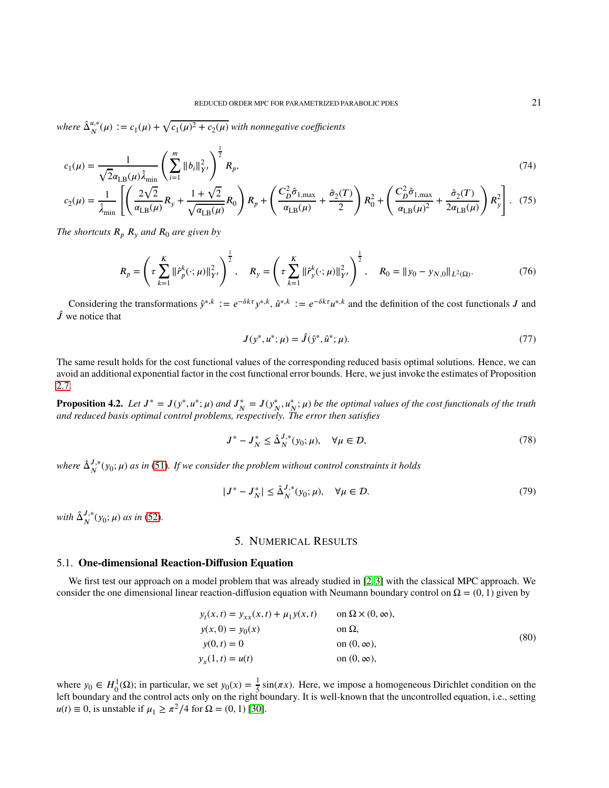*where*  $\hat{\Delta}_{N}^{u,*}$  $\frac{u,*}{N}(\mu) := c_1(\mu) + \sqrt{c_1(\mu)^2 + c_2(\mu)}$  with nonnegative coefficients

$$
c_1(\mu) = \frac{1}{\sqrt{2}\alpha_{\text{LB}}(\mu)\hat{\lambda}_{\text{min}}} \left(\sum_{i=1}^m \|b_i\|_{Y'}^2\right)^{\frac{1}{2}} R_p,\tag{74}
$$

$$
c_2(\mu) = \frac{1}{\hat{\lambda}_{\min}} \left[ \left( \frac{2\sqrt{2}}{\alpha_{\text{LB}}(\mu)} R_y + \frac{1+\sqrt{2}}{\sqrt{\alpha_{\text{LB}}(\mu)}} R_0 \right) R_p + \left( \frac{C_D^2 \hat{\sigma}_{1,\max}}{\alpha_{\text{LB}}(\mu)} + \frac{\hat{\sigma}_2(T)}{2} \right) R_0^2 + \left( \frac{C_D^2 \hat{\sigma}_{1,\max}}{\alpha_{\text{LB}}(\mu)^2} + \frac{\hat{\sigma}_2(T)}{2\alpha_{\text{LB}}(\mu)} \right) R_y^2 \right].
$$
 (75)

*The shortcuts*  $R_p$   $R_y$  *and*  $R_0$  *are given by* 

$$
R_p = \left(\tau \sum_{k=1}^K \|\hat{r}_p^k(\cdot;\mu)\|_{Y'}^2\right)^{\frac{1}{2}}, \quad R_y = \left(\tau \sum_{k=1}^K \|\hat{r}_y^k(\cdot;\mu)\|_{Y'}^2\right)^{\frac{1}{2}}, \quad R_0 = \|y_0 - y_{N,0}\|_{L^2(\Omega)}.
$$
 (76)

Considering the transformations  $\hat{y}^{*,k} := e^{-\delta k\tau} y^{*,k}, \hat{u}^{*,k} := e^{-\delta k\tau} u^{*,k}$  and the definition of the cost functionals *J* and  $\hat{J}$  we notice that

$$
J(y^*, u^*; \mu) = \hat{J}(\hat{y}^*, \hat{u}^*; \mu). \tag{77}
$$

The same result holds for the cost functional values of the corresponding reduced basis optimal solutions. Hence, we can avoid an additional exponential factor in the cost functional error bounds. Here, we just invoke the estimates of Proposition [2.7.](#page-13-2)

**Proposition 4.2.** Let  $J^* = J(y^*, u^*; \mu)$  and  $J_N^* = J(y_N^*, u_N^*; \mu)$  be the optimal values of the cost functionals of the truth *and reduced basis optimal control problems, respectively. The error then satisfies*

$$
J^* - J_N^* \le \hat{\Delta}_N^{J,*}(y_0; \mu), \quad \forall \mu \in \mathcal{D}, \tag{78}
$$

*where*  $\hat{\Delta}_{N}^{J,*}$  $J^*_{N}(y_0; \mu)$  *as in* [\(51\)](#page-13-3). If we consider the problem without control constraints it holds

$$
|J^* - J_N^*| \le \hat{\Delta}_N^{J,*}(y_0; \mu), \quad \forall \mu \in \mathcal{D}.
$$
 (79)

<span id="page-20-0"></span> $with \ \hat{\Delta}_{N}^{J,*}$  $J_{N}^{J,*}(y_0;\mu)$  *as in* [\(52\)](#page-13-0).

## 5. NUMERICAL RESULTS

## 5.1. **One-dimensional Reaction-Diffusion Equation**

We first test our approach on a model problem that was already studied in [\[2,](#page-35-17) [3\]](#page-35-30) with the classical MPC approach. We consider the one dimensional linear reaction-diffusion equation with Neumann boundary control on  $\Omega = (0, 1)$  given by

$$
y_t(x,t) = y_{xx}(x,t) + \mu_1 y(x,t) \qquad \text{on } \Omega \times (0, \infty),
$$
  
\n
$$
y(x,0) = y_0(x) \qquad \text{on } \Omega,
$$
  
\n
$$
y(0,t) = 0 \qquad \text{on } (0, \infty),
$$
  
\n
$$
y_x(1,t) = u(t) \qquad \text{on } (0, \infty),
$$
  
\n(80)

where  $y_0 \in H_0^1(\Omega)$ ; in particular, we set  $y_0(x) = \frac{1}{5} \sin(\pi x)$ . Here, we impose a homogeneous Dirichlet condition on the left boundary and the control acts only on the right boundary. It is well-known that the uncontrolled equation, i.e., setting  $u(t) \equiv 0$ , is unstable if  $\mu_1 \ge \frac{\pi^2}{4}$  for  $\Omega = (0, 1)$  [\[30\]](#page-35-31).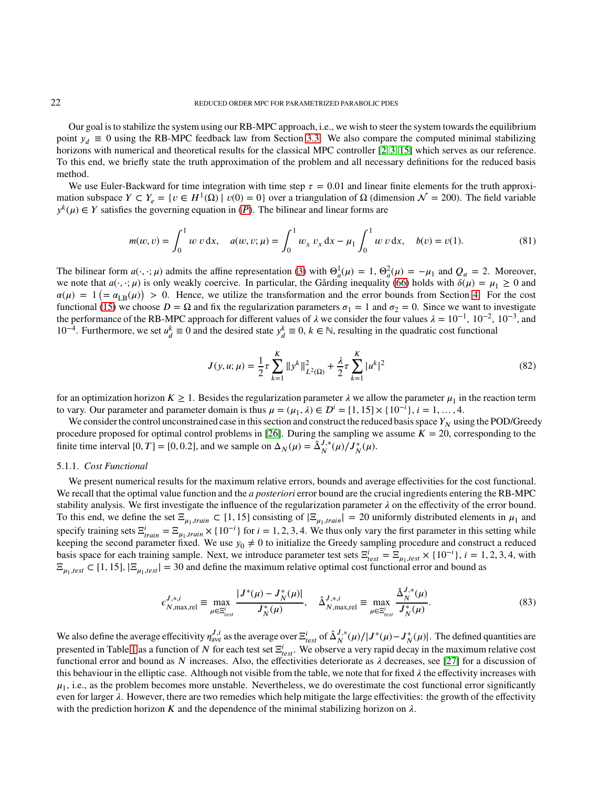Our goal is to stabilize the system using our RB-MPC approach, i.e., we wish to steer the system towards the equilibrium point  $y_d \equiv 0$  using the RB-MPC feedback law from Section [3.3.](#page-16-5) We also compare the computed minimal stabilizing horizons with numerical and theoretical results for the classical MPC controller [\[2,](#page-35-17) [3,](#page-35-30) [15\]](#page-35-15) which serves as our reference. To this end, we briefly state the truth approximation of the problem and all necessary definitions for the reduced basis method.

We use Euler-Backward for time integration with time step  $\tau = 0.01$  and linear finite elements for the truth approximation subspace  $Y \subset Y_e = \{v \in H^1(\Omega) \mid v(0) = 0\}$  over a triangulation of  $\Omega$  (dimension  $\mathcal{N} = 200$ ). The field variable  $y^k(\mu) \in Y$  satisfies the governing equation in  $(P)$ . The bilinear and linear forms are

$$
m(w, v) = \int_0^1 w v \, dx, \quad a(w, v; \mu) = \int_0^1 w_x v_x \, dx - \mu_1 \int_0^1 w v \, dx, \quad b(v) = v(1).
$$
 (81)

The bilinear form  $a(\cdot, \cdot; \mu)$  admits the affine representation [\(3\)](#page-2-2) with  $\Theta_a^1(\mu) = 1$ ,  $\Theta_a^2(\mu) = -\mu_1$  and  $Q_a = 2$ . Moreover, we note that  $a(\cdot, \cdot; \mu)$  is only weakly coercive. In particular, the Gårding inequality [\(66\)](#page-18-0) holds with  $\delta(\mu) = \mu_1 \ge 0$  and  $\alpha(\mu) = 1 \left(= \alpha_{LB}(\mu) \right) > 0$ . Hence, we utilize the transformation and the error bounds from Section [4.](#page-17-0) For the cost functional [\(15\)](#page-5-2) we choose *D* = Ω and fix the regularization parameters  $σ_1 = 1$  and  $σ_2 = 0$ . Since we want to investigate the performance of the RB-MPC approach for different values of  $\lambda$  we consider the four values  $\lambda = 10^{-1}$ ,  $10^{-2}$ ,  $10^{-3}$ , and 10<sup>-4</sup>. Furthermore, we set  $u_d^k \equiv 0$  and the desired state  $y_d^k \equiv 0$ ,  $k \in \mathbb{N}$ , resulting in the quadratic cost functional

$$
J(y, u; \mu) = \frac{1}{2} \tau \sum_{k=1}^{K} ||y^k||_{L^2(\Omega)}^2 + \frac{\lambda}{2} \tau \sum_{k=1}^{K} |u^k|^2
$$
 (82)

for an optimization horizon  $K \ge 1$ . Besides the regularization parameter  $\lambda$  we allow the parameter  $\mu_1$  in the reaction term to vary. Our parameter and parameter domain is thus  $\mu = (\mu_1, \lambda) \in \mathcal{D}^i = [1, 15] \times \{10^{-i}\}, i = 1, ..., 4$ .

We consider the control unconstrained case in this section and construct the reduced basis space  $Y_N$  using the POD/Greedy procedure proposed for optimal control problems in [\[26\]](#page-35-20). During the sampling we assume  $K = 20$ , corresponding to the finite time interval [0, T] = [0, 0.2], and we sample on  $\Delta_N(\mu) = \hat{\Delta}_N^{J,*}$  $J_{N}^{J,*}(\mu)/J_{N}^{*}(\mu).$ 

#### 5.1.1. *Cost Functional*

We present numerical results for the maximum relative errors, bounds and average effectivities for the cost functional. We recall that the optimal value function and the *a posteriori* error bound are the crucial ingredients entering the RB-MPC stability analysis. We first investigate the influence of the regularization parameter  $\lambda$  on the effectivity of the error bound. To this end, we define the set  $\Xi_{\mu_1, train} \subset [1, 15]$  consisting of  $|\Xi_{\mu_1, train}| = 20$  uniformly distributed elements in  $\mu_1$  and specify training sets  $\Xi_{train}^i = \Xi_{\mu_1, train} \times \{10^{-i}\}$  for  $i = 1, 2, 3, 4$ . We thus only vary the first parameter in this setting while keeping the second parameter fixed. We use  $y_0 \neq 0$  to initialize the Greedy sampling procedure and construct a reduced basis space for each training sample. Next, we introduce parameter test sets  $\Xi_{test}^i = \Xi_{\mu_1, test} \times \{10^{-i}\}, i = 1, 2, 3, 4$ , with  $\Xi_{\mu_1, test} \subset [1, 15], |\Xi_{\mu_1, test}| = 30$  and define the maximum relative optimal cost functional error and bound as

$$
\epsilon_{N,\max,rel}^{J,\ast,i} \equiv \max_{\mu \in \Xi_{test}^i} \frac{|J^*(\mu) - J^*_N(\mu)|}{J^*_N(\mu)}, \quad \hat{\Delta}_{N,\max,rel}^{J,\ast,i} \equiv \max_{\mu \in \Xi_{test}^i} \frac{\hat{\Delta}_N^{J,\ast}(\mu)}{J^*_N(\mu)}.
$$
\n(83)

We also define the average effecitivity  $\eta_{ave}^{J,i}$  as the average over  $\Xi_{test}^i$  of  $\hat{\Delta}_N^{J,*}$  $J^*_{N}(\mu)/|J^*(\mu) - J^*_{N}(\mu)|$ . The defined quantities are presented in Table [1](#page-22-0) as a function of *N* for each test set  $\Xi_{test}^i$ . We observe a very rapid decay in the maximum relative cost functional error and bound as N increases. Also, the effectivities deteriorate as  $\lambda$  decreases, see [\[27\]](#page-35-22) for a discussion of this behaviour in the elliptic case. Although not visible from the table, we note that for fixed  $\lambda$  the effectivity increases with  $\mu_1$ , i.e., as the problem becomes more unstable. Nevertheless, we do overestimate the cost functional error significantly even for larger  $\lambda$ . However, there are two remedies which help mitigate the large effectivities: the growth of the effectivity with the prediction horizon K and the dependence of the minimal stabilizing horizon on  $\lambda$ .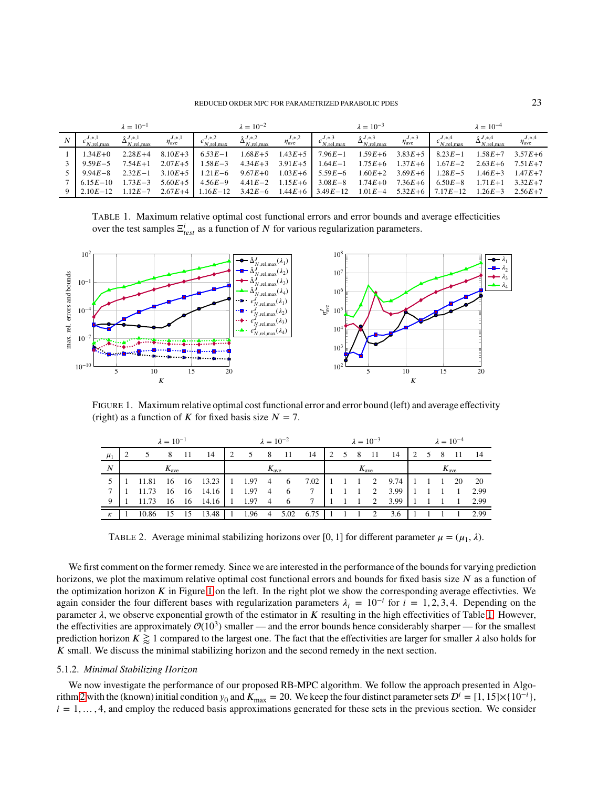### REDUCED ORDER MPC FOR PARAMETRIZED PARABOLIC PDES 23

<span id="page-22-0"></span>

|                                                                                                                                                | $\lambda = 10^{-1}$                     |                             |                                                                                                               | $\lambda = 10^{-2}$                       |                             |                                                   | $\lambda = 10^{-3}$                          |                             |                                        | $\lambda = 10^{-4}$                       |                             |
|------------------------------------------------------------------------------------------------------------------------------------------------|-----------------------------------------|-----------------------------|---------------------------------------------------------------------------------------------------------------|-------------------------------------------|-----------------------------|---------------------------------------------------|----------------------------------------------|-----------------------------|----------------------------------------|-------------------------------------------|-----------------------------|
|                                                                                                                                                | $\hat{\Lambda}^{J,*,1}$<br>$N$ .rel.max | $\eta_{\text{ave}}^{J,*,1}$ | $e^{J,*,2}$<br>$N$ .rel.max                                                                                   | $\hat{\Delta}_{N,\text{rel,max}}^{J,*,2}$ | $\eta_{\text{ave}}^{J,*,2}$ | $\epsilon^{J,*,3}_{N,\text{rel,max}}$             | $\hat{\Delta}_{N,\text{rel,max}}^{J,\ast,3}$ | $\eta_{\text{ave}}^{J,*,3}$ | $\epsilon_{N, \text{rel,max}}^{J,*,4}$ | $\hat{\Delta}_{N,\text{rel,max}}^{J,*,4}$ | $\eta_{\text{ave}}^{J,*,4}$ |
| $1.34E + 0$                                                                                                                                    | $2.28E+4$                               | $8.10E+3$                   | $6.53E-1$                                                                                                     |                                           | $1.68E+5$ $1.43E+5$         | $7.96E - 1$                                       | $1.59E + 6$                                  | $3.83E+5$                   | $8.23E - 1$                            | $1.58E+7$ $3.57E+6$                       |                             |
| $9.59E - 5$                                                                                                                                    | $7.54E+1$                               | $2.07E+5$                   | $1.58E - 3$                                                                                                   |                                           |                             | $4.34E+3$ $3.91E+5$ $1.64E-1$ $1.75E+6$ $1.37E+6$ |                                              |                             |                                        | $1.67E-2$ $2.63E+6$ $7.51E+7$             |                             |
| $9.94E - 8$                                                                                                                                    |                                         |                             | $2.32E-1$ $3.10E+5$ $1.21E-6$ $9.67E+0$ $1.03E+6$ $5.59E-6$ $1.60E+2$ $3.69E+6$ $1.28E-5$ $1.46E+3$ $1.47E+7$ |                                           |                             |                                                   |                                              |                             |                                        |                                           |                             |
| $7 \quad 6.15E-10$                                                                                                                             | $1.73E - 3$                             |                             | $5.60E+5$ 4.56E-9 4.41E-2 1.15E+6 3.08E-8 1.74E+0 7.36E+6 6.50E-8 1.71E+1 3.32E+7                             |                                           |                             |                                                   |                                              |                             |                                        |                                           |                             |
| 9   2.10E-12    1.12E-7    2.67E+4      1.16E-12    3.42E-6    1.44E+6      3.49E-12    1.01E-4    5.32E+6      7.17E-12    1.26E-3    2.56E+7 |                                         |                             |                                                                                                               |                                           |                             |                                                   |                                              |                             |                                        |                                           |                             |

TABLE 1. Maximum relative optimal cost functional errors and error bounds and average effecticities over the test samples  $\Xi_{test}^i$  as a function of *N* for various regularization parameters.

<span id="page-22-1"></span>

<span id="page-22-2"></span>FIGURE 1. Maximum relative optimal cost functional error and error bound (left) and average effectivity (right) as a function of  $\bar{K}$  for fixed basis size  $\bar{N} = 7$ .

|                  | $\lambda = 10^{-1}$ |             |                  |      | $\lambda = 10^{-2}$                            |                |                 |                  | $\lambda = 10^{-3}$ |                  |  |  | $\lambda = 10^{-4}$ |                  |            |  |     |     |                  |        |
|------------------|---------------------|-------------|------------------|------|------------------------------------------------|----------------|-----------------|------------------|---------------------|------------------|--|--|---------------------|------------------|------------|--|-----|-----|------------------|--------|
| $\mu_1$          |                     | 5           | 8                | - 11 | 14                                             | $\overline{2}$ | $5\overline{)}$ | - 8              | - 11                | 14               |  |  |                     | 2 5 8 11         | - 14       |  | 2 5 | - 8 | - 11 -           | - 14   |
| $\boldsymbol{N}$ |                     |             | $K_{\text{ave}}$ |      |                                                |                |                 | $K_{\text{ave}}$ |                     |                  |  |  |                     | $K_{\text{ave}}$ |            |  |     |     | $K_{\text{ave}}$ |        |
|                  |                     | 5 1 1 11.81 |                  |      | 16 16 13.23 1 1.97 4 6 7.02 1 1 1 2 9.74 1 1 1 |                |                 |                  |                     |                  |  |  |                     |                  |            |  |     |     | -20              | 20     |
|                  |                     | 11.73       |                  |      | $16 \quad 16 \quad 14.16 \quad 1$              |                | $1.97 \quad 4$  |                  | 6                   | $7\phantom{000}$ |  |  |                     | 2                | 3.99       |  |     |     | $\sim$ 1         | 2.99   |
| 9                |                     | 11.73       |                  |      | 16 16 14.16 1 1.97 4 6                         |                |                 |                  |                     | $\overline{7}$   |  |  |                     |                  | 1 1 2 3.99 |  |     |     |                  | 1 2.99 |
| $\kappa$         |                     | 10.86       |                  | 15   | $13.48$   1                                    |                |                 |                  | 1.96 4 5.02         | $6.75$           |  |  | $1 \quad 1 \quad 2$ |                  | 3.6        |  |     |     |                  | 2.99   |

TABLE 2. Average minimal stabilizing horizons over [0, 1] for different parameter  $\mu = (\mu_1, \lambda)$ .

We first comment on the former remedy. Since we are interested in the performance of the bounds for varying prediction horizons, we plot the maximum relative optimal cost functional errors and bounds for fixed basis size *N* as a function of the optimization horizon  $K$  in Figure [1](#page-22-1) on the left. In the right plot we show the corresponding average effectivties. We again consider the four different bases with regularization parameters  $\lambda_i = 10^{-i}$  for  $i = 1, 2, 3, 4$ . Depending on the parameter  $\lambda$ , we observe exponential growth of the estimator in  $K$  resulting in the high effectivities of Table [1.](#page-22-0) However, the effectivities are approximately  $\mathcal{O}(10^3)$  smaller — and the error bounds hence considerably sharper — for the smallest prediction horizon  $K \geq 1$  compared to the largest one. The fact that the effectivities are larger for smaller  $\lambda$  also holds for K small. We discuss the minimal stabilizing horizon and the second remedy in the next section.

#### 5.1.2. *Minimal Stabilizing Horizon*

We now investigate the performance of our proposed RB-MPC algorithm. We follow the approach presented in Algo-rithm [2](#page-17-1) with the (known) initial condition  $y_0$  and  $K_{\text{max}} = 20$ . We keep the four distinct parameter sets  $\mathcal{D}^i = [1, 15] \times \{10^{-i}\},$  $i = 1, \ldots, 4$ , and employ the reduced basis approximations generated for these sets in the previous section. We consider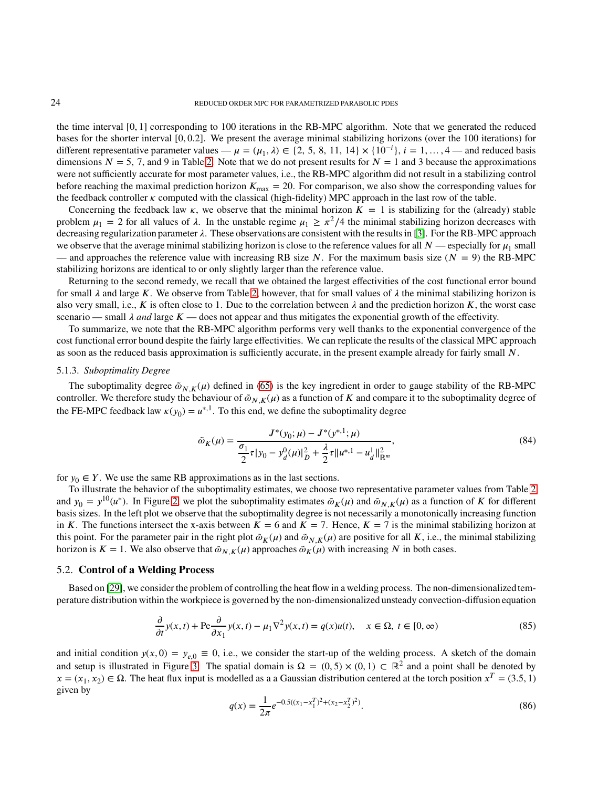the time interval [0*,* 1] corresponding to 100 iterations in the RB-MPC algorithm. Note that we generated the reduced bases for the shorter interval [0*,* 0*.*2]. We present the average minimal stabilizing horizons (over the 100 iterations) for different representative parameter values —  $\mu = (\mu_1, \lambda) \in \{2, 5, 8, 11, 14\} \times \{10^{-i}\}, i = 1, ..., 4$  — and reduced basis dimensions  $N = 5$ , 7, and 9 in Table [2.](#page-22-2) Note that we do not present results for  $N = 1$  and 3 because the approximations were not sufficiently accurate for most parameter values, i.e., the RB-MPC algorithm did not result in a stabilizing control before reaching the maximal prediction horizon  $K_{\text{max}} = 20$ . For comparison, we also show the corresponding values for the feedback controller  $\kappa$  computed with the classical (high-fidelity) MPC approach in the last row of the table.

Concerning the feedback law  $\kappa$ , we observe that the minimal horizon  $K = 1$  is stabilizing for the (already) stable problem  $\mu_1 = 2$  for all values of  $\lambda$ . In the unstable regime  $\mu_1 \ge \pi^2/4$  the minimal stabilizing horizon decreases with decreasing regularization parameter  $\lambda$ . These observations are consistent with the results in [\[3\]](#page-35-30). For the RB-MPC approach we observe that the average minimal stabilizing horizon is close to the reference values for all  $N$ —especially for  $\mu_1$  small — and approaches the reference value with increasing RB size  $N$ . For the maximum basis size  $(N = 9)$  the RB-MPC stabilizing horizons are identical to or only slightly larger than the reference value.

Returning to the second remedy, we recall that we obtained the largest effectivities of the cost functional error bound for small  $\lambda$  and large K. We observe from Table [2,](#page-22-2) however, that for small values of  $\lambda$  the minimal stabilizing horizon is also very small, i.e., *K* is often close to 1. Due to the correlation between  $\lambda$  and the prediction horizon *K*, the worst case scenario — small  $\lambda$  *and* large  $K$  — does not appear and thus mitigates the exponential growth of the effectivity.

To summarize, we note that the RB-MPC algorithm performs very well thanks to the exponential convergence of the cost functional error bound despite the fairly large effectivities. We can replicate the results of the classical MPC approach as soon as the reduced basis approximation is sufficiently accurate, in the present example already for fairly small N.

### <span id="page-23-0"></span>5.1.3. *Suboptimality Degree*

The suboptimality degree  $\tilde{\omega}_{N,K}(\mu)$  defined in [\(65\)](#page-16-3) is the key ingredient in order to gauge stability of the RB-MPC controller. We therefore study the behaviour of  $\tilde{\omega}_{N,K}(\mu)$  as a function of *K* and compare it to the suboptimality degree of the FE-MPC feedback law  $\kappa(y_0) = u^{*,1}$ . To this end, we define the suboptimality degree

$$
\tilde{\omega}_K(\mu) = \frac{J^*(y_0; \mu) - J^*(y^{*,1}; \mu)}{\frac{\sigma_1}{2}\tau|y_0 - y_d^0(\mu)|_D^2 + \frac{\lambda}{2}\tau\|u^{*,1} - u_d^1\|_{\mathbb{R}^m}^2},\tag{84}
$$

for  $y_0 \in Y$ . We use the same RB approximations as in the last sections.

To illustrate the behavior of the suboptimality estimates, we choose two representative parameter values from Table [2](#page-22-2) and  $y_0 = y^{10}(u^*)$ . In Figure [2,](#page-24-0) we plot the suboptimality estimates  $\tilde{\omega}_K(\mu)$  and  $\tilde{\omega}_{N,K}(\mu)$  as a function of *K* for different basis sizes. In the left plot we observe that the suboptimality degree is not necessarily a monotonically increasing function in *K*. The functions intersect the x-axis between  $K = 6$  and  $K = 7$ . Hence,  $K = 7$  is the minimal stabilizing horizon at this point. For the parameter pair in the right plot  $\tilde{\omega}_K(\mu)$  and  $\tilde{\omega}_N(\mu)$  are positive for all K, i.e., the minimal stabilizing horizon is  $K = 1$ . We also observe that  $\tilde{\omega}_{N,K}(\mu)$  approaches  $\tilde{\omega}_{K}(\mu)$  with increasing *N* in both cases.

### 5.2. **Control of a Welding Process**

Based on [\[29\]](#page-35-32), we consider the problem of controlling the heat flow in a welding process. The non-dimensionalizedtemperature distribution within the workpiece is governed by the non-dimensionalized unsteady convection-diffusion equation

$$
\frac{\partial}{\partial t}y(x,t) + \text{Pe}\frac{\partial}{\partial x_1}y(x,t) - \mu_1 \nabla^2 y(x,t) = q(x)u(t), \quad x \in \Omega, \ t \in [0,\infty)
$$
\n(85)

and initial condition  $y(x, 0) = y_{e,0} \equiv 0$ , i.e., we consider the start-up of the welding process. A sketch of the domain and setup is illustrated in Figure [3.](#page-24-1) The spatial domain is  $\Omega = (0, 5) \times (0, 1) \subset \mathbb{R}^2$  and a point shall be denoted by  $x = (x_1, x_2) \in \Omega$ . The heat flux input is modelled as a a Gaussian distribution centered at the torch position  $x^T = (3.5, 1)$ given by

$$
q(x) = \frac{1}{2\pi}e^{-0.5((x_1 - x_1^T)^2 + (x_2 - x_2^T)^2)}.
$$
\n(86)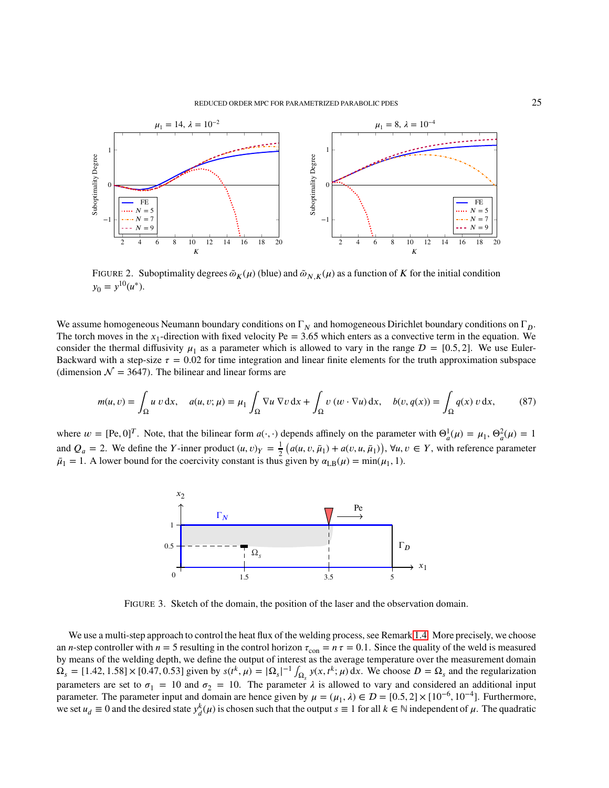#### REDUCED ORDER MPC FOR PARAMETRIZED PARABOLIC PDES 25

<span id="page-24-0"></span>

FIGURE 2. Suboptimality degrees  $\tilde{\omega}_K(\mu)$  (blue) and  $\tilde{\omega}_{N,K}(\mu)$  as a function of *K* for the initial condition  $y_0 = y^{10}(u^*).$ 

We assume homogeneous Neumann boundary conditions on  $\Gamma_N$  and homogeneous Dirichlet boundary conditions on  $\Gamma_D$ . The torch moves in the  $x_1$ -direction with fixed velocity  $Pe = 3.65$  which enters as a convective term in the equation. We consider the thermal diffusivity  $\mu_1$  as a parameter which is allowed to vary in the range  $\mathcal{D} = [0.5, 2]$ . We use Euler-Backward with a step-size  $\tau = 0.02$  for time integration and linear finite elements for the truth approximation subspace (dimension  $\mathcal{N} = 3647$ ). The bilinear and linear forms are

$$
m(u, v) = \int_{\Omega} u v \, dx, \quad a(u, v; \mu) = \mu_1 \int_{\Omega} \nabla u \, \nabla v \, dx + \int_{\Omega} v \left( w \cdot \nabla u \right) dx, \quad b(v, q(x)) = \int_{\Omega} q(x) \, v \, dx,\tag{87}
$$

<span id="page-24-1"></span>where  $w = [Pe, 0]^T$ . Note, that the bilinear form  $a(\cdot, \cdot)$  depends affinely on the parameter with  $\Theta_a^1(\mu) = \mu_1, \Theta_a^2(\mu) = 1$ and  $Q_a = 2$ . We define the *Y*-inner product  $(u, v)_Y = \frac{1}{2}$  $\frac{1}{2}$   $(a(u, v, \bar{\mu}_1) + a(v, u, \bar{\mu}_1)), \forall u, v \in Y$ , with reference parameter  $\bar{\mu}_1 = 1$ . A lower bound for the coercivity constant is thus given by  $\alpha_{LB}(\mu) = \min(\mu_1, 1)$ .



FIGURE 3. Sketch of the domain, the position of the laser and the observation domain.

We use a multi-step approach to control the heat flux of the welding process, see Remark [1.4.](#page-6-3) More precisely, we choose an *n*-step controller with  $n = 5$  resulting in the control horizon  $\tau_{con} = n \tau = 0.1$ . Since the quality of the weld is measured by means of the welding depth, we define the output of interest as the average temperature over the measurement domain  $\Omega_s = [1.42, 1.58] \times [0.47, 0.53]$  given by  $s(t^k, \mu) = |\Omega_s|^{-1} \int_{\Omega_s} y(x, t^k; \mu) dx$ . We choose  $D = \Omega_s$  and the regularization parameters are set to  $\sigma_1 = 10$  and  $\sigma_2 = 10$ . The parameter  $\lambda$  is allowed to vary and considered an additional input parameter. The parameter input and domain are hence given by  $\mu = (\mu_1, \lambda) \in \mathcal{D} = [0.5, 2] \times [10^{-6}, 10^{-4}]$ . Furthermore, we set  $u_d \equiv 0$  and the desired state  $y_d^k(\mu)$  is chosen such that the output  $s \equiv 1$  for all  $k \in \mathbb{N}$  independent of  $\mu$ . The quadratic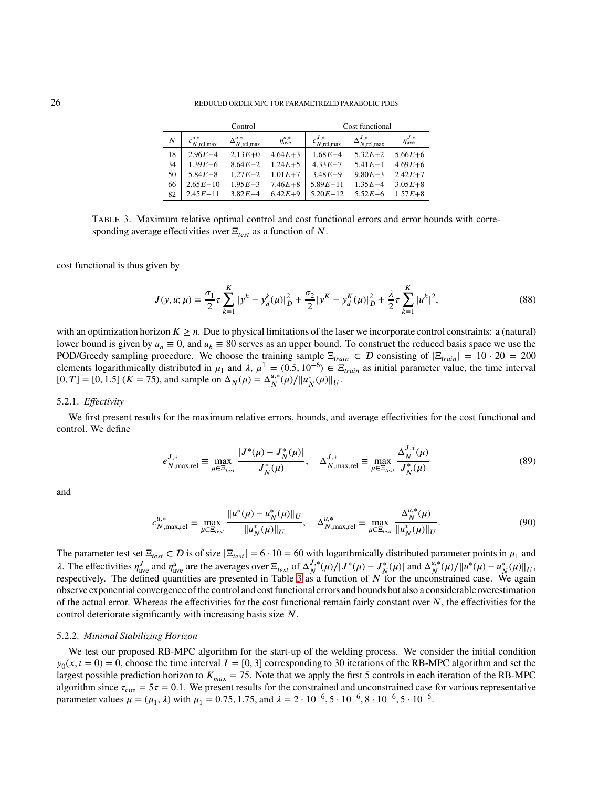### <span id="page-25-0"></span>26 REDUCED ORDER MPC FOR PARAMETRIZED PARABOLIC PDES

|                  |              | Control                           |                    | Cost functional |                |                           |  |  |  |
|------------------|--------------|-----------------------------------|--------------------|-----------------|----------------|---------------------------|--|--|--|
| $\boldsymbol{N}$ | $N$ .rel.max | $\Delta_{N,\text{rel,max}}^{u,*}$ | $\eta_{ave}^{u,*}$ | $N$ , rel, max  | $N$ , rel, max | $\eta_{\text{ave}}^{J,*}$ |  |  |  |
| 18               | $2.96E - 4$  | $2.13E + 0$                       | $4.64E + 3$        | $1.68E - 4$     | $5.32E+2$      | $5.66E + 6$               |  |  |  |
| 34               | $1.39E - 6$  | $8.64E - 2$                       | $1.24E+5$          | $4.33E - 7$     | $5.41E - 1$    | $4.69E + 6$               |  |  |  |
| 50               | $5.84E - 8$  | $1.27E - 2$                       | $1.01E+7$          | $3.48E - 9$     | $9.80E - 3$    | $2.42E+7$                 |  |  |  |
| 66               | $2.65E - 10$ | $1.95E - 3$                       | $7.46E + 8$        | $5.89E - 11$    | $1.35E - 4$    | $3.05E + 8$               |  |  |  |
| 82               | $2.45E - 11$ | $3.82E - 4$                       | $6.42E+9$          | $5.20E - 12$    | $5.52E - 6$    | $1.57E + 8$               |  |  |  |

TABLE 3. Maximum relative optimal control and cost functional errors and error bounds with corresponding average effectivities over  $\Xi_{test}$  as a function of *N*.

cost functional is thus given by

$$
J(y, u; \mu) = \frac{\sigma_1}{2} \tau \sum_{k=1}^{K} |y^k - y_d^k(\mu)|_D^2 + \frac{\sigma_2}{2} |y^K - y_d^K(\mu)|_D^2 + \frac{\lambda}{2} \tau \sum_{k=1}^{K} |u^k|^2,
$$
\n(88)

with an optimization horizon  $K \geq n$ . Due to physical limitations of the laser we incorporate control constraints: a (natural) lower bound is given by  $u_a \equiv 0$ , and  $u_b \equiv 80$  serves as an upper bound. To construct the reduced basis space we use the POD/Greedy sampling procedure. We choose the training sample  $\Xi_{train} \subset D$  consisting of  $|\Xi_{train}| = 10 \cdot 20 = 200$ elements logarithmically distributed in  $\mu_1$  and  $\lambda$ ,  $\mu^1 = (0.5, 10^{-6}) \in \Xi_{train}$  as initial parameter value, the time interval  $[0, T] = [0, 1.5]$  (*K* = 75), and sample on  $\Delta_N(\mu) = \Delta_N^{u,*}(\mu) / ||u_N^*(\mu)||_U$ .

#### <span id="page-25-1"></span>5.2.1. *Effectivity*

We first present results for the maximum relative errors, bounds, and average effectivities for the cost functional and control. We define

$$
\epsilon_{N,\max,rel}^{J,*} \equiv \max_{\mu \in \Xi_{test}} \frac{|J^*(\mu) - J^*_N(\mu)|}{J^*_N(\mu)}, \quad \Delta_{N,\max,rel}^{J,*} \equiv \max_{\mu \in \Xi_{test}} \frac{\Delta_N^{J,*}(\mu)}{J^*_N(\mu)}
$$
(89)

and

$$
\epsilon_{N,\max,rel}^{u,*} \equiv \max_{\mu \in \Xi_{test}} \frac{\|u^*(\mu) - u^*_N(\mu)\|_U}{\|u^*_N(\mu)\|_U}, \quad \Delta_{N,\max,rel}^{u,*} \equiv \max_{\mu \in \Xi_{test}} \frac{\Delta_N^{u,*}(\mu)}{\|u^*_N(\mu)\|_U}.
$$
(90)

The parameter test set  $\Xi_{test} \subset D$  is of size  $|\Xi_{test}| = 6 \cdot 10 = 60$  with logarthmically distributed parameter points in  $\mu_1$  and  $λ$ . The effectivities  $η_{ave}^J$  and  $η_{ave}^u$  are the averages over  $E_{test}$  of  $Δ_N^{J,*}$  $J^*_{N}(\mu)/|J^*(\mu) - J^*_{N}(\mu)|$  and  $\Delta_N^{u,*}$  $\lambda$ . The effectivities  $\eta_{ave}^J$  and  $\eta_{ave}^u$  are the averages over  $\Xi_{test}$  of  $\Delta_N^{J,*}(\mu)/|J^*(\mu) - J^*_{N}(\mu)|$  and  $\Delta_N^{u,*}(\mu)/||u^*(\mu) - u^*_{N}(\mu)||_{U}$ , respectively. The defined quantities are presented in Table [3](#page-25-0) as a funct observe exponential convergence of the control and cost functional errors and bounds but also a considerable overestimation of the actual error. Whereas the effectivities for the cost functional remain fairly constant over  $N$ , the effectivities for the control deteriorate significantly with increasing basis size *𝑁*.

### 5.2.2. *Minimal Stabilizing Horizon*

We test our proposed RB-MPC algorithm for the start-up of the welding process. We consider the initial condition  $y_0(x, t = 0) = 0$ , choose the time interval  $I = [0, 3]$  corresponding to 30 iterations of the RB-MPC algorithm and set the largest possible prediction horizon to  $K_{max} = 75$ . Note that we apply the first 5 controls in each iteration of the RB-MPC algorithm since  $\tau_{\text{con}} = 5\tau = 0.1$ . We present results for the constrained and unconstrained case for various representative parameter values  $\mu = (\mu_1, \lambda)$  with  $\mu_1 = 0.75, 1.75,$  and  $\lambda = 2 \cdot 10^{-6}, 5 \cdot 10^{-6}, 8 \cdot 10^{-6}, 5 \cdot 10^{-5}$ .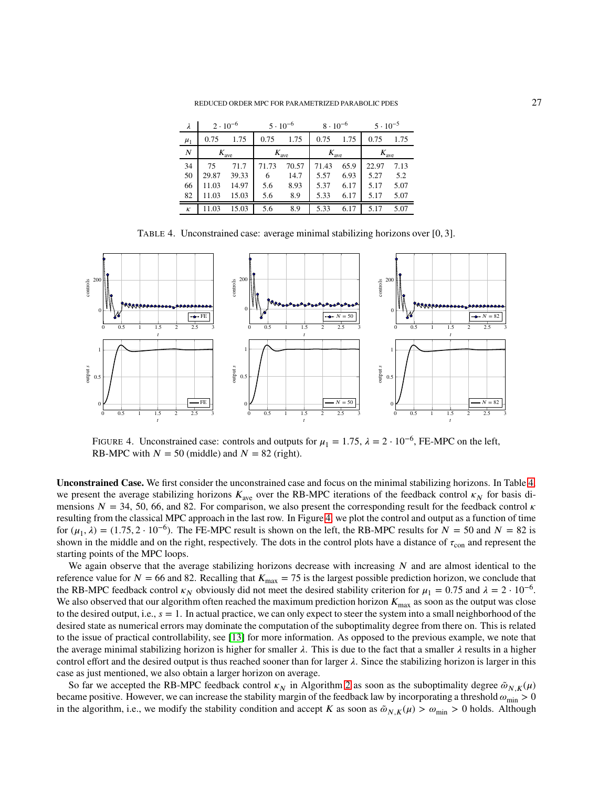REDUCED ORDER MPC FOR PARAMETRIZED PARABOLIC PDES 27

<span id="page-26-0"></span>

| λ        | $2 \cdot 10^{-6}$ |       |                  | $5 \cdot 10^{-6}$ | $8 \cdot 10^{-6}$ |      | $5 \cdot 10^{-5}$ |      |  |
|----------|-------------------|-------|------------------|-------------------|-------------------|------|-------------------|------|--|
| $\mu_1$  | 0.75              | 1.75  | 0.75             | 1.75              | 0.75              | 1.75 | 0.75              | 1.75 |  |
| N        | $K_{\text{ave}}$  |       | $K_{\text{ave}}$ |                   | $K_{\text{ave}}$  |      | $K_{\text{ave}}$  |      |  |
| 34       | 75                | 71.7  | 71.73            | 70.57             | 71.43             | 65.9 | 22.97             | 7.13 |  |
| 50       | 29.87             | 39.33 | 6                | 14.7              | 5.57              | 6.93 | 5.27              | 5.2  |  |
| 66       | 11.03             | 14.97 | 5.6              | 8.93              | 5.37              | 6.17 | 5.17              | 5.07 |  |
| 82       | 11.03             | 15.03 | 5.6              | 8.9               | 5.33              | 6.17 | 5.17              | 5.07 |  |
| $\kappa$ | 11.03             | 15.03 | 5.6              | 8.9               | 5.33              | 6.17 | 5.17              | 5.07 |  |

TABLE 4. Unconstrained case: average minimal stabilizing horizons over [0*,* 3].

<span id="page-26-1"></span>

FIGURE 4. Unconstrained case: controls and outputs for  $\mu_1 = 1.75$ ,  $\lambda = 2 \cdot 10^{-6}$ , FE-MPC on the left, RB-MPC with  $N = 50$  (middle) and  $N = 82$  (right).

**Unconstrained Case.** We first consider the unconstrained case and focus on the minimal stabilizing horizons. In Table [4,](#page-26-0) we present the average stabilizing horizons  $K_{\text{ave}}$  over the RB-MPC iterations of the feedback control  $\kappa_N$  for basis dimensions  $N = 34, 50, 66,$  and 82. For comparison, we also present the corresponding result for the feedback control  $\kappa$ resulting from the classical MPC approach in the last row. In Figure [4,](#page-26-1) we plot the control and output as a function of time for  $(\mu_1, \lambda) = (1.75, 2 \cdot 10^{-6})$ . The FE-MPC result is shown on the left, the RB-MPC results for  $N = 50$  and  $N = 82$  is shown in the middle and on the right, respectively. The dots in the control plots have a distance of  $\tau_{con}$  and represent the starting points of the MPC loops.

We again observe that the average stabilizing horizons decrease with increasing N and are almost identical to the reference value for  $N = 66$  and 82. Recalling that  $K_{\text{max}} = 75$  is the largest possible prediction horizon, we conclude that the RB-MPC feedback control  $\kappa_N$  obviously did not meet the desired stability criterion for  $\mu_1 = 0.75$  and  $\lambda = 2 \cdot 10^{-6}$ . We also observed that our algorithm often reached the maximum prediction horizon  $K_{\text{max}}$  as soon as the output was close to the desired output, i.e.,  $s = 1$ . In actual practice, we can only expect to steer the system into a small neighborhood of the desired state as numerical errors may dominate the computation of the suboptimality degree from there on. This is related to the issue of practical controllability, see [\[13\]](#page-35-26) for more information. As opposed to the previous example, we note that the average minimal stabilizing horizon is higher for smaller  $\lambda$ . This is due to the fact that a smaller  $\lambda$  results in a higher control effort and the desired output is thus reached sooner than for larger  $\lambda$ . Since the stabilizing horizon is larger in this case as just mentioned, we also obtain a larger horizon on average.

So far we accepted the RB-MPC feedback control  $\kappa_N$  in Algorithm [2](#page-17-1) as soon as the suboptimality degree  $\tilde{\omega}_{N}$ <sub>K</sub> $(\mu)$ became positive. However, we can increase the stability margin of the feedback law by incorporating a threshold  $\omega_{\rm min} > 0$ in the algorithm, i.e., we modify the stability condition and accept *K* as soon as  $\tilde{\omega}_{N,K}(\mu) > \omega_{\text{min}} > 0$  holds. Although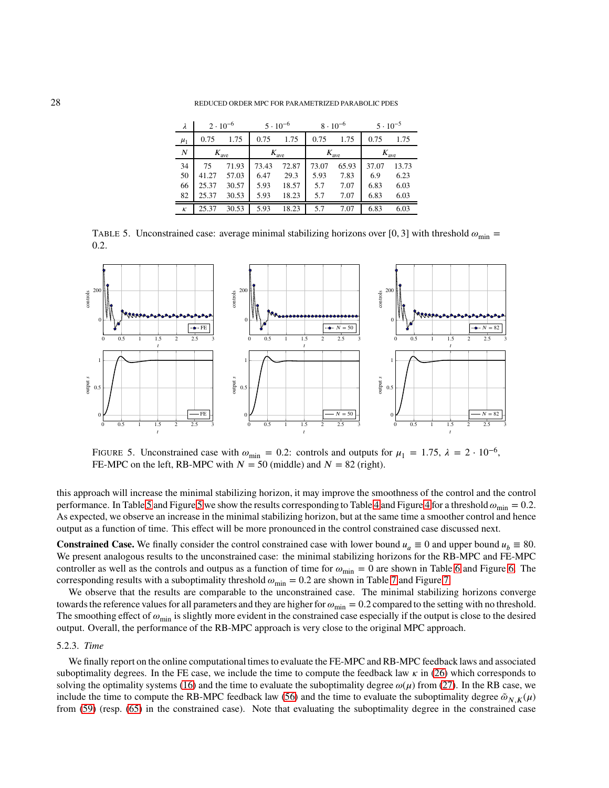<span id="page-27-0"></span>28 REDUCED ORDER MPC FOR PARAMETRIZED PARABOLIC PDES

| λ                | $2 \cdot 10^{-6}$ |       |                  | $5 \cdot 10^{-6}$ |                  | $8 \cdot 10^{-6}$ | $5 \cdot 10^{-5}$ |       |  |
|------------------|-------------------|-------|------------------|-------------------|------------------|-------------------|-------------------|-------|--|
| $\mu_1$          | 0.75              | 1.75  | 0.75             | 1.75              | 0.75             | 1.75              | 0.75              | 1.75  |  |
| $\boldsymbol{N}$ | $K_{\text{ave}}$  |       | $K_{\text{ave}}$ |                   | $K_{\text{ave}}$ |                   | $K_{\text{ave}}$  |       |  |
| 34               | 75                | 71.93 | 73.43            | 72.87             | 73.07            | 65.93             | 37.07             | 13.73 |  |
| 50               | 41.27             | 57.03 | 6.47             | 29.3              | 5.93             | 7.83              | 6.9               | 6.23  |  |
| 66               | 25.37             | 30.57 | 5.93             | 18.57             | 5.7              | 7.07              | 6.83              | 6.03  |  |
| 82               | 25.37             | 30.53 | 5.93             | 18.23             | 5.7              | 7.07              | 6.83              | 6.03  |  |
| $\kappa$         | 25.37             | 30.53 | 5.93             | 18.23             | 5.7              | 7.07              | 6.83              | 6.03  |  |

TABLE 5. Unconstrained case: average minimal stabilizing horizons over [0, 3] with threshold  $\omega_{\text{min}} =$ 0*.*2.

<span id="page-27-1"></span>

FIGURE 5. Unconstrained case with  $\omega_{\text{min}} = 0.2$ : controls and outputs for  $\mu_1 = 1.75$ ,  $\lambda = 2 \cdot 10^{-6}$ , FE-MPC on the left, RB-MPC with  $N = 50$  (middle) and  $N = 82$  (right).

this approach will increase the minimal stabilizing horizon, it may improve the smoothness of the control and the control performance. In Table [5](#page-27-1) and Figure 5 we show the results corresponding to Table [4](#page-26-1) and Figure 4 for a threshold  $\omega_{\rm min} = 0.2$ . As expected, we observe an increase in the minimal stabilizing horizon, but at the same time a smoother control and hence output as a function of time. This effect will be more pronounced in the control constrained case discussed next.

**Constrained Case.** We finally consider the control constrained case with lower bound  $u_a \equiv 0$  and upper bound  $u_b \equiv 80$ . We present analogous results to the unconstrained case: the minimal stabilizing horizons for the RB-MPC and FE-MPC controller as well as the controls and outpus as a function of time for  $\omega_{\rm min} = 0$  are shown in Table [6](#page-28-0) and Figure [6.](#page-28-1) The corresponding results with a suboptimality threshold  $\omega_{\text{min}} = 0.2$  are shown in Table [7](#page-28-2) and Figure [7.](#page-29-0)

We observe that the results are comparable to the unconstrained case. The minimal stabilizing horizons converge towards the reference values for all parameters and they are higher for  $\omega_{\text{min}} = 0.2$  compared to the setting with no threshold. The smoothing effect of  $\omega_{\rm min}$  is slightly more evident in the constrained case especially if the output is close to the desired output. Overall, the performance of the RB-MPC approach is very close to the original MPC approach.

### 5.2.3. *Time*

We finally report on the online computational times to evaluate the FE-MPC and RB-MPC feedback laws and associated suboptimality degrees. In the FE case, we include the time to compute the feedback law  $\kappa$  in [\(26\)](#page-7-4) which corresponds to solving the optimality systems [\(16\)](#page-5-1) and the time to evaluate the suboptimality degree  $\omega(\mu)$  from [\(27\)](#page-7-3). In the RB case, we include the time to compute the RB-MPC feedback law [\(56\)](#page-15-0) and the time to evaluate the suboptimality degree  $\tilde{\omega}_{N,K}(\mu)$ from [\(59\)](#page-15-4) (resp. [\(65\)](#page-16-3) in the constrained case). Note that evaluating the suboptimality degree in the constrained case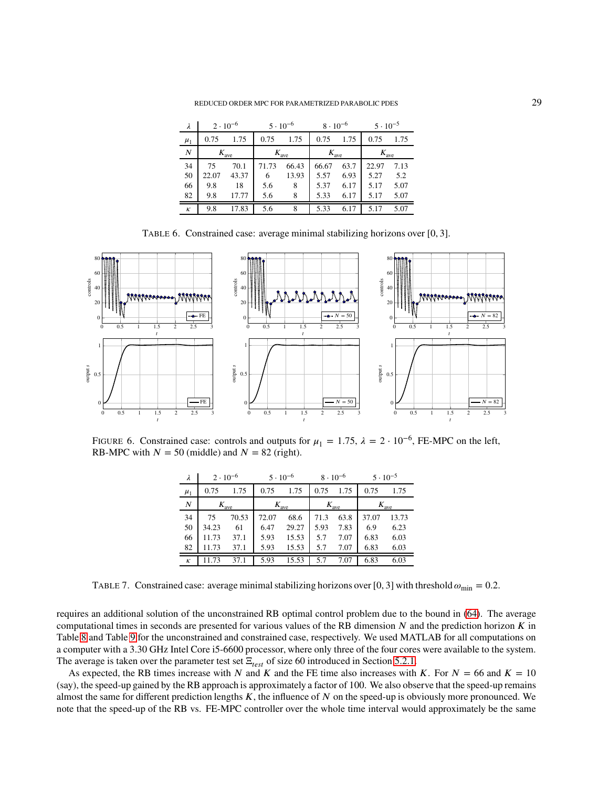REDUCED ORDER MPC FOR PARAMETRIZED PARABOLIC PDES 29

<span id="page-28-0"></span>

| $\lambda$        | $2 \cdot 10^{-6}$ |       |                  | $5 \cdot 10^{-6}$ | $8 \cdot 10^{-6}$ |      | $5 \cdot 10^{-5}$ |      |  |
|------------------|-------------------|-------|------------------|-------------------|-------------------|------|-------------------|------|--|
| $\mu_1$          | 0.75              | 1.75  | 0.75             | 1.75              | 0.75              | 1.75 | 0.75              | 1.75 |  |
| $\boldsymbol{N}$ | $K_{\text{ave}}$  |       | $K_{\text{ave}}$ |                   | $K_{\text{ave}}$  |      | $K_{\text{ave}}$  |      |  |
| 34               | 75                | 70.1  | 71.73            | 66.43             | 66.67             | 63.7 | 22.97             | 7.13 |  |
| 50               | 22.07             | 43.37 | 6                | 13.93             | 5.57              | 6.93 | 5.27              | 5.2  |  |
| 66               | 9.8               | 18    | 5.6              | 8                 | 5.37              | 6.17 | 5.17              | 5.07 |  |
| 82               | 9.8               | 17.77 | 5.6              | 8                 | 5.33              | 6.17 | 5.17              | 5.07 |  |
| $\kappa$         | 9.8               | 17.83 | 5.6              | 8                 | 5.33              | 6.17 | 5.17              | 5.07 |  |

TABLE 6. Constrained case: average minimal stabilizing horizons over [0*,* 3].

<span id="page-28-1"></span>

<span id="page-28-2"></span>FIGURE 6. Constrained case: controls and outputs for  $\mu_1 = 1.75$ ,  $\lambda = 2 \cdot 10^{-6}$ , FE-MPC on the left, RB-MPC with  $N = 50$  (middle) and  $N = 82$  (right).

| λ        | $2 \cdot 10^{-6}$ |       | $5 \cdot 10^{-6}$ |       | $8 \cdot 10^{-6}$ |                  | $5 \cdot 10^{-5}$ |                  |  |
|----------|-------------------|-------|-------------------|-------|-------------------|------------------|-------------------|------------------|--|
| $\mu_1$  | 0.75              | 1.75  | 0.75              | 1.75  | 0.75              | 1.75             | 0.75              | 1.75             |  |
| N        | $K_{\text{ave}}$  |       | $K_{\text{ave}}$  |       |                   | $K_{\text{ave}}$ |                   | $K_{\text{ave}}$ |  |
| 34       | 75                | 70.53 | 72.07             | 68.6  | 71.3              | 63.8             | 37.07             | 13.73            |  |
| 50       | 34.23             | 61    | 6.47              | 29.27 | 5.93              | 7.83             | 6.9               | 6.23             |  |
| 66       | 11.73             | 37.1  | 5.93              | 15.53 | 5.7               | 7.07             | 6.83              | 6.03             |  |
| 82       | 11.73             | 37.1  | 5.93              | 15.53 | 5.7               | 7.07             | 6.83              | 6.03             |  |
| $\kappa$ | 11.73             | 37.1  | 5.93              | 15.53 | 5.7               | 7.07             | 6.83              | 6.03             |  |

TABLE 7. Constrained case: average minimal stabilizing horizons over [0, 3] with threshold  $\omega_{\text{min}} = 0.2$ .

requires an additional solution of the unconstrained RB optimal control problem due to the bound in [\(64\)](#page-16-2). The average computational times in seconds are presented for various values of the RB dimension  $N$  and the prediction horizon  $K$  in Table [8](#page-29-1) and Table [9](#page-29-2) for the unconstrained and constrained case, respectively. We used MATLAB for all computations on a computer with a 3*.*30 GHz Intel Core i5-6600 processor, where only three of the four cores were available to the system. The average is taken over the parameter test set  $\Xi_{test}$  of size 60 introduced in Section [5.2.1.](#page-25-1)

As expected, the RB times increase with *N* and *K* and the FE time also increases with *K*. For  $N = 66$  and  $K = 10$ (say), the speed-up gained by the RB approach is approximately a factor of 100. We also observe that the speed-up remains almost the same for different prediction lengths  $K$ , the influence of  $N$  on the speed-up is obviously more pronounced. We note that the speed-up of the RB vs. FE-MPC controller over the whole time interval would approximately be the same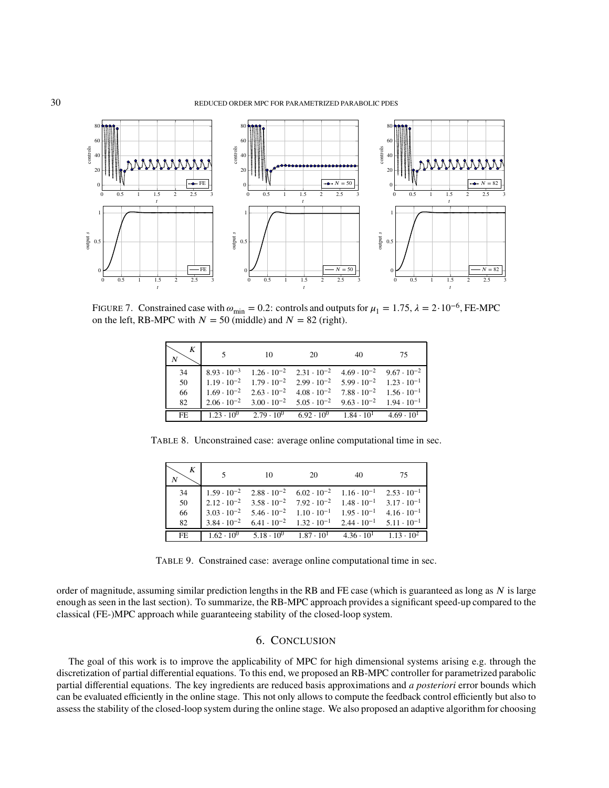<span id="page-29-0"></span>

<span id="page-29-1"></span>FIGURE 7. Constrained case with  $\omega_{\text{min}} = 0.2$ : controls and outputs for  $\mu_1 = 1.75$ ,  $\lambda = 2 \cdot 10^{-6}$ , FE-MPC on the left, RB-MPC with  $N = 50$  (middle) and  $N = 82$  (right).

| K<br>N         |                                                                                                                                                          | 10                                      | 20                                                                                                                                                    | 40                                      | 75                   |
|----------------|----------------------------------------------------------------------------------------------------------------------------------------------------------|-----------------------------------------|-------------------------------------------------------------------------------------------------------------------------------------------------------|-----------------------------------------|----------------------|
| 34<br>50<br>66 | $8.93 \cdot 10^{-3}$<br>$1.19 \cdot 10^{-2}$ $1.79 \cdot 10^{-2}$ $2.99 \cdot 10^{-2}$ $5.99 \cdot 10^{-2}$ $1.23 \cdot 10^{-1}$<br>$1.69 \cdot 10^{-2}$ |                                         | $1.26 \cdot 10^{-2}$ $2.31 \cdot 10^{-2}$ $4.69 \cdot 10^{-2}$<br>$2.63 \cdot 10^{-2}$ $4.08 \cdot 10^{-2}$ $7.88 \cdot 10^{-2}$ $1.56 \cdot 10^{-1}$ |                                         | $9.67 \cdot 10^{-2}$ |
| 82<br>FE.      | $2.06 \cdot 10^{-2}$                                                                                                                                     | $1.23 \cdot 10^{0}$ $2.79 \cdot 10^{0}$ | $3.00 \cdot 10^{-2}$ $5.05 \cdot 10^{-2}$ $9.63 \cdot 10^{-2}$ $1.94 \cdot 10^{-1}$                                                                   | $6.92 \cdot 10^{0}$ $1.84 \cdot 10^{1}$ | $4.69 \cdot 10^{1}$  |

<span id="page-29-2"></span>TABLE 8. Unconstrained case: average online computational time in sec.

| N   |                      | 10                                                                                                         | 20 | 40 | 75                  |
|-----|----------------------|------------------------------------------------------------------------------------------------------------|----|----|---------------------|
| 34  |                      | $1.59 \cdot 10^{-2}$ $2.88 \cdot 10^{-2}$ $6.02 \cdot 10^{-2}$ $1.16 \cdot 10^{-1}$ $2.53 \cdot 10^{-1}$   |    |    |                     |
| 50  |                      | $1.2.12 \cdot 10^{-2}$ $3.58 \cdot 10^{-2}$ $7.92 \cdot 10^{-2}$ $1.48 \cdot 10^{-1}$ $3.17 \cdot 10^{-1}$ |    |    |                     |
| 66  |                      | $3.03 \cdot 10^{-2}$ $5.46 \cdot 10^{-2}$ $1.10 \cdot 10^{-1}$ $1.95 \cdot 10^{-1}$ $4.16 \cdot 10^{-1}$   |    |    |                     |
| 82  | $3.84 \cdot 10^{-2}$ | $6.41 \cdot 10^{-2}$ $1.32 \cdot 10^{-1}$ $2.44 \cdot 10^{-1}$ $5.11 \cdot 10^{-1}$                        |    |    |                     |
| FE. |                      | $1.62 \cdot 10^{0}$ $5.18 \cdot 10^{0}$ $1.87 \cdot 10^{1}$ $4.36 \cdot 10^{1}$                            |    |    | $1.13 \cdot 10^{2}$ |

TABLE 9. Constrained case: average online computational time in sec.

order of magnitude, assuming similar prediction lengths in the RB and FE case (which is guaranteed as long as  $N$  is large enough as seen in the last section). To summarize, the RB-MPC approach provides a significant speed-up compared to the classical (FE-)MPC approach while guaranteeing stability of the closed-loop system.

# 6. CONCLUSION

The goal of this work is to improve the applicability of MPC for high dimensional systems arising e.g. through the discretization of partial differential equations. To this end, we proposed an RB-MPC controller for parametrized parabolic partial differential equations. The key ingredients are reduced basis approximations and *a posteriori* error bounds which can be evaluated efficiently in the online stage. This not only allows to compute the feedback control efficiently but also to assess the stability of the closed-loop system during the online stage. We also proposed an adaptive algorithm for choosing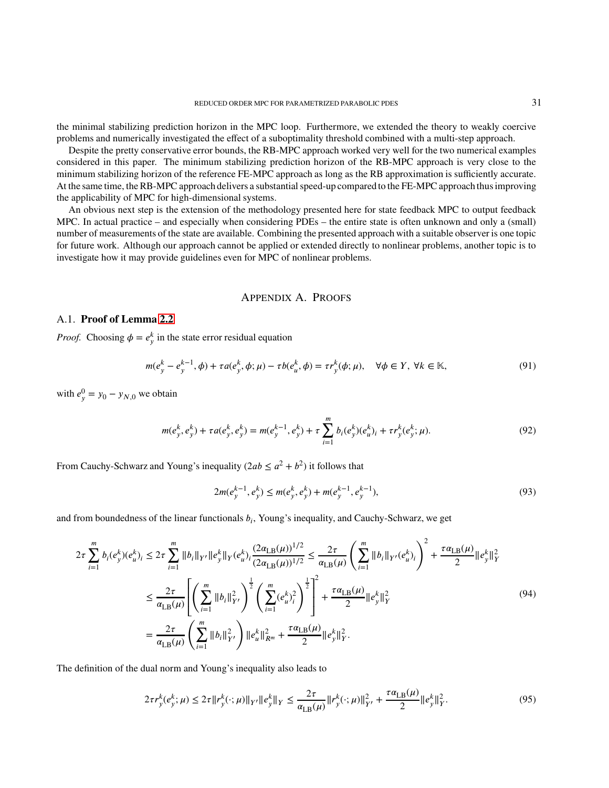the minimal stabilizing prediction horizon in the MPC loop. Furthermore, we extended the theory to weakly coercive problems and numerically investigated the effect of a suboptimality threshold combined with a multi-step approach.

Despite the pretty conservative error bounds, the RB-MPC approach worked very well for the two numerical examples considered in this paper. The minimum stabilizing prediction horizon of the RB-MPC approach is very close to the minimum stabilizing horizon of the reference FE-MPC approach as long as the RB approximation is sufficiently accurate. At the same time, the RB-MPC approach delivers a substantial speed-up compared to the FE-MPC approach thus improving the applicability of MPC for high-dimensional systems.

An obvious next step is the extension of the methodology presented here for state feedback MPC to output feedback MPC. In actual practice – and especially when considering PDEs – the entire state is often unknown and only a (small) number of measurements of the state are available. Combining the presented approach with a suitable observer is one topic for future work. Although our approach cannot be applied or extended directly to nonlinear problems, another topic is to investigate how it may provide guidelines even for MPC of nonlinear problems.

## <span id="page-30-2"></span><span id="page-30-0"></span>APPENDIX A. PROOFS

## A.1. **Proof of Lemma [2.2](#page-11-1)**

*Proof.* Choosing  $\phi = e_y^k$  in the state error residual equation

$$
m(e_y^k - e_y^{k-1}, \phi) + \tau a(e_y^k, \phi; \mu) - \tau b(e_u^k, \phi) = \tau r_y^k(\phi; \mu), \quad \forall \phi \in Y, \ \forall k \in \mathbb{K},\tag{91}
$$

with  $e_y^0 = y_0 - y_{N,0}$  we obtain

$$
m(e_y^k, e_y^k) + \tau a(e_y^k, e_y^k) = m(e_y^{k-1}, e_y^k) + \tau \sum_{i=1}^m b_i(e_y^k)(e_u^k)_i + \tau r_y^k(e_y^k; \mu). \tag{92}
$$

From Cauchy-Schwarz and Young's inequality  $(2ab \le a^2 + b^2)$  it follows that

<span id="page-30-1"></span>
$$
2m(e_y^{k-1}, e_y^k) \le m(e_y^k, e_y^k) + m(e_y^{k-1}, e_y^{k-1}),
$$
\n(93)

and from boundedness of the linear functionals  $b_i$ , Young's inequality, and Cauchy-Schwarz, we get

$$
2\tau \sum_{i=1}^{m} b_{i}(e_{y}^{k})(e_{u}^{k})_{i} \leq 2\tau \sum_{i=1}^{m} ||b_{i}||_{Y'} ||e_{y}^{k}||_{Y}(e_{u}^{k})_{i} \frac{(2\alpha_{LB}(\mu))^{1/2}}{(2\alpha_{LB}(\mu))^{1/2}} \leq \frac{2\tau}{\alpha_{LB}(\mu)} \left(\sum_{i=1}^{m} ||b_{i}||_{Y'}(e_{u}^{k})_{i}\right)^{2} + \frac{\tau\alpha_{LB}(\mu)}{2} ||e_{y}^{k}||_{Y}^{2}
$$

$$
\leq \frac{2\tau}{\alpha_{LB}(\mu)} \left[\left(\sum_{i=1}^{m} ||b_{i}||_{Y'}^{2}\right)^{\frac{1}{2}} \left(\sum_{i=1}^{m} (e_{u}^{k})_{i}^{2}\right)^{\frac{1}{2}}\right]^{2} + \frac{\tau\alpha_{LB}(\mu)}{2} ||e_{y}^{k}||_{Y}^{2}
$$
(94)
$$
= \frac{2\tau}{\alpha_{LB}(\mu)} \left(\sum_{i=1}^{m} ||b_{i}||_{Y'}^{2}\right) ||e_{u}^{k}||_{R^{m}}^{2} + \frac{\tau\alpha_{LB}(\mu)}{2} ||e_{y}^{k}||_{Y}^{2}.
$$

The definition of the dual norm and Young's inequality also leads to

$$
2\tau r_y^k(e_y^k;\mu) \le 2\tau \|r_y^k(\cdot;\mu)\|_{Y'} \|e_y^k\|_{Y} \le \frac{2\tau}{\alpha_{\text{LB}}(\mu)} \|r_y^k(\cdot;\mu)\|_{Y'}^2 + \frac{\tau\alpha_{\text{LB}}(\mu)}{2} \|e_y^k\|_{Y}^2. \tag{95}
$$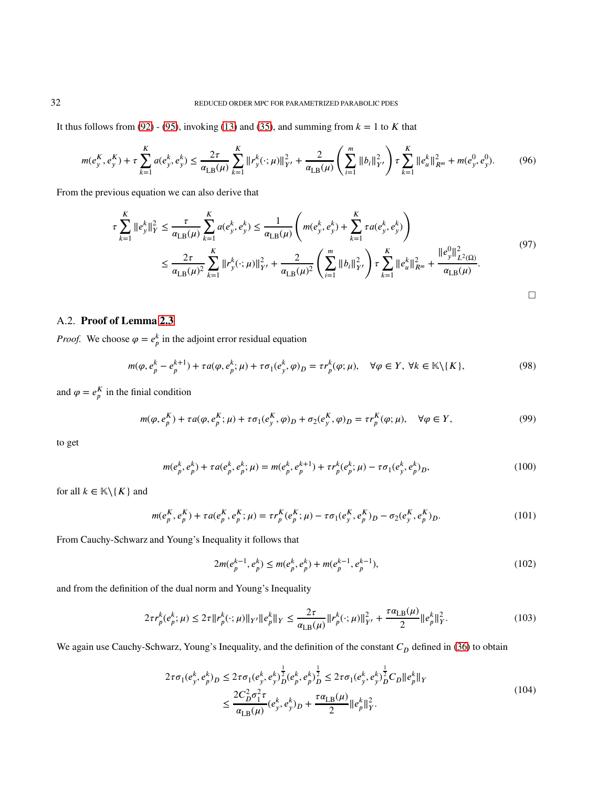It thus follows from [\(92\)](#page-30-0) - [\(95\)](#page-30-1), invoking [\(13\)](#page-5-3) and [\(35\)](#page-11-2), and summing from  $k = 1$  to  $K$  that

$$
m(e_y^K, e_y^K) + \tau \sum_{k=1}^K a(e_y^k, e_y^k) \le \frac{2\tau}{\alpha_{\text{LB}}(\mu)} \sum_{k=1}^K ||r_y^k(\cdot;\mu)||_{Y'}^2 + \frac{2}{\alpha_{\text{LB}}(\mu)} \left(\sum_{i=1}^m ||b_i||_{Y'}^2\right) \tau \sum_{k=1}^K ||e_u^k||_{R^m}^2 + m(e_y^0, e_y^0). \tag{96}
$$

From the previous equation we can also derive that

$$
\tau \sum_{k=1}^{K} ||e_{y}^{k}||_{Y}^{2} \leq \frac{\tau}{\alpha_{\text{LB}}(\mu)} \sum_{k=1}^{K} a(e_{y}^{k}, e_{y}^{k}) \leq \frac{1}{\alpha_{\text{LB}}(\mu)} \left( m(e_{y}^{k}, e_{y}^{k}) + \sum_{k=1}^{K} \tau a(e_{y}^{k}, e_{y}^{k}) \right)
$$
\n
$$
\leq \frac{2\tau}{\alpha_{\text{LB}}(\mu)^{2}} \sum_{k=1}^{K} ||r_{y}^{k}(\cdot; \mu)||_{Y'}^{2} + \frac{2}{\alpha_{\text{LB}}(\mu)^{2}} \left( \sum_{i=1}^{m} ||b_{i}||_{Y'}^{2} \right) \tau \sum_{k=1}^{K} ||e_{u}^{k}||_{R^{m}}^{2} + \frac{||e_{y}^{0}||_{L^{2}(\Omega)}^{2}}{\alpha_{\text{LB}}(\mu)}.
$$
\n(97)

## A.2. **Proof of Lemma [2.3](#page-12-2)**

*Proof.* We choose  $\varphi = e^k_p$  in the adjoint error residual equation

$$
m(\varphi, e_p^k - e_p^{k+1}) + \tau a(\varphi, e_p^k; \mu) + \tau \sigma_1(e_p^k, \varphi)_D = \tau r_p^k(\varphi; \mu), \quad \forall \varphi \in Y, \ \forall k \in \mathbb{K} \setminus \{K\},\tag{98}
$$

and  $\varphi = e_p^K$  in the finial condition

$$
m(\varphi, e_p^K) + \tau a(\varphi, e_p^K; \mu) + \tau \sigma_1(e_p^K, \varphi)_D + \sigma_2(e_p^K, \varphi)_D = \tau r_p^K(\varphi; \mu), \quad \forall \varphi \in Y,
$$
\n
$$
(99)
$$

to get

$$
m(e_p^k, e_p^k) + \tau a(e_p^k, e_p^k; \mu) = m(e_p^k, e_p^{k+1}) + \tau r_p^k(e_p^k; \mu) - \tau \sigma_1(e_p^k, e_p^k)_{D},\tag{100}
$$

for all  $k \in \mathbb{K} \setminus \{K\}$  and

$$
m(e_p^K, e_p^K) + \tau a(e_p^K, e_p^K; \mu) = \tau r_p^K(e_p^K; \mu) - \tau \sigma_1(e_y^K, e_p^K)_D - \sigma_2(e_y^K, e_p^K)_D.
$$
\n(101)

From Cauchy-Schwarz and Young's Inequality it follows that

<span id="page-31-4"></span><span id="page-31-3"></span><span id="page-31-2"></span><span id="page-31-1"></span><span id="page-31-0"></span>
$$
2m(e_p^{k-1}, e_p^k) \le m(e_p^k, e_p^k) + m(e_p^{k-1}, e_p^{k-1}),
$$
\n(102)

and from the definition of the dual norm and Young's Inequality

$$
2\tau r_p^k(e_p^k;\mu) \le 2\tau \|r_p^k(\cdot;\mu)\|_{Y'} \|e_p^k\|_{Y} \le \frac{2\tau}{\alpha_{\text{LB}}(\mu)} \|r_p^k(\cdot;\mu)\|_{Y'}^2 + \frac{\tau\alpha_{\text{LB}}(\mu)}{2} \|e_p^k\|_{Y}^2. \tag{103}
$$

We again use Cauchy-Schwarz, Young's Inequality, and the definition of the constant  $C<sub>D</sub>$  defined in [\(36\)](#page-11-0) to obtain

$$
2\tau\sigma_{1}(e_{y}^{k},e_{p}^{k})_{D} \leq 2\tau\sigma_{1}(e_{y}^{k},e_{y}^{k})_{D}^{\frac{1}{2}}(e_{p}^{k},e_{p}^{k})_{D}^{\frac{1}{2}} \leq 2\tau\sigma_{1}(e_{y}^{k},e_{y}^{k})_{D}^{\frac{1}{2}}C_{D}||e_{p}^{k}||_{Y}
$$
  

$$
\leq \frac{2C_{D}^{2}\sigma_{1}^{2}\tau}{\alpha_{\text{LB}}(\mu)}(e_{y}^{k},e_{y}^{k})_{D} + \frac{\tau\alpha_{\text{LB}}(\mu)}{2}||e_{p}^{k}||_{Y}^{2}.
$$
 (104)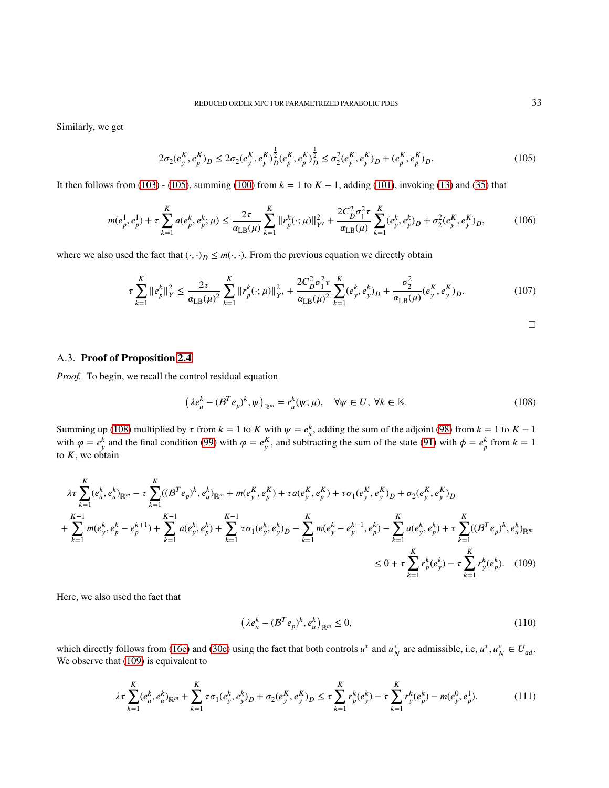Similarly, we get

$$
2\sigma_2(e_y^K, e_p^K)_D \le 2\sigma_2(e_y^K, e_y^K)_D^{\frac{1}{2}}(e_p^K, e_p^K)_D^{\frac{1}{2}} \le \sigma_2^2(e_y^K, e_y^K)_D + (e_p^K, e_p^K)_D. \tag{105}
$$

It then follows from [\(103\)](#page-31-0) - [\(105\)](#page-32-0), summing [\(100\)](#page-31-1) from  $k = 1$  to  $K - 1$ , adding [\(101\)](#page-31-2), invoking [\(13\)](#page-5-3) and [\(35\)](#page-11-2) that

$$
m(e_p^1, e_p^1) + \tau \sum_{k=1}^K a(e_p^k, e_p^k; \mu) \le \frac{2\tau}{\alpha_{\text{LB}}(\mu)} \sum_{k=1}^K \|r_p^k(\cdot; \mu)\|_{Y'}^2 + \frac{2C_D^2 \sigma_1^2 \tau}{\alpha_{\text{LB}}(\mu)} \sum_{k=1}^K (e_y^k, e_y^k)_D + \sigma_2^2 (e_y^k, e_y^k)_D, \tag{106}
$$

where we also used the fact that  $(\cdot, \cdot)_D \leq m(\cdot, \cdot)$ . From the previous equation we directly obtain

$$
\tau \sum_{k=1}^{K} \|e_{p}^{k}\|_{Y}^{2} \leq \frac{2\tau}{\alpha_{\text{LB}}(\mu)^{2}} \sum_{k=1}^{K} \|r_{p}^{k}(\cdot;\mu)\|_{Y'}^{2} + \frac{2C_{D}^{2}\sigma_{1}^{2}\tau}{\alpha_{\text{LB}}(\mu)^{2}} \sum_{k=1}^{K} (e_{y}^{k}, e_{y}^{k})_{D} + \frac{\sigma_{2}^{2}}{\alpha_{\text{LB}}(\mu)} (e_{y}^{K}, e_{y}^{K})_{D}.
$$
 (107)

<span id="page-32-2"></span><span id="page-32-1"></span><span id="page-32-0"></span> $\Box$ 

### A.3. **Proof of Proposition [2.4](#page-12-1)**

*Proof.* To begin, we recall the control residual equation

$$
\left(\lambda e_u^k - (B^T e_p)^k, \psi\right)_{\mathbb{R}^m} = r_u^k(\psi; \mu), \quad \forall \psi \in U, \ \forall k \in \mathbb{K}.\tag{108}
$$

Summing up [\(108\)](#page-32-1) multiplied by  $\tau$  from  $k = 1$  to  $K$  with  $\psi = e^k_u$ , adding the sum of the adjoint [\(98\)](#page-31-3) from  $k = 1$  to  $K - 1$ with  $\varphi = e_y^k$  and the final condition [\(99\)](#page-31-4) with  $\varphi = e_y^k$ , and subtracting the sum of the state [\(91\)](#page-30-2) with  $\varphi = e_p^k$  from  $k = 1$ to *𝐾*, we obtain

$$
\lambda \tau \sum_{k=1}^{K} (e_u^k, e_u^k)_{\mathbb{R}^m} - \tau \sum_{k=1}^{K} ((B^T e_p)^k, e_u^k)_{\mathbb{R}^m} + m(e_y^K, e_p^K) + \tau a(e_y^K, e_p^K) + \tau \sigma_1(e_y^K, e_y^K) + \sigma_2(e_y^K, e_y^K) + \sigma_2(e_y^K, e_y^K) + \sum_{k=1}^{K-1} m(e_y^k, e_p^k - e_y^{k+1}) + \sum_{k=1}^{K-1} a(e_y^k, e_p^k) + \sum_{k=1}^{K} \tau \sigma_1(e_y^k, e_y^k) - \sum_{k=1}^{K} m(e_y^k - e_y^{k-1}, e_p^k) - \sum_{k=1}^{K} a(e_y^k, e_p^k) + \tau \sum_{k=1}^{K} ((B^T e_p)^k, e_u^k)_{\mathbb{R}^m}
$$
  
\n
$$
\leq 0 + \tau \sum_{k=1}^{K} r_p^k (e_y^k) - \tau \sum_{k=1}^{K} r_p^k (e_p^k). \quad (109)
$$

Here, we also used the fact that

$$
\left(\lambda e_u^k - (B^T e_p)^k, e_u^k\right)_{\mathbb{R}^m} \le 0,\tag{110}
$$

which directly follows from [\(16e\)](#page-5-4) and [\(30e\)](#page-9-4) using the fact that both controls  $u^*$  and  $u^*$ <sub>N</sub> are admissible, i.e,  $u^*, u^*_{N} \in U_{ad}$ . We observe that [\(109\)](#page-32-2) is equivalent to

$$
\lambda \tau \sum_{k=1}^{K} (e_u^k, e_u^k)_{\mathbb{R}^m} + \sum_{k=1}^{K} \tau \sigma_1(e_y^k, e_y^k)_{D} + \sigma_2(e_y^K, e_y^K)_{D} \leq \tau \sum_{k=1}^{K} r_p^k (e_y^k) - \tau \sum_{k=1}^{K} r_y^k (e_p^k) - m(e_y^0, e_p^1). \tag{111}
$$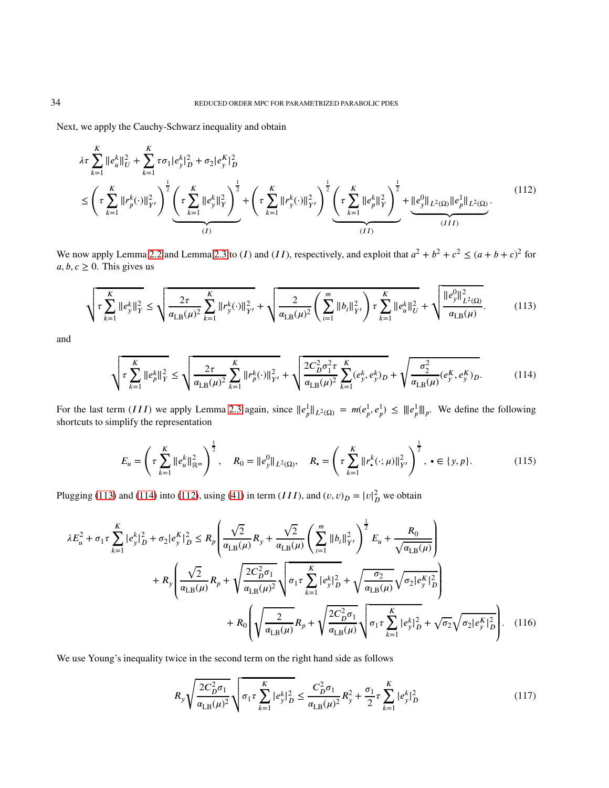Next, we apply the Cauchy-Schwarz inequality and obtain

<span id="page-33-2"></span>
$$
\lambda \tau \sum_{k=1}^{K} ||e_{u}^{k}||_{U}^{2} + \sum_{k=1}^{K} \tau \sigma_{1} |e_{y}^{k}|_{D}^{2} + \sigma_{2} |e_{y}^{K}|_{D}^{2}
$$
\n
$$
\leq \left(\tau \sum_{k=1}^{K} ||r_{p}^{k}(\cdot)||_{Y'}^{2}\right)^{\frac{1}{2}} \underbrace{\left(\tau \sum_{k=1}^{K} ||e_{y}^{k}||_{Y}^{2}\right)^{\frac{1}{2}}}_{(I)} + \left(\tau \sum_{k=1}^{K} ||r_{y}^{k}(\cdot)||_{Y'}^{2}\right)^{\frac{1}{2}} \underbrace{\left(\tau \sum_{k=1}^{K} ||e_{p}^{k}||_{Y}^{2}\right)^{\frac{1}{2}}}_{(II)} + ||e_{y}^{0}||_{L^{2}(\Omega)} ||e_{p}^{1}||_{L^{2}(\Omega)} .
$$
\n
$$
(112)
$$

We now apply Lemma [2.2](#page-11-1) and Lemma [2.3](#page-12-2) to (*I*) and (*II*), respectively, and exploit that  $a^2 + b^2 + c^2 \le (a + b + c)^2$  for  $a, b, c \geq 0$ . This gives us

$$
\sqrt{\tau \sum_{k=1}^{K} ||e_{y}^{k}||_{Y}^{2}} \leq \sqrt{\frac{2\tau}{\alpha_{\text{LB}}(\mu)^{2}} \sum_{k=1}^{K} ||r_{y}^{k}(\cdot)||_{Y'}^{2}} + \sqrt{\frac{2}{\alpha_{\text{LB}}(\mu)^{2}} \left(\sum_{i=1}^{m} ||b_{i}||_{Y'}^{2}\right) \tau \sum_{k=1}^{K} ||e_{u}^{k}||_{U}^{2}} + \sqrt{\frac{||e_{y}^{0}||_{L^{2}(\Omega)}^{2}}{\alpha_{\text{LB}}(\mu)}}.
$$
(113)

and

<span id="page-33-0"></span>
$$
\sqrt{\tau \sum_{k=1}^{K} ||e_{p}^{k}||_{Y}^{2}} \leq \sqrt{\frac{2\tau}{\alpha_{\text{LB}}(\mu)^{2}} \sum_{k=1}^{K} ||r_{p}^{k}(\cdot)||_{Y'}^{2}} + \sqrt{\frac{2C_{D}^{2}\sigma_{1}^{2}\tau}{\alpha_{\text{LB}}(\mu)^{2}} \sum_{k=1}^{K} (e_{y}^{k}, e_{y}^{k})_{D}} + \sqrt{\frac{\sigma_{2}^{2}}{\alpha_{\text{LB}}(\mu)} (e_{y}^{K}, e_{y}^{K})_{D}}.
$$
 (114)

For the last term (*III*) we apply Lemma [2.3](#page-12-2) again, since  $||e_p^1||_{L^2(\Omega)} = m(e_p^1, e_p^1) \le ||e_p^1||_p$ . We define the following shortcuts to simplify the representation

<span id="page-33-1"></span>
$$
E_u = \left(\tau \sum_{k=1}^K \|e_u^k\|_{\mathbb{R}^m}^2\right)^{\frac{1}{2}}, \quad R_0 = \|e_y^0\|_{L^2(\Omega)}, \quad R_\bullet = \left(\tau \sum_{k=1}^K \|r_\bullet^k(\cdot;\mu)\|_{Y'}^2\right)^{\frac{1}{2}}, \bullet \in \{y, p\}.
$$
 (115)

Plugging [\(113\)](#page-33-0) and [\(114\)](#page-33-1) into [\(112\)](#page-33-2), using [\(41\)](#page-12-3) in term (*III*), and  $(v, v)_D = |v|_D^2$  we obtain

$$
\lambda E_{u}^{2} + \sigma_{1}\tau \sum_{k=1}^{K} |e_{y}^{k}|_{D}^{2} + \sigma_{2}|e_{y}^{K}|_{D}^{2} \leq R_{p} \left( \frac{\sqrt{2}}{\alpha_{\text{LB}}(\mu)} R_{y} + \frac{\sqrt{2}}{\alpha_{\text{LB}}(\mu)} \left( \sum_{i=1}^{m} ||b_{i}||_{Y}^{2} \right)^{\frac{1}{2}} E_{u} + \frac{R_{0}}{\sqrt{\alpha_{\text{LB}}(\mu)}} \right) + R_{y} \left( \frac{\sqrt{2}}{\alpha_{\text{LB}}(\mu)} R_{p} + \sqrt{\frac{2C_{D}^{2}\sigma_{1}}{\alpha_{\text{LB}}(\mu)^{2}}} \sqrt{\sigma_{1}\tau \sum_{k=1}^{K} |e_{y}^{k}|_{D}^{2}} + \sqrt{\frac{\sigma_{2}}{\alpha_{\text{LB}}(\mu)}} \sqrt{\sigma_{2}|e_{y}^{K}|_{D}^{2}} \right) + R_{0} \left( \sqrt{\frac{2}{\alpha_{\text{LB}}(\mu)}} R_{p} + \sqrt{\frac{2C_{D}^{2}\sigma_{1}}{\alpha_{\text{LB}}(\mu)}} \sqrt{\sigma_{1}\tau \sum_{k=1}^{K} |e_{y}^{k}|_{D}^{2}} + \sqrt{\sigma_{2}} \sqrt{\sigma_{2}|e_{y}^{K}|_{D}^{2}} \right). \quad (116)
$$

We use Young's inequality twice in the second term on the right hand side as follows

<span id="page-33-3"></span>
$$
R_{y} \sqrt{\frac{2C_{D}^{2} \sigma_{1}}{\alpha_{\text{LB}}(\mu)^{2}}} \sqrt{\sigma_{1} \tau \sum_{k=1}^{K} |e_{y}^{k}|_{D}^{2}} \leq \frac{C_{D}^{2} \sigma_{1}}{\alpha_{\text{LB}}(\mu)^{2}} R_{y}^{2} + \frac{\sigma_{1}}{2} \tau \sum_{k=1}^{K} |e_{y}^{k}|_{D}^{2}
$$
(117)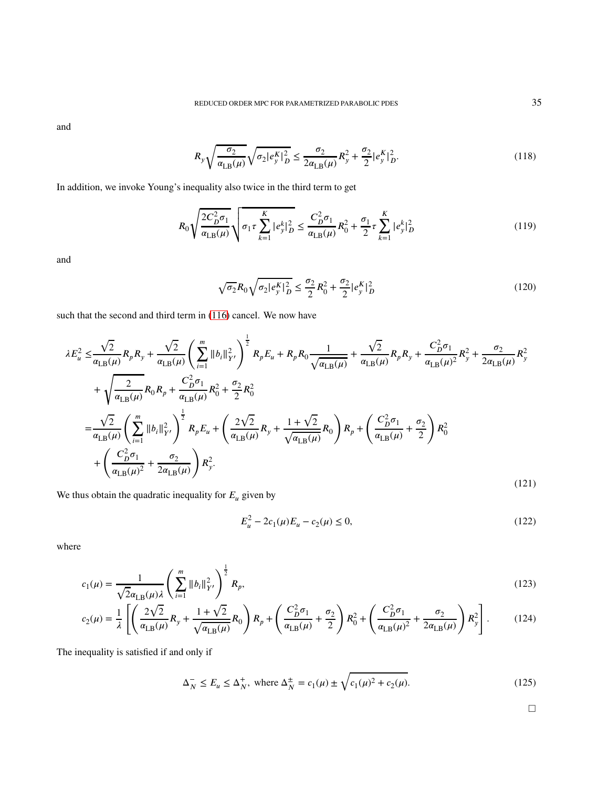and

$$
R_{y}\sqrt{\frac{\sigma_{2}}{\alpha_{\text{LB}}(\mu)}}\sqrt{\sigma_{2}|e_{y}^{K}|_{D}^{2}} \leq \frac{\sigma_{2}}{2\alpha_{\text{LB}}(\mu)}R_{y}^{2} + \frac{\sigma_{2}}{2}|e_{y}^{K}|_{D}^{2}.
$$
\n(118)

In addition, we invoke Young's inequality also twice in the third term to get

$$
R_0 \sqrt{\frac{2C_D^2 \sigma_1}{\alpha_{\text{LB}}(\mu)}} \sqrt{\sigma_1 \tau \sum_{k=1}^K |e_y^k|_D^2} \le \frac{C_D^2 \sigma_1}{\alpha_{\text{LB}}(\mu)} R_0^2 + \frac{\sigma_1}{2} \tau \sum_{k=1}^K |e_y^k|_D^2 \tag{119}
$$

and

$$
\sqrt{\sigma_2} R_0 \sqrt{\sigma_2 |e_y^K|_D^2} \le \frac{\sigma_2}{2} R_0^2 + \frac{\sigma_2}{2} |e_y^K|_D^2 \tag{120}
$$

such that the second and third term in [\(116\)](#page-33-3) cancel. We now have

$$
\lambda E_{u}^{2} \leq \frac{\sqrt{2}}{\alpha_{\text{LB}}(\mu)} R_{p} R_{y} + \frac{\sqrt{2}}{\alpha_{\text{LB}}(\mu)} \left( \sum_{i=1}^{m} \|b_{i}\|_{Y}^{2} \right)^{\frac{1}{2}} R_{p} E_{u} + R_{p} R_{0} \frac{1}{\sqrt{\alpha_{\text{LB}}(\mu)}} + \frac{\sqrt{2}}{\alpha_{\text{LB}}(\mu)} R_{p} R_{y} + \frac{C_{D}^{2} \sigma_{1}}{\alpha_{\text{LB}}(\mu)^{2}} R_{y}^{2} + \frac{\sigma_{2}}{2 \alpha_{\text{LB}}(\mu)} R_{0} R_{p} + \frac{C_{D}^{2} \sigma_{1}}{\alpha_{\text{LB}}(\mu)} R_{0} R_{p} + \frac{C_{D}^{2} \sigma_{1}}{\alpha_{\text{LB}}(\mu)} R_{0}^{2} + \frac{\sigma_{2}}{2} R_{0}^{2}
$$
\n
$$
= \frac{\sqrt{2}}{\alpha_{\text{LB}}(\mu)} \left( \sum_{i=1}^{m} \|b_{i}\|_{Y}^{2} \right)^{\frac{1}{2}} R_{p} E_{u} + \left( \frac{2\sqrt{2}}{\alpha_{\text{LB}}(\mu)} R_{y} + \frac{1 + \sqrt{2}}{\sqrt{\alpha_{\text{LB}}(\mu)}} R_{0} \right) R_{p} + \left( \frac{C_{D}^{2} \sigma_{1}}{\alpha_{\text{LB}}(\mu)} + \frac{\sigma_{2}}{2} \right) R_{0}^{2}
$$
\n
$$
+ \left( \frac{C_{D}^{2} \sigma_{1}}{\alpha_{\text{LB}}(\mu)^{2}} + \frac{\sigma_{2}}{2 \alpha_{\text{LB}}(\mu)} \right) R_{y}^{2}.
$$
\n(121)

We thus obtain the quadratic inequality for  $E_u$  given by

$$
E_u^2 - 2c_1(\mu)E_u - c_2(\mu) \le 0,
$$
\n(122)

where

$$
c_1(\mu) = \frac{1}{\sqrt{2}\alpha_{\text{LB}}(\mu)\lambda} \left(\sum_{i=1}^m \|b_i\|_{Y'}^2\right)^{\frac{1}{2}} R_p,\tag{123}
$$

$$
c_2(\mu) = \frac{1}{\lambda} \left[ \left( \frac{2\sqrt{2}}{\alpha_{\text{LB}}(\mu)} R_y + \frac{1+\sqrt{2}}{\sqrt{\alpha_{\text{LB}}(\mu)}} R_0 \right) R_p + \left( \frac{C_D^2 \sigma_1}{\alpha_{\text{LB}}(\mu)} + \frac{\sigma_2}{2} \right) R_0^2 + \left( \frac{C_D^2 \sigma_1}{\alpha_{\text{LB}}(\mu)^2} + \frac{\sigma_2}{2\alpha_{\text{LB}}(\mu)} \right) R_y^2 \right].
$$
 (124)

The inequality is satisfied if and only if

$$
\Delta_N^- \le E_u \le \Delta_N^+, \text{ where } \Delta_N^{\pm} = c_1(\mu) \pm \sqrt{c_1(\mu)^2 + c_2(\mu)}. \tag{125}
$$

 $\Box$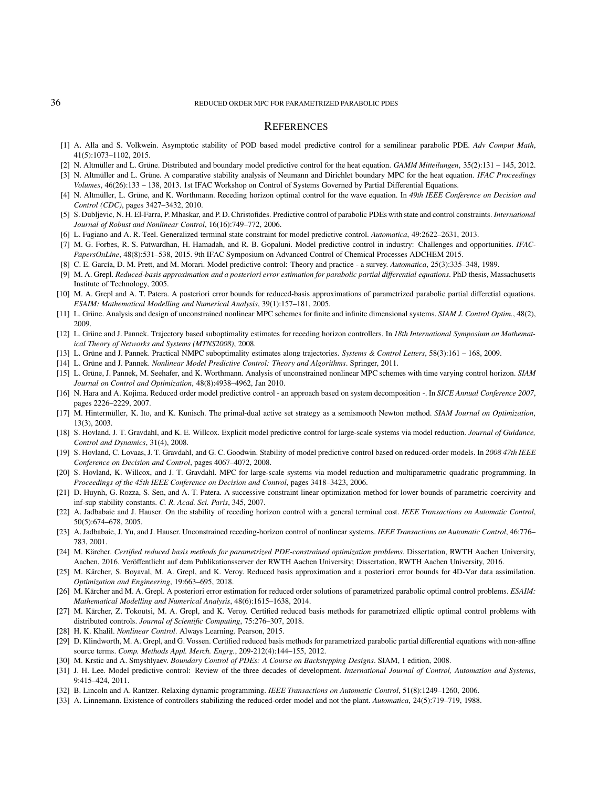#### 36 REDUCED ORDER MPC FOR PARAMETRIZED PARABOLIC PDES

## **REFERENCES**

- <span id="page-35-4"></span>[1] A. Alla and S. Volkwein. Asymptotic stability of POD based model predictive control for a semilinear parabolic PDE. *Adv Comput Math*, 41(5):1073–1102, 2015.
- <span id="page-35-30"></span><span id="page-35-17"></span>[2] N. Altmüller and L. Grüne. Distributed and boundary model predictive control for the heat equation. *GAMM Mitteilungen*, 35(2):131 – 145, 2012.
- [3] N. Altmüller and L. Grüne. A comparative stability analysis of Neumann and Dirichlet boundary MPC for the heat equation. *IFAC Proceedings Volumes*, 46(26):133 – 138, 2013. 1st IFAC Workshop on Control of Systems Governed by Partial Differential Equations.
- <span id="page-35-18"></span>[4] N. Altmüller, L. Grüne, and K. Worthmann. Receding horizon optimal control for the wave equation. In *49th IEEE Conference on Decision and Control (CDC)*, pages 3427–3432, 2010.
- <span id="page-35-5"></span>[5] S. Dubljevic, N. H. El-Farra, P. Mhaskar, and P. D. Christofides. Predictive control of parabolic PDEs with state and control constraints. *International Journal of Robust and Nonlinear Control*, 16(16):749–772, 2006.
- <span id="page-35-10"></span><span id="page-35-3"></span>[6] L. Fagiano and A. R. Teel. Generalized terminal state constraint for model predictive control. *Automatica*, 49:2622–2631, 2013.
- [7] M. G. Forbes, R. S. Patwardhan, H. Hamadah, and R. B. Gopaluni. Model predictive control in industry: Challenges and opportunities. *IFAC-PapersOnLine*, 48(8):531–538, 2015. 9th IFAC Symposium on Advanced Control of Chemical Processes ADCHEM 2015.
- <span id="page-35-24"></span><span id="page-35-1"></span>[8] C. E. García, D. M. Prett, and M. Morari. Model predictive control: Theory and practice - a survey. *Automatica*, 25(3):335–348, 1989.
- [9] M. A. Grepl. *Reduced-basis approximation and a posteriori error estimation for parabolic partial differential equations*. PhD thesis, Massachusetts Institute of Technology, 2005.
- <span id="page-35-23"></span>[10] M. A. Grepl and A. T. Patera. A posteriori error bounds for reduced-basis approximations of parametrized parabolic partial differetial equations. *ESAIM: Mathematical Modelling and Numerical Analysis*, 39(1):157–181, 2005.
- <span id="page-35-14"></span><span id="page-35-13"></span>[11] L. Grüne. Analysis and design of unconstrained nonlinear MPC schemes for finite and infinite dimensional systems. *SIAM J. Control Optim.*, 48(2), 2009.
- [12] L. Grüne and J. Pannek. Trajectory based suboptimality estimates for receding horizon controllers. In *18th International Symposium on Mathematical Theory of Networks and Systems (MTNS2008)*, 2008.
- <span id="page-35-26"></span><span id="page-35-0"></span>[13] L. Grüne and J. Pannek. Practical NMPC suboptimality estimates along trajectories. *Systems & Control Letters*, 58(3):161 – 168, 2009.
- <span id="page-35-15"></span>[14] L. Grüne and J. Pannek. *Nonlinear Model Predictive Control: Theory and Algorithms*. Springer, 2011.
- [15] L. Grüne, J. Pannek, M. Seehafer, and K. Worthmann. Analysis of unconstrained nonlinear MPC schemes with time varying control horizon. *SIAM Journal on Control and Optimization*, 48(8):4938–4962, Jan 2010.
- <span id="page-35-6"></span>[16] N. Hara and A. Kojima. Reduced order model predictive control - an approach based on system decomposition -. In *SICE Annual Conference 2007*, pages 2226–2229, 2007.
- <span id="page-35-28"></span>[17] M. Hintermüller, K. Ito, and K. Kunisch. The primal-dual active set strategy as a semismooth Newton method. *SIAM Journal on Optimization*, 13(3), 2003.
- <span id="page-35-7"></span>[18] S. Hovland, J. T. Gravdahl, and K. E. Willcox. Explicit model predictive control for large-scale systems via model reduction. *Journal of Guidance, Control and Dynamics*, 31(4), 2008.
- <span id="page-35-19"></span>[19] S. Hovland, C. Lovaas, J. T. Gravdahl, and G. C. Goodwin. Stability of model predictive control based on reduced-order models. In *2008 47th IEEE Conference on Decision and Control*, pages 4067–4072, 2008.
- <span id="page-35-8"></span>[20] S. Hovland, K. Willcox, and J. T. Gravdahl. MPC for large-scale systems via model reduction and multiparametric quadratic programming. In *Proceedings of the 45th IEEE Conference on Decision and Control*, pages 3418–3423, 2006.
- <span id="page-35-29"></span>[21] D. Huynh, G. Rozza, S. Sen, and A. T. Patera. A successive constraint linear optimization method for lower bounds of parametric coercivity and inf-sup stability constants. *C. R. Acad. Sci. Paris*, 345, 2007.
- <span id="page-35-12"></span>[22] A. Jadbabaie and J. Hauser. On the stability of receding horizon control with a general terminal cost. *IEEE Transactions on Automatic Control*, 50(5):674–678, 2005.
- <span id="page-35-11"></span>[23] A. Jadbabaie, J. Yu, and J. Hauser. Unconstrained receding-horizon control of nonlinear systems. *IEEE Transactions on Automatic Control*, 46:776– 783, 2001.
- <span id="page-35-27"></span>[24] M. Kärcher. *Certified reduced basis methods for parametrized PDE-constrained optimization problems*. Dissertation, RWTH Aachen University, Aachen, 2016. Veröffentlicht auf dem Publikationsserver der RWTH Aachen University; Dissertation, RWTH Aachen University, 2016.
- <span id="page-35-21"></span>[25] M. Kärcher, S. Boyaval, M. A. Grepl, and K. Veroy. Reduced basis approximation and a posteriori error bounds for 4D-Var data assimilation. *Optimization and Engineering*, 19:663–695, 2018.
- <span id="page-35-20"></span>[26] M. Kärcher and M. A. Grepl. A posteriori error estimation for reduced order solutions of parametrized parabolic optimal control problems. *ESAIM: Mathematical Modelling and Numerical Analysis*, 48(6):1615–1638, 2014.
- <span id="page-35-22"></span>[27] M. Kärcher, Z. Tokoutsi, M. A. Grepl, and K. Veroy. Certified reduced basis methods for parametrized elliptic optimal control problems with distributed controls. *Journal of Scientific Computing*, 75:276–307, 2018.
- <span id="page-35-32"></span><span id="page-35-25"></span>[28] H. K. Khalil. *Nonlinear Control*. Always Learning. Pearson, 2015.
- [29] D. Klindworth, M. A. Grepl, and G. Vossen. Certified reduced basis methods for parametrized parabolic partial differential equations with non-affine source terms. *Comp. Methods Appl. Merch. Engrg.*, 209-212(4):144–155, 2012.
- <span id="page-35-31"></span><span id="page-35-2"></span>[30] M. Krstic and A. Smyshlyaev. *Boundary Control of PDEs: A Course on Backstepping Designs*. SIAM, 1 edition, 2008.
- [31] J. H. Lee. Model predictive control: Review of the three decades of development. *International Journal of Control, Automation and Systems*, 9:415–424, 2011.
- <span id="page-35-16"></span><span id="page-35-9"></span>[32] B. Lincoln and A. Rantzer. Relaxing dynamic programming. *IEEE Transactions on Automatic Control*, 51(8):1249–1260, 2006.
- [33] A. Linnemann. Existence of controllers stabilizing the reduced-order model and not the plant. *Automatica*, 24(5):719–719, 1988.